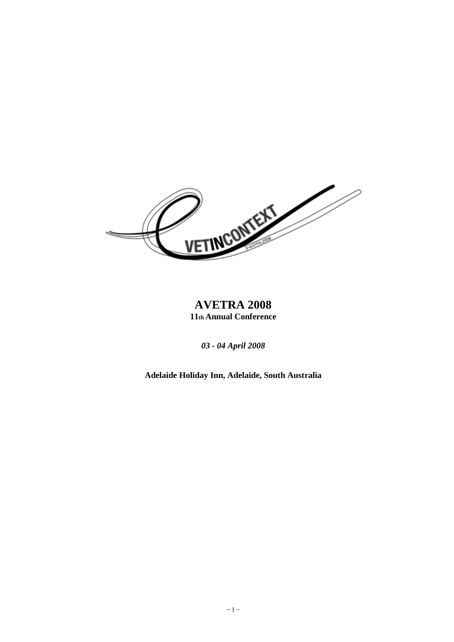

# **AVETRA 2008 11th Annual Conference**

*03 - 04 April 2008* 

**Adelaide Holiday Inn, Adelaide, South Australia**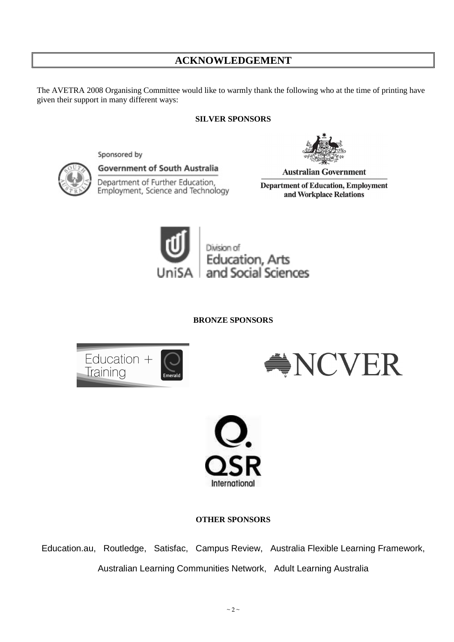# **ACKNOWLEDGEMENT**

The AVETRA 2008 Organising Committee would like to warmly thank the following who at the time of printing have given their support in many different ways:

## **SILVER SPONSORS**



Sponsored by

**Government of South Australia** 

Department of Further Education, Employment, Science and Technology

**Australian Government** 

**Department of Education, Employment** and Workplace Relations



**BRONZE SPONSORS** 







**OTHER SPONSORS** 

Education.au, Routledge, Satisfac, Campus Review, Australia Flexible Learning Framework, Australian Learning Communities Network, Adult Learning Australia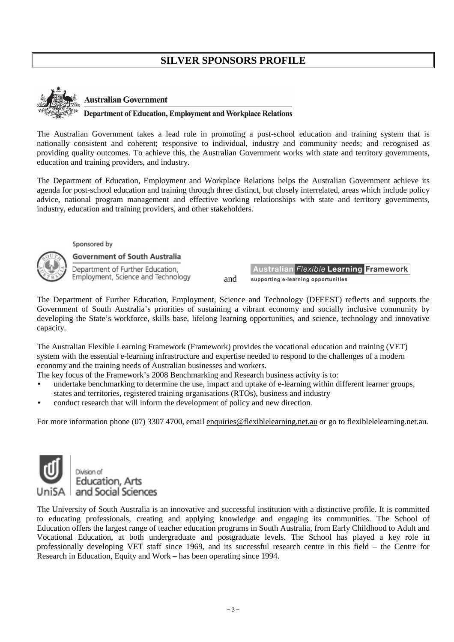# **SILVER SPONSORS PROFILE**



#### **Australian Government**

#### **Department of Education, Employment and Workplace Relations**

The Australian Government takes a lead role in promoting a post-school education and training system that is nationally consistent and coherent; responsive to individual, industry and community needs; and recognised as providing quality outcomes. To achieve this, the Australian Government works with state and territory governments, education and training providers, and industry.

The Department of Education, Employment and Workplace Relations helps the Australian Government achieve its agenda for post-school education and training through three distinct, but closely interrelated, areas which include policy advice, national program management and effective working relationships with state and territory governments, industry, education and training providers, and other stakeholders.

Sponsored by

**Government of South Australia** 

Department of Further Education, Employment, Science and Technology and

Australian Flexible Learning Framework supporting e-learning opportunities

The Department of Further Education, Employment, Science and Technology (DFEEST) reflects and supports the Government of South Australia's priorities of sustaining a vibrant economy and socially inclusive community by developing the State's workforce, skills base, lifelong learning opportunities, and science, technology and innovative capacity.

The Australian Flexible Learning Framework (Framework) provides the vocational education and training (VET) system with the essential e-learning infrastructure and expertise needed to respond to the challenges of a modern economy and the training needs of Australian businesses and workers.

The key focus of the Framework's 2008 Benchmarking and Research business activity is to:

- undertake benchmarking to determine the use, impact and uptake of e-learning within different learner groups, states and territories, registered training organisations (RTOs), business and industry
- conduct research that will inform the development of policy and new direction.

For more information phone (07) 3307 4700, email enquiries@flexiblelearning.net.au or go to flexiblelearning.net.au.



Division of **Education**, Arts and Social Sciences

The University of South Australia is an innovative and successful institution with a distinctive profile. It is committed to educating professionals, creating and applying knowledge and engaging its communities. The School of Education offers the largest range of teacher education programs in South Australia, from Early Childhood to Adult and Vocational Education, at both undergraduate and postgraduate levels. The School has played a key role in professionally developing VET staff since 1969, and its successful research centre in this field – the Centre for Research in Education, Equity and Work – has been operating since 1994.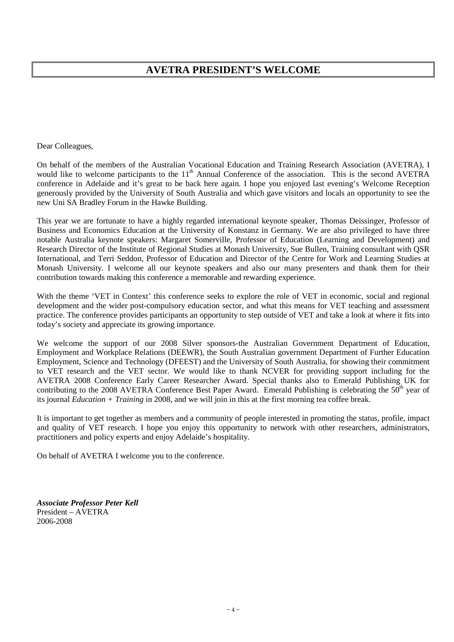# **AVETRA PRESIDENT'S WELCOME**

Dear Colleagues,

On behalf of the members of the Australian Vocational Education and Training Research Association (AVETRA), I would like to welcome participants to the 11<sup>th</sup> Annual Conference of the association. This is the second AVETRA conference in Adelaide and it's great to be back here again. I hope you enjoyed last evening's Welcome Reception generously provided by the University of South Australia and which gave visitors and locals an opportunity to see the new Uni SA Bradley Forum in the Hawke Building.

This year we are fortunate to have a highly regarded international keynote speaker, Thomas Deissinger, Professor of Business and Economics Education at the University of Konstanz in Germany. We are also privileged to have three notable Australia keynote speakers: Margaret Somerville, Professor of Education (Learning and Development) and Research Director of the Institute of Regional Studies at Monash University, Sue Bullen, Training consultant with QSR International, and Terri Seddon, Professor of Education and Director of the Centre for Work and Learning Studies at Monash University. I welcome all our keynote speakers and also our many presenters and thank them for their contribution towards making this conference a memorable and rewarding experience.

With the theme 'VET in Context' this conference seeks to explore the role of VET in economic, social and regional development and the wider post-compulsory education sector, and what this means for VET teaching and assessment practice. The conference provides participants an opportunity to step outside of VET and take a look at where it fits into today's society and appreciate its growing importance.

We welcome the support of our 2008 Silver sponsors-the Australian Government Department of Education, Employment and Workplace Relations (DEEWR), the South Australian government Department of Further Education Employment, Science and Technology (DFEEST) and the University of South Australia, for showing their commitment to VET research and the VET sector. We would like to thank NCVER for providing support including for the AVETRA 2008 Conference Early Career Researcher Award. Special thanks also to Emerald Publishing UK for contributing to the 2008 AVETRA Conference Best Paper Award. Emerald Publishing is celebrating the  $50<sup>th</sup>$  year of its journal *Education + Training* in 2008, and we will join in this at the first morning tea coffee break.

It is important to get together as members and a community of people interested in promoting the status, profile, impact and quality of VET research. I hope you enjoy this opportunity to network with other researchers, administrators, practitioners and policy experts and enjoy Adelaide's hospitality.

On behalf of AVETRA I welcome you to the conference.

*Associate Professor Peter Kell*  President – AVETRA 2006-2008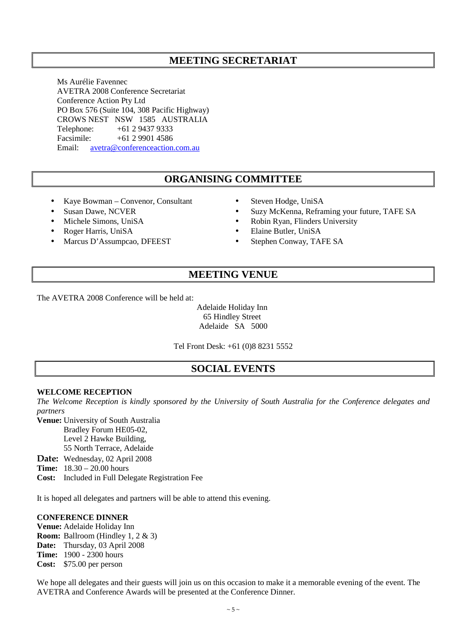# **MEETING SECRETARIAT**

Ms Aurélie Favennec AVETRA 2008 Conference Secretariat Conference Action Pty Ltd PO Box 576 (Suite 104, 308 Pacific Highway) CROWS NEST NSW 1585 AUSTRALIA Telephone: +61 2 9437 9333 Facsimile: +61 2 9901 4586 Email: avetra@conferenceaction.com.au

# **ORGANISING COMMITTEE**

- Kaye Bowman Convenor, Consultant
- Susan Dawe, NCVER
- Michele Simons, UniSA
- Roger Harris, UniSA
- Marcus D'Assumpcao, DFEEST
- Steven Hodge, UniSA
- Suzy McKenna, Reframing your future, TAFE SA
- Robin Ryan, Flinders University
- Elaine Butler, UniSA
- Stephen Conway, TAFE SA

## **MEETING VENUE**

The AVETRA 2008 Conference will be held at:

Adelaide Holiday Inn 65 Hindley Street Adelaide SA 5000

Tel Front Desk: +61 (0)8 8231 5552

## **SOCIAL EVENTS**

#### **WELCOME RECEPTION**

*The Welcome Reception is kindly sponsored by the University of South Australia for the Conference delegates and partners* 

**Venue:** University of South Australia

Bradley Forum HE05-02,

Level 2 Hawke Building,

55 North Terrace, Adelaide

Date: Wednesday, 02 April 2008

**Time:** 18.30 – 20.00 hours

**Cost:** Included in Full Delegate Registration Fee

It is hoped all delegates and partners will be able to attend this evening.

#### **CONFERENCE DINNER**

**Venue:** Adelaide Holiday Inn **Room:** Ballroom (Hindley 1, 2 & 3) **Date:** Thursday, 03 April 2008 **Time:** 1900 - 2300 hours **Cost:** \$75.00 per person

We hope all delegates and their guests will join us on this occasion to make it a memorable evening of the event. The AVETRA and Conference Awards will be presented at the Conference Dinner.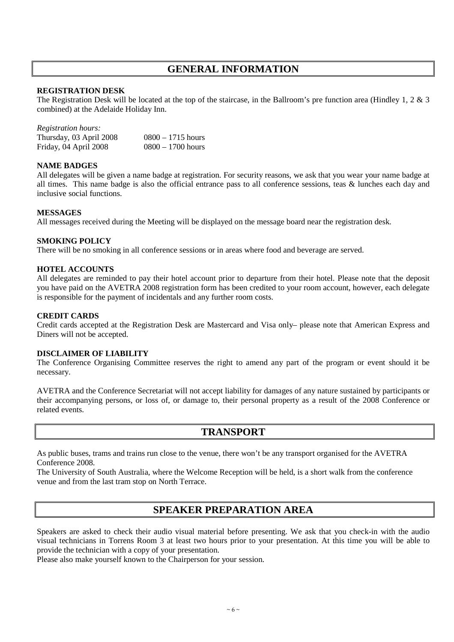# **GENERAL INFORMATION**

## **REGISTRATION DESK**

The Registration Desk will be located at the top of the staircase, in the Ballroom's pre function area (Hindley 1, 2 & 3 combined) at the Adelaide Holiday Inn.

| <i>Registration hours:</i> |                     |
|----------------------------|---------------------|
| Thursday, 03 April 2008    | $0800 - 1715$ hours |
| Friday, 04 April 2008      | $0800 - 1700$ hours |

#### **NAME BADGES**

All delegates will be given a name badge at registration. For security reasons, we ask that you wear your name badge at all times. This name badge is also the official entrance pass to all conference sessions, teas & lunches each day and inclusive social functions.

#### **MESSAGES**

All messages received during the Meeting will be displayed on the message board near the registration desk.

## **SMOKING POLICY**

There will be no smoking in all conference sessions or in areas where food and beverage are served.

#### **HOTEL ACCOUNTS**

All delegates are reminded to pay their hotel account prior to departure from their hotel. Please note that the deposit you have paid on the AVETRA 2008 registration form has been credited to your room account, however, each delegate is responsible for the payment of incidentals and any further room costs.

#### **CREDIT CARDS**

Credit cards accepted at the Registration Desk are Mastercard and Visa only– please note that American Express and Diners will not be accepted.

#### **DISCLAIMER OF LIABILITY**

The Conference Organising Committee reserves the right to amend any part of the program or event should it be necessary.

AVETRA and the Conference Secretariat will not accept liability for damages of any nature sustained by participants or their accompanying persons, or loss of, or damage to, their personal property as a result of the 2008 Conference or related events.

## **TRANSPORT**

As public buses, trams and trains run close to the venue, there won't be any transport organised for the AVETRA Conference 2008.

The University of South Australia, where the Welcome Reception will be held, is a short walk from the conference venue and from the last tram stop on North Terrace.

## **SPEAKER PREPARATION AREA**

Speakers are asked to check their audio visual material before presenting. We ask that you check-in with the audio visual technicians in Torrens Room 3 at least two hours prior to your presentation. At this time you will be able to provide the technician with a copy of your presentation.

Please also make yourself known to the Chairperson for your session.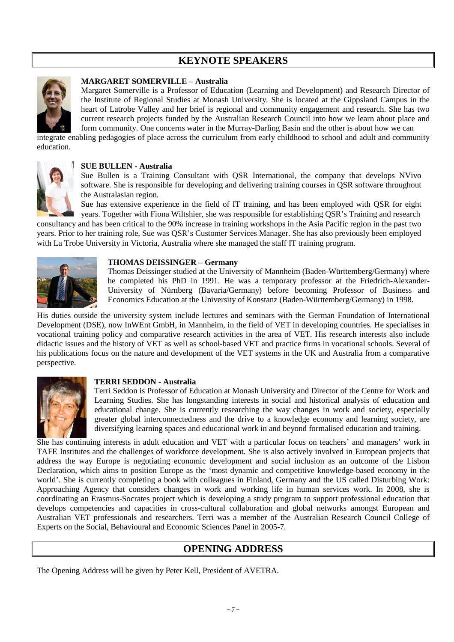# **KEYNOTE SPEAKERS**



#### **MARGARET SOMERVILLE – Australia**

Margaret Somerville is a Professor of Education (Learning and Development) and Research Director of the Institute of Regional Studies at Monash University. She is located at the Gippsland Campus in the heart of Latrobe Valley and her brief is regional and community engagement and research. She has two current research projects funded by the Australian Research Council into how we learn about place and form community. One concerns water in the Murray-Darling Basin and the other is about how we can

integrate enabling pedagogies of place across the curriculum from early childhood to school and adult and community education.



#### **SUE BULLEN - Australia**

Sue Bullen is a Training Consultant with QSR International, the company that develops NVivo software. She is responsible for developing and delivering training courses in QSR software throughout the Australasian region.

Sue has extensive experience in the field of IT training, and has been employed with QSR for eight years. Together with Fiona Wiltshier, she was responsible for establishing QSR's Training and research

consultancy and has been critical to the 90% increase in training workshops in the Asia Pacific region in the past two years. Prior to her training role, Sue was QSR's Customer Services Manager. She has also previously been employed with La Trobe University in Victoria, Australia where she managed the staff IT training program.



#### **THOMAS DEISSINGER – Germany**

Thomas Deissinger studied at the University of Mannheim (Baden-Württemberg/Germany) where he completed his PhD in 1991. He was a temporary professor at the Friedrich-Alexander-University of Nürnberg (Bavaria/Germany) before becoming Professor of Business and Economics Education at the University of Konstanz (Baden-Württemberg/Germany) in 1998.

His duties outside the university system include lectures and seminars with the German Foundation of International Development (DSE), now InWEnt GmbH, in Mannheim, in the field of VET in developing countries. He specialises in vocational training policy and comparative research activities in the area of VET. His research interests also include didactic issues and the history of VET as well as school-based VET and practice firms in vocational schools. Several of his publications focus on the nature and development of the VET systems in the UK and Australia from a comparative perspective.



#### **TERRI SEDDON - Australia**

Terri Seddon is Professor of Education at Monash University and Director of the Centre for Work and Learning Studies. She has longstanding interests in social and historical analysis of education and educational change. She is currently researching the way changes in work and society, especially greater global interconnectedness and the drive to a knowledge economy and learning society, are diversifying learning spaces and educational work in and beyond formalised education and training.

She has continuing interests in adult education and VET with a particular focus on teachers' and managers' work in TAFE Institutes and the challenges of workforce development. She is also actively involved in European projects that address the way Europe is negotiating economic development and social inclusion as an outcome of the Lisbon Declaration, which aims to position Europe as the 'most dynamic and competitive knowledge-based economy in the world'. She is currently completing a book with colleagues in Finland, Germany and the US called Disturbing Work: Approaching Agency that considers changes in work and working life in human services work. In 2008, she is coordinating an Erasmus-Socrates project which is developing a study program to support professional education that develops competencies and capacities in cross-cultural collaboration and global networks amongst European and Australian VET professionals and researchers. Terri was a member of the Australian Research Council College of Experts on the Social, Behavioural and Economic Sciences Panel in 2005-7.

## **OPENING ADDRESS**

The Opening Address will be given by Peter Kell, President of AVETRA.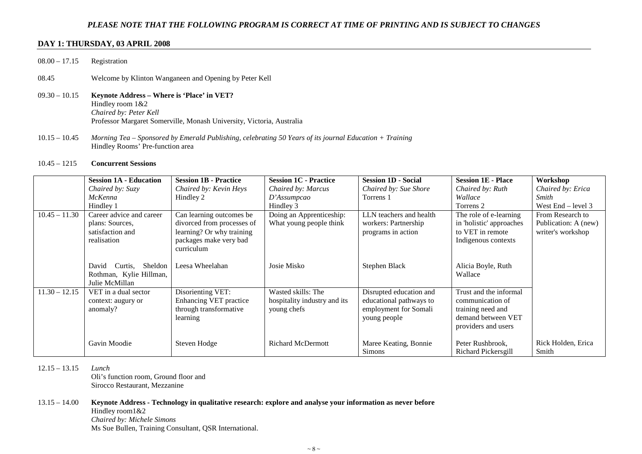#### *PLEASE NOTE THAT THE FOLLOWING PROGRAM IS CORRECT AT TIME OF PRINTING AND IS SUBJECT TO CHANGES*

#### **DAY 1: THURSDAY, 03 APRIL 2008**

- 08.00 17.15 Registration
- 08.45 Welcome by Klinton Wanganeen and Opening by Peter Kell
- 09.30 10.15 **Keynote Address Where is 'Place' in VET?**  Hindley room 1&2 *Chaired by: Peter Kell* Professor Margaret Somerville, Monash University, Victoria, Australia
- 10.15 10.45 *Morning Tea Sponsored by Emerald Publishing, celebrating 50 Years of its journal Education + Training* Hindley Rooms' Pre-function area

#### 10.45 – 1215 **Concurrent Sessions**

|                 | <b>Session 1A - Education</b> | <b>Session 1B - Practice</b> | <b>Session 1C - Practice</b> | <b>Session 1D - Social</b> | <b>Session 1E - Place</b> | Workshop             |
|-----------------|-------------------------------|------------------------------|------------------------------|----------------------------|---------------------------|----------------------|
|                 | Chaired by: Suzy              | Chaired by: Kevin Heys       | Chaired by: Marcus           | Chaired by: Sue Shore      | Chaired by: Ruth          | Chaired by: Erica    |
|                 | McKenna                       | Hindley 2                    | D'Assumpcao                  | Torrens 1                  | Wallace                   | <b>Smith</b>         |
|                 | Hindley 1                     |                              | Hindley 3                    |                            | Torrens 2                 | West $End - level 3$ |
| $10.45 - 11.30$ | Career advice and career      | Can learning outcomes be     | Doing an Apprenticeship:     | LLN teachers and health    | The role of e-learning    | From Research to     |
|                 | plans: Sources,               | divorced from processes of   | What young people think      | workers: Partnership       | in 'holistic' approaches  | Publication: A (new) |
|                 | satisfaction and              | learning? Or why training    |                              | programs in action         | to VET in remote          | writer's workshop    |
|                 | realisation                   | packages make very bad       |                              |                            | Indigenous contexts       |                      |
|                 |                               | curriculum                   |                              |                            |                           |                      |
|                 |                               |                              |                              |                            |                           |                      |
|                 | Sheldon<br>David<br>Curtis.   | Leesa Wheelahan              | Josie Misko                  | Stephen Black              | Alicia Boyle, Ruth        |                      |
|                 | Rothman, Kylie Hillman,       |                              |                              |                            | Wallace                   |                      |
|                 | Julie McMillan                |                              |                              |                            |                           |                      |
| $11.30 - 12.15$ | VET in a dual sector          | Disorienting VET:            | Wasted skills: The           | Disrupted education and    | Trust and the informal    |                      |
|                 | context: augury or            | Enhancing VET practice       | hospitality industry and its | educational pathways to    | communication of          |                      |
|                 | anomaly?                      | through transformative       | young chefs                  | employment for Somali      | training need and         |                      |
|                 |                               | learning                     |                              | young people               | demand between VET        |                      |
|                 |                               |                              |                              |                            | providers and users       |                      |
|                 |                               |                              |                              |                            |                           |                      |
|                 | Gavin Moodie                  | Steven Hodge                 | <b>Richard McDermott</b>     | Maree Keating, Bonnie      | Peter Rushbrook,          | Rick Holden, Erica   |
|                 |                               |                              |                              | Simons                     | Richard Pickersgill       | Smith                |

12.15 – 13.15 *Lunch*

 Oli's function room, Ground floor and Sirocco Restaurant, Mezzanine

#### 13.15 – 14.00 **Keynote Address - Technology in qualitative research: explore and analyse your information as never before**

 Hindley room1&2 *Chaired by: Michele Simons* Ms Sue Bullen, Training Consultant, QSR International.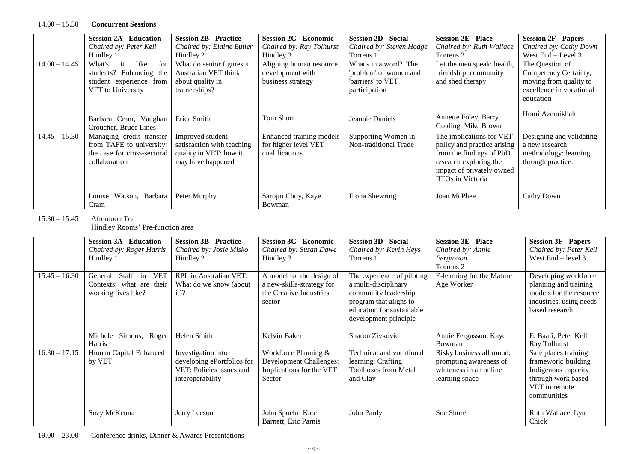|                 | <b>Session 2A - Education</b>                                                                          | <b>Session 2B - Practice</b>                                                                  | <b>Session 2C - Economic</b>                                       | <b>Session 2D - Social</b>                                                            | <b>Session 2E - Place</b>                                                                                                                                      | <b>Session 2F - Papers</b>                                                                     |
|-----------------|--------------------------------------------------------------------------------------------------------|-----------------------------------------------------------------------------------------------|--------------------------------------------------------------------|---------------------------------------------------------------------------------------|----------------------------------------------------------------------------------------------------------------------------------------------------------------|------------------------------------------------------------------------------------------------|
|                 | Chaired by: Peter Kell                                                                                 | Chaired by: Elaine Butler                                                                     | Chaired by: Ray Tolhurst                                           | Chaired by: Steven Hodge                                                              | Chaired by: Ruth Wallace                                                                                                                                       | Chaired by: Cathy Down                                                                         |
|                 | Hindley 1                                                                                              | Hindley 2                                                                                     | Hindley 3                                                          | Torrens 1                                                                             | Torrens 2                                                                                                                                                      | West End – Level 3                                                                             |
| $14.00 - 14.45$ | like<br>What's<br>for<br>it<br>students? Enhancing the<br>student experience from<br>VET to University | What do senior figures in<br>Australian VET think<br>about quality in<br>traineeships?        | Aligning human resource<br>development with<br>business strategy   | What's in a word? The<br>'problem' of women and<br>"barriers' to VET<br>participation | Let the men speak: health,<br>friendship, community<br>and shed therapy.                                                                                       | The Question of<br>Competency Certainty;<br>moving from quality to<br>excellence in vocational |
|                 |                                                                                                        |                                                                                               |                                                                    |                                                                                       |                                                                                                                                                                | education                                                                                      |
|                 | Barbara Cram, Vaughan<br>Croucher, Bruce Lines                                                         | Erica Smith                                                                                   | <b>Tom Short</b>                                                   | Jeannie Daniels                                                                       | Annette Foley, Barry<br>Golding, Mike Brown                                                                                                                    | Homi Azemikhah                                                                                 |
| $14.45 - 15.30$ | Managing credit transfer<br>from TAFE to university:<br>the case for cross-sectoral<br>collaboration   | Improved student<br>satisfaction with teaching<br>quality in VET: how it<br>may have happened | Enhanced training models<br>for higher level VET<br>qualifications | Supporting Women in<br>Non-traditional Trade                                          | The implications for VET<br>policy and practice arising<br>from the findings of PhD<br>research exploring the<br>impact of privately owned<br>RTOs in Victoria | Designing and validating<br>a new research<br>methodology: learning<br>through practice.       |
|                 | Louise Watson, Barbara<br>Cram                                                                         | Peter Murphy                                                                                  | Sarojni Choy, Kaye<br>Bowman                                       | Fiona Shewring                                                                        | Joan McPhee                                                                                                                                                    | Cathy Down                                                                                     |

15.30 – 15.45 Afternoon Tea

Hindley Rooms' Pre-function area

|                 | <b>Session 3A - Education</b>     | <b>Session 3B - Practice</b> | <b>Session 3C - Economic</b>   | <b>Session 3D - Social</b>  | <b>Session 3E - Place</b> | <b>Session 3F - Papers</b> |
|-----------------|-----------------------------------|------------------------------|--------------------------------|-----------------------------|---------------------------|----------------------------|
|                 | Chaired by: Roger Harris          | Chaired by: Josie Misko      | Chaired by: Susan Dawe         | Chaired by: Kevin Heys      | Chaired by: Annie         | Chaired by: Peter Kell     |
|                 | Hindley 1                         | Hindley 2                    | Hindley 3                      | Torrens 1                   | Fergusson                 | West $End - level 3$       |
|                 |                                   |                              |                                |                             | Torrens 2                 |                            |
| $15.45 - 16.30$ | <b>VET</b><br>Staff in<br>General | RPL in Australian VET:       | A model for the design of      | The experience of piloting  | E-learning for the Mature | Developing workforce       |
|                 | Contexts: what are their          | What do we know (about       | a new-skills-strategy for      | a multi-disciplinary        | Age Worker                | planning and training      |
|                 | working lives like?               | $it)$ ?                      | the Creative Industries        | community leadership        |                           | models for the resource    |
|                 |                                   |                              | sector                         | program that aligns to      |                           | industries, using needs-   |
|                 |                                   |                              |                                | education for sustainable   |                           | based research             |
|                 |                                   |                              |                                | development principle       |                           |                            |
|                 |                                   |                              |                                |                             |                           |                            |
|                 | Simons, Roger<br>Michele          | Helen Smith                  | Kelvin Baker                   | Sharon Zivkovic             | Annie Fergusson, Kaye     | E. Baafi, Peter Kell,      |
|                 | Harris                            |                              |                                |                             | Bowman                    | Ray Tolhurst               |
| $16.30 - 17.15$ | Human Capital Enhanced            | Investigation into           | Workforce Planning &           | Technical and vocational    | Risky business all round: | Safe places training       |
|                 | by VET                            | developing ePortfolios for   | <b>Development Challenges:</b> | learning: Crafting          | prompting awareness of    | framework: building        |
|                 |                                   | VET: Policies issues and     | Implications for the VET       | <b>Toolboxes from Metal</b> | whiteness in an online    | Indigenous capacity        |
|                 |                                   | interoperability             | Sector                         | and Clay                    | learning space            | through work based         |
|                 |                                   |                              |                                |                             |                           | VET in remote              |
|                 |                                   |                              |                                |                             |                           | communities                |
|                 |                                   |                              |                                |                             |                           |                            |
|                 | Suzy McKenna                      | Jerry Leeson                 | John Spoehr, Kate              | John Pardy                  | Sue Shore                 | Ruth Wallace, Lyn          |
|                 |                                   |                              | Barnett, Eric Parnis           |                             |                           | Chick                      |

19.00 – 23.00 Conference drinks, Dinner & Awards Presentations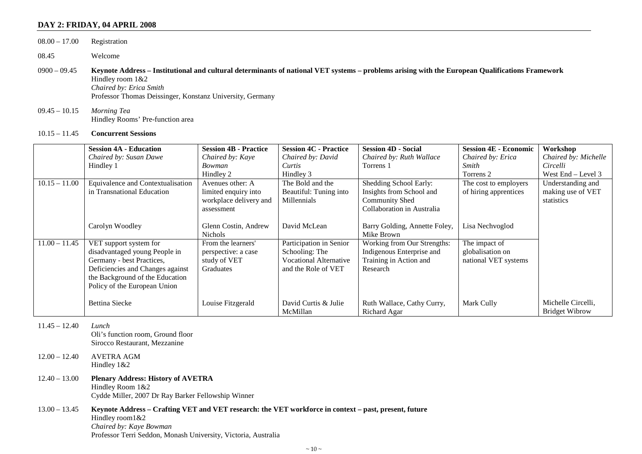#### **DAY 2: FRIDAY, 04 APRIL 2008**

| $08.00 - 17.00$ | Registration                                                                                                                                                                                                                                                  |
|-----------------|---------------------------------------------------------------------------------------------------------------------------------------------------------------------------------------------------------------------------------------------------------------|
| 08.45           | Welcome                                                                                                                                                                                                                                                       |
| $0900 - 09.45$  | Keynote Address - Institutional and cultural determinants of national VET systems - problems arising with the European Qualifications Framework<br>Hindley room $1&2$<br>Chaired by: Erica Smith<br>Professor Thomas Deissinger, Konstanz University, Germany |
| $09.45 - 10.15$ | Morning Tea<br>Hindley Rooms' Pre-function area                                                                                                                                                                                                               |

10.15 – 11.45 **Concurrent Sessions** 

|                 | <b>Session 4A - Education</b>     | <b>Session 4B - Practice</b> | <b>Session 4C - Practice</b>  | <b>Session 4D - Social</b>    | <b>Session 4E - Economic</b> | Workshop              |
|-----------------|-----------------------------------|------------------------------|-------------------------------|-------------------------------|------------------------------|-----------------------|
|                 | Chaired by: Susan Dawe            | Chaired by: Kaye             | Chaired by: David             | Chaired by: Ruth Wallace      | Chaired by: Erica            | Chaired by: Michelle  |
|                 | Hindley 1                         | Bowman                       | Curtis                        | Torrens 1                     | Smith                        | Circelli              |
|                 |                                   | Hindley 2                    | Hindley 3                     |                               | Torrens 2                    | West $End - Level 3$  |
| $10.15 - 11.00$ | Equivalence and Contextualisation | Avenues other: A             | The Bold and the              | Shedding School Early:        | The cost to employers        | Understanding and     |
|                 | in Transnational Education        | limited enquiry into         | Beautiful: Tuning into        | Insights from School and      | of hiring apprentices        | making use of VET     |
|                 |                                   | workplace delivery and       | Millennials                   | Community Shed                |                              | statistics            |
|                 |                                   | assessment                   |                               | Collaboration in Australia    |                              |                       |
|                 |                                   |                              |                               |                               |                              |                       |
|                 | Carolyn Woodley                   | Glenn Costin, Andrew         | David McLean                  | Barry Golding, Annette Foley, | Lisa Nechvoglod              |                       |
|                 |                                   | <b>Nichols</b>               |                               | Mike Brown                    |                              |                       |
| $11.00 - 11.45$ | VET support system for            | From the learners'           | Participation in Senior       | Working from Our Strengths:   | The impact of                |                       |
|                 | disadvantaged young People in     | perspective: a case          | Schooling: The                | Indigenous Enterprise and     | globalisation on             |                       |
|                 | Germany - best Practices,         | study of VET                 | <b>Vocational Alternative</b> | Training in Action and        | national VET systems         |                       |
|                 | Deficiencies and Changes against  | Graduates                    | and the Role of VET           | Research                      |                              |                       |
|                 | the Background of the Education   |                              |                               |                               |                              |                       |
|                 | Policy of the European Union      |                              |                               |                               |                              |                       |
|                 |                                   |                              |                               |                               |                              |                       |
|                 | <b>Bettina Siecke</b>             | Louise Fitzgerald            | David Curtis & Julie          | Ruth Wallace, Cathy Curry,    | Mark Cully                   | Michelle Circelli,    |
|                 |                                   |                              | McMillan                      | Richard Agar                  |                              | <b>Bridget Wibrow</b> |

11.45 – 12.40 *Lunch* 

 Oli's function room, Ground floor Sirocco Restaurant, Mezzanine

- 12.00 12.40 AVETRA AGM Hindley 1&2
- 12.40 13.00 **Plenary Address: History of AVETRA**  Hindley Room 1&2 Cydde Miller, 2007 Dr Ray Barker Fellowship Winner

#### 13.00 – 13.45 **Keynote Address – Crafting VET and VET research: the VET workforce in context – past, present, future**  Hindley room1&2 *Chaired by: Kaye Bowman* Professor Terri Seddon, Monash University, Victoria, Australia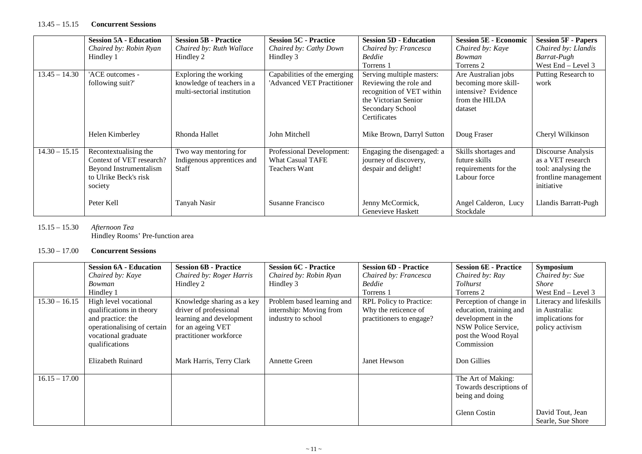#### 13.45 – 15.15 **Concurrent Sessions**

|                 | <b>Session 5A - Education</b> | <b>Session 5B - Practice</b> | <b>Session 5C - Practice</b> | <b>Session 5D - Education</b> | <b>Session 5E - Economic</b> | <b>Session 5F - Papers</b> |
|-----------------|-------------------------------|------------------------------|------------------------------|-------------------------------|------------------------------|----------------------------|
|                 | Chaired by: Robin Ryan        | Chaired by: Ruth Wallace     | Chaired by: Cathy Down       | Chaired by: Francesca         | Chaired by: Kaye             | Chaired by: Llandis        |
|                 | Hindley 1                     | Hindley 2                    | Hindley 3                    | <b>Beddie</b>                 | Bowman                       | Barrat-Pugh                |
|                 |                               |                              |                              | Torrens 1                     | Torrens 2                    | West End - Level 3         |
| $13.45 - 14.30$ | 'ACE outcomes -               | Exploring the working        | Capabilities of the emerging | Serving multiple masters:     | Are Australian jobs          | Putting Research to        |
|                 | following suit?'              | knowledge of teachers in a   | 'Advanced VET Practitioner   | Reviewing the role and        | becoming more skill-         | work                       |
|                 |                               | multi-sectorial institution  |                              | recognition of VET within     | intensive? Evidence          |                            |
|                 |                               |                              |                              | the Victorian Senior          | from the HILDA               |                            |
|                 |                               |                              |                              | Secondary School              | dataset                      |                            |
|                 |                               |                              |                              | Certificates                  |                              |                            |
|                 |                               |                              |                              |                               |                              |                            |
|                 | Helen Kimberley               | Rhonda Hallet                | John Mitchell                | Mike Brown, Darryl Sutton     | Doug Fraser                  | Cheryl Wilkinson           |
|                 |                               |                              |                              |                               |                              |                            |
| $14.30 - 15.15$ | Recontextualising the         | Two way mentoring for        | Professional Development:    | Engaging the disengaged: a    | Skills shortages and         | Discourse Analysis         |
|                 | Context of VET research?      | Indigenous apprentices and   | <b>What Casual TAFE</b>      | journey of discovery,         | future skills                | as a VET research          |
|                 | Beyond Instrumentalism        | <b>Staff</b>                 | Teachers Want                | despair and delight!          | requirements for the         | tool: analysing the        |
|                 | to Ulrike Beck's risk         |                              |                              |                               | Labour force                 | frontline management       |
|                 | society                       |                              |                              |                               |                              | initiative                 |
|                 |                               |                              |                              |                               |                              |                            |
|                 | Peter Kell                    | Tanyah Nasir                 | Susanne Francisco            | Jenny McCormick,              | Angel Calderon, Lucy         | Llandis Barratt-Pugh       |
|                 |                               |                              |                              | Genevieve Haskett             | Stockdale                    |                            |

## 15.15 – 15.30 *Afternoon Tea*

Hindley Rooms' Pre-function area

#### 15.30 – 17.00 **Concurrent Sessions**

|                 | <b>Session 6A - Education</b> | <b>Session 6B - Practice</b> | <b>Session 6C - Practice</b> | <b>Session 6D - Practice</b> | <b>Session 6E - Practice</b> | <b>Symposium</b>        |
|-----------------|-------------------------------|------------------------------|------------------------------|------------------------------|------------------------------|-------------------------|
|                 | Chaired by: Kaye              | Chaired by: Roger Harris     | Chaired by: Robin Ryan       | Chaired by: Francesca        | Chaired by: Ray              | Chaired by: Sue         |
|                 | <i>Bowman</i>                 | Hindley 2                    | Hindley 3                    | <b>Beddie</b>                | <b>Tolhurst</b>              | <i>Shore</i>            |
|                 | Hindley 1                     |                              |                              | Torrens 1                    | Torrens 2                    | West $End - Level 3$    |
| $15.30 - 16.15$ | High level vocational         | Knowledge sharing as a key   | Problem based learning and   | RPL Policy to Practice:      | Perception of change in      | Literacy and lifeskills |
|                 | qualifications in theory      | driver of professional       | internship: Moving from      | Why the reticence of         | education, training and      | in Australia:           |
|                 | and practice: the             | learning and development     | industry to school           | practitioners to engage?     | development in the           | implications for        |
|                 | operationalising of certain   | for an ageing VET            |                              |                              | NSW Police Service,          | policy activism         |
|                 | vocational graduate           | practitioner workforce       |                              |                              | post the Wood Royal          |                         |
|                 | qualifications                |                              |                              |                              | Commission                   |                         |
|                 |                               |                              |                              |                              |                              |                         |
|                 | Elizabeth Ruinard             | Mark Harris, Terry Clark     | <b>Annette Green</b>         | Janet Hewson                 | Don Gillies                  |                         |
|                 |                               |                              |                              |                              |                              |                         |
| $16.15 - 17.00$ |                               |                              |                              |                              | The Art of Making:           |                         |
|                 |                               |                              |                              |                              | Towards descriptions of      |                         |
|                 |                               |                              |                              |                              | being and doing              |                         |
|                 |                               |                              |                              |                              |                              |                         |
|                 |                               |                              |                              |                              | Glenn Costin                 | David Tout, Jean        |
|                 |                               |                              |                              |                              |                              | Searle, Sue Shore       |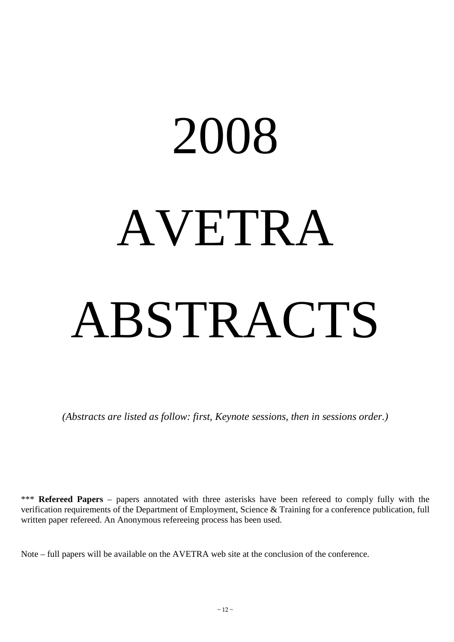# 2008 AVETRA ABSTRACTS

*(Abstracts are listed as follow: first, Keynote sessions, then in sessions order.)* 

\*\*\* **Refereed Papers** – papers annotated with three asterisks have been refereed to comply fully with the verification requirements of the Department of Employment, Science & Training for a conference publication, full written paper refereed. An Anonymous refereeing process has been used.

Note – full papers will be available on the AVETRA web site at the conclusion of the conference.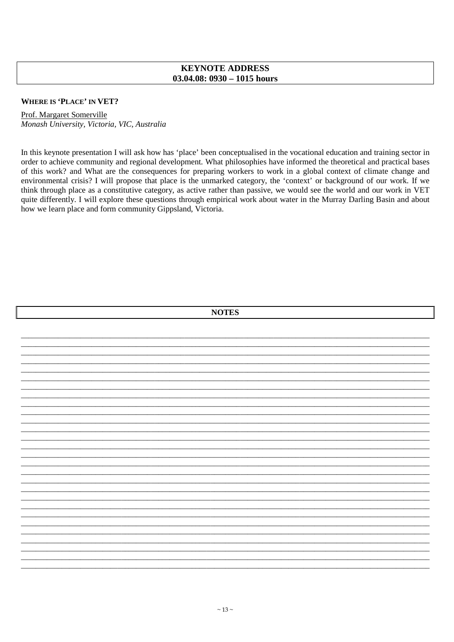## **KEYNOTE ADDRESS**  $03.04.08:0930 - 1015$  hours

#### **WHERE IS 'PLACE' IN VET?**

Prof. Margaret Somerville Monash University, Victoria, VIC, Australia

In this keynote presentation I will ask how has 'place' been conceptualised in the vocational education and training sector in order to achieve community and regional development. What philosophies have informed the theoretical and practical bases of this work? and What are the consequences for preparing workers to work in a global context of climate change and environmental crisis? I will propose that place is the unmarked category, the 'context' or background of our work. If we think through place as a constitutive category, as active rather than passive, we would see the world and our work in VET quite differently. I will explore these questions through empirical work about water in the Murray Darling Basin and about how we learn place and form community Gippsland, Victoria.

| <b>NOTES</b> |  |  |  |
|--------------|--|--|--|
|              |  |  |  |
|              |  |  |  |
|              |  |  |  |
|              |  |  |  |
|              |  |  |  |
|              |  |  |  |
|              |  |  |  |
|              |  |  |  |
|              |  |  |  |
|              |  |  |  |
|              |  |  |  |
|              |  |  |  |
|              |  |  |  |
|              |  |  |  |
|              |  |  |  |
|              |  |  |  |
|              |  |  |  |
|              |  |  |  |
|              |  |  |  |
|              |  |  |  |
|              |  |  |  |
|              |  |  |  |
|              |  |  |  |
|              |  |  |  |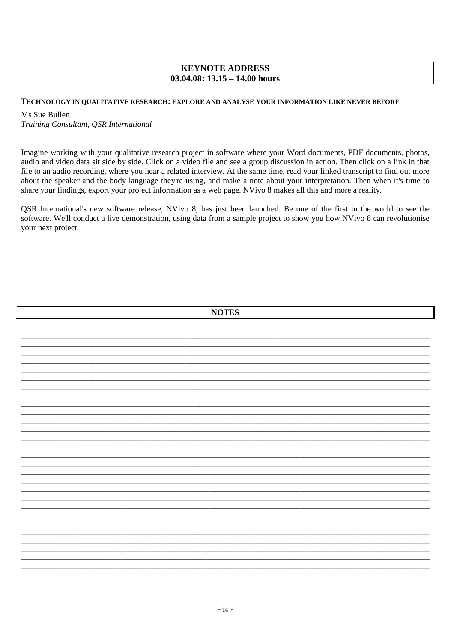## **KEYNOTE ADDRESS** 03.04.08:  $13.15 - 14.00$  hours

#### TECHNOLOGY IN QUALITATIVE RESEARCH: EXPLORE AND ANALYSE YOUR INFORMATION LIKE NEVER BEFORE

#### Ms Sue Bullen

Training Consultant, OSR International

Imagine working with your qualitative research project in software where your Word documents, PDF documents, photos, audio and video data sit side by side. Click on a video file and see a group discussion in action. Then click on a link in that file to an audio recording, where you hear a related interview. At the same time, read your linked transcript to find out more about the speaker and the body language they're using, and make a note about your interpretation. Then when it's time to share your findings, export your project information as a web page. NVivo 8 makes all this and more a reality.

QSR International's new software release, NVivo 8, has just been launched. Be one of the first in the world to see the software. We'll conduct a live demonstration, using data from a sample project to show you how NVivo 8 can revolutionise your next project.

| <b>NOTES</b> |  |  |  |  |
|--------------|--|--|--|--|
|              |  |  |  |  |
|              |  |  |  |  |
|              |  |  |  |  |
|              |  |  |  |  |
|              |  |  |  |  |
|              |  |  |  |  |
|              |  |  |  |  |
|              |  |  |  |  |
|              |  |  |  |  |
|              |  |  |  |  |
|              |  |  |  |  |
|              |  |  |  |  |
|              |  |  |  |  |
|              |  |  |  |  |
|              |  |  |  |  |
|              |  |  |  |  |
|              |  |  |  |  |
|              |  |  |  |  |
|              |  |  |  |  |
|              |  |  |  |  |
|              |  |  |  |  |
|              |  |  |  |  |
|              |  |  |  |  |
|              |  |  |  |  |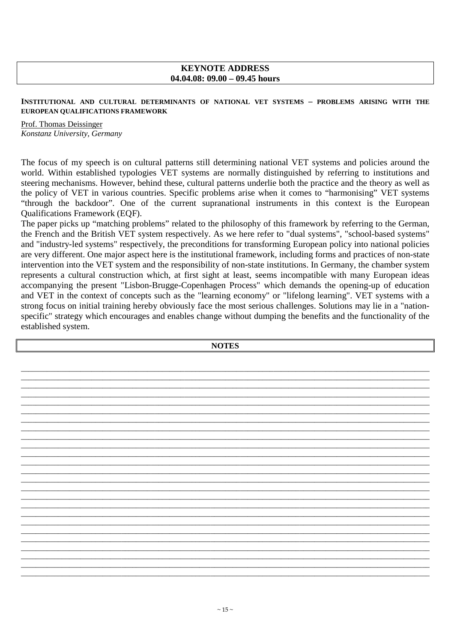## **KEYNOTE ADDRESS 04.04.08: 09.00 – 09.45 hours**

## **INSTITUTIONAL AND CULTURAL DETERMINANTS OF NATIONAL VET SYSTEMS – PROBLEMS ARISING WITH THE EUROPEAN QUALIFICATIONS FRAMEWORK**

Prof. Thomas Deissinger *Konstanz University, Germany* 

The focus of my speech is on cultural patterns still determining national VET systems and policies around the world. Within established typologies VET systems are normally distinguished by referring to institutions and steering mechanisms. However, behind these, cultural patterns underlie both the practice and the theory as well as the policy of VET in various countries. Specific problems arise when it comes to "harmonising" VET systems "through the backdoor". One of the current supranational instruments in this context is the European Qualifications Framework (EQF).

The paper picks up "matching problems" related to the philosophy of this framework by referring to the German, the French and the British VET system respectively. As we here refer to "dual systems", "school-based systems" and "industry-led systems" respectively, the preconditions for transforming European policy into national policies are very different. One major aspect here is the institutional framework, including forms and practices of non-state intervention into the VET system and the responsibility of non-state institutions. In Germany, the chamber system represents a cultural construction which, at first sight at least, seems incompatible with many European ideas accompanying the present "Lisbon-Brugge-Copenhagen Process" which demands the opening-up of education and VET in the context of concepts such as the "learning economy" or "lifelong learning". VET systems with a strong focus on initial training hereby obviously face the most serious challenges. Solutions may lie in a "nationspecific" strategy which encourages and enables change without dumping the benefits and the functionality of the established system.

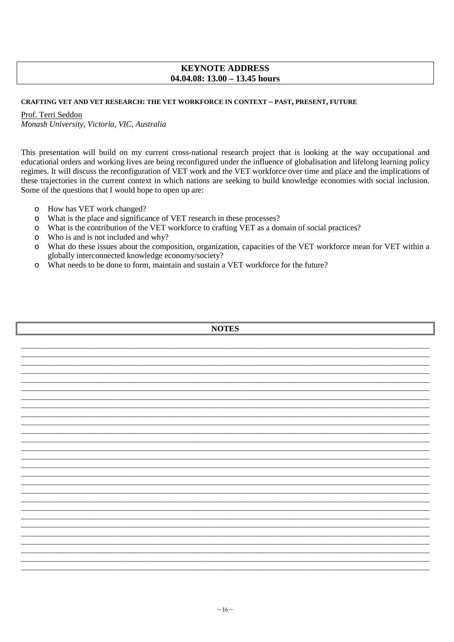## **KEYNOTE ADDRESS** 04.04.08:  $13.00 - 13.45$  hours

#### CRAFTING VET AND VET RESEARCH: THE VET WORKFORCE IN CONTEXT - PAST, PRESENT, FUTURE

#### Prof. Terri Seddon

Monash University, Victoria, VIC, Australia

This presentation will build on my current cross-national research project that is looking at the way occupational and educational orders and working lives are being reconfigured under the influence of globalisation and lifelong learning policy regimes. It will discuss the reconfiguration of VET work and the VET workforce over time and place and the implications of these trajectories in the current context in which nations are seeking to build knowledge economies with social inclusion. Some of the questions that I would hope to open up are:

- How has VET work changed?  $\circ$
- What is the place and significance of VET research in these processes?  $\circ$
- What is the contribution of the VET workforce to crafting VET as a domain of social practices?  $\circ$
- Who is and is not included and why?  $\Omega$
- What do these issues about the composition, organization, capacities of the VET workforce mean for VET within a  $\circ$ globally interconnected knowledge economy/society?
- What needs to be done to form, maintain and sustain a VET workforce for the future?  $\circ$

| <b>NOTES</b> |  |  |  |
|--------------|--|--|--|
|              |  |  |  |
|              |  |  |  |
|              |  |  |  |
|              |  |  |  |
|              |  |  |  |
|              |  |  |  |
|              |  |  |  |
|              |  |  |  |
|              |  |  |  |
|              |  |  |  |
|              |  |  |  |
|              |  |  |  |
|              |  |  |  |
|              |  |  |  |
|              |  |  |  |
|              |  |  |  |
|              |  |  |  |
|              |  |  |  |
|              |  |  |  |
|              |  |  |  |
|              |  |  |  |
|              |  |  |  |
|              |  |  |  |
|              |  |  |  |
|              |  |  |  |
|              |  |  |  |
|              |  |  |  |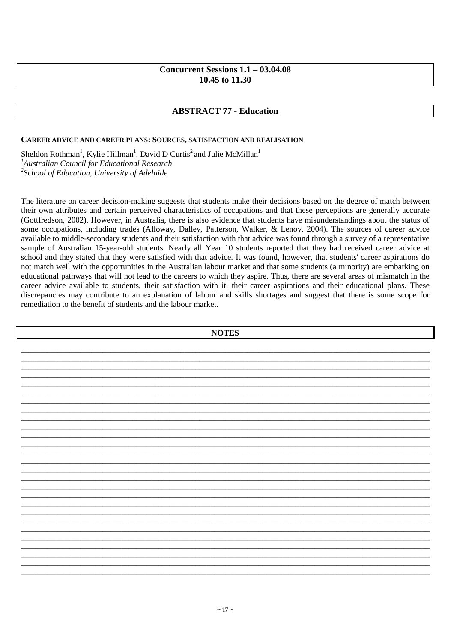## **Concurrent Sessions 1.1 – 03.04.08 10.45 to 11.30**

## **ABSTRACT 77 - Education**

### **CAREER ADVICE AND CAREER PLANS: SOURCES, SATISFACTION AND REALISATION**

Sheldon Rothman<sup>1</sup>, Kylie Hillman<sup>1</sup>, David D Curtis<sup>2</sup> and Julie McMillan<sup>1</sup>

*<sup>1</sup>Australian Council for Educational Research* 

*2 School of Education, University of Adelaide* 

The literature on career decision-making suggests that students make their decisions based on the degree of match between their own attributes and certain perceived characteristics of occupations and that these perceptions are generally accurate (Gottfredson, 2002). However, in Australia, there is also evidence that students have misunderstandings about the status of some occupations, including trades (Alloway, Dalley, Patterson, Walker, & Lenoy, 2004). The sources of career advice available to middle-secondary students and their satisfaction with that advice was found through a survey of a representative sample of Australian 15-year-old students. Nearly all Year 10 students reported that they had received career advice at school and they stated that they were satisfied with that advice. It was found, however, that students' career aspirations do not match well with the opportunities in the Australian labour market and that some students (a minority) are embarking on educational pathways that will not lead to the careers to which they aspire. Thus, there are several areas of mismatch in the career advice available to students, their satisfaction with it, their career aspirations and their educational plans. These discrepancies may contribute to an explanation of labour and skills shortages and suggest that there is some scope for remediation to the benefit of students and the labour market.

**NOTES**  \_\_\_\_\_\_\_\_\_\_\_\_\_\_\_\_\_\_\_\_\_\_\_\_\_\_\_\_\_\_\_\_\_\_\_\_\_\_\_\_\_\_\_\_\_\_\_\_\_\_\_\_\_\_\_\_\_\_\_\_\_\_\_\_\_\_\_\_\_\_\_\_\_\_\_\_\_\_\_\_\_\_\_\_\_\_\_\_\_\_\_\_\_\_\_\_\_\_\_\_\_\_\_\_\_\_\_\_\_\_ \_\_\_\_\_\_\_\_\_\_\_\_\_\_\_\_\_\_\_\_\_\_\_\_\_\_\_\_\_\_\_\_\_\_\_\_\_\_\_\_\_\_\_\_\_\_\_\_\_\_\_\_\_\_\_\_\_\_\_\_\_\_\_\_\_\_\_\_\_\_\_\_\_\_\_\_\_\_\_\_\_\_\_\_\_\_\_\_\_\_\_\_\_\_\_\_\_\_\_\_\_\_\_\_\_\_\_\_\_\_ \_\_\_\_\_\_\_\_\_\_\_\_\_\_\_\_\_\_\_\_\_\_\_\_\_\_\_\_\_\_\_\_\_\_\_\_\_\_\_\_\_\_\_\_\_\_\_\_\_\_\_\_\_\_\_\_\_\_\_\_\_\_\_\_\_\_\_\_\_\_\_\_\_\_\_\_\_\_\_\_\_\_\_\_\_\_\_\_\_\_\_\_\_\_\_\_\_\_\_\_\_\_\_\_\_\_\_\_\_\_ \_\_\_\_\_\_\_\_\_\_\_\_\_\_\_\_\_\_\_\_\_\_\_\_\_\_\_\_\_\_\_\_\_\_\_\_\_\_\_\_\_\_\_\_\_\_\_\_\_\_\_\_\_\_\_\_\_\_\_\_\_\_\_\_\_\_\_\_\_\_\_\_\_\_\_\_\_\_\_\_\_\_\_\_\_\_\_\_\_\_\_\_\_\_\_\_\_\_\_\_\_\_\_\_\_\_\_\_\_\_ \_\_\_\_\_\_\_\_\_\_\_\_\_\_\_\_\_\_\_\_\_\_\_\_\_\_\_\_\_\_\_\_\_\_\_\_\_\_\_\_\_\_\_\_\_\_\_\_\_\_\_\_\_\_\_\_\_\_\_\_\_\_\_\_\_\_\_\_\_\_\_\_\_\_\_\_\_\_\_\_\_\_\_\_\_\_\_\_\_\_\_\_\_\_\_\_\_\_\_\_\_\_\_\_\_\_\_\_\_\_ \_\_\_\_\_\_\_\_\_\_\_\_\_\_\_\_\_\_\_\_\_\_\_\_\_\_\_\_\_\_\_\_\_\_\_\_\_\_\_\_\_\_\_\_\_\_\_\_\_\_\_\_\_\_\_\_\_\_\_\_\_\_\_\_\_\_\_\_\_\_\_\_\_\_\_\_\_\_\_\_\_\_\_\_\_\_\_\_\_\_\_\_\_\_\_\_\_\_\_\_\_\_\_\_\_\_\_\_\_\_ \_\_\_\_\_\_\_\_\_\_\_\_\_\_\_\_\_\_\_\_\_\_\_\_\_\_\_\_\_\_\_\_\_\_\_\_\_\_\_\_\_\_\_\_\_\_\_\_\_\_\_\_\_\_\_\_\_\_\_\_\_\_\_\_\_\_\_\_\_\_\_\_\_\_\_\_\_\_\_\_\_\_\_\_\_\_\_\_\_\_\_\_\_\_\_\_\_\_\_\_\_\_\_\_\_\_\_\_\_\_ \_\_\_\_\_\_\_\_\_\_\_\_\_\_\_\_\_\_\_\_\_\_\_\_\_\_\_\_\_\_\_\_\_\_\_\_\_\_\_\_\_\_\_\_\_\_\_\_\_\_\_\_\_\_\_\_\_\_\_\_\_\_\_\_\_\_\_\_\_\_\_\_\_\_\_\_\_\_\_\_\_\_\_\_\_\_\_\_\_\_\_\_\_\_\_\_\_\_\_\_\_\_\_\_\_\_\_\_\_\_ \_\_\_\_\_\_\_\_\_\_\_\_\_\_\_\_\_\_\_\_\_\_\_\_\_\_\_\_\_\_\_\_\_\_\_\_\_\_\_\_\_\_\_\_\_\_\_\_\_\_\_\_\_\_\_\_\_\_\_\_\_\_\_\_\_\_\_\_\_\_\_\_\_\_\_\_\_\_\_\_\_\_\_\_\_\_\_\_\_\_\_\_\_\_\_\_\_\_\_\_\_\_\_\_\_\_\_\_\_\_ \_\_\_\_\_\_\_\_\_\_\_\_\_\_\_\_\_\_\_\_\_\_\_\_\_\_\_\_\_\_\_\_\_\_\_\_\_\_\_\_\_\_\_\_\_\_\_\_\_\_\_\_\_\_\_\_\_\_\_\_\_\_\_\_\_\_\_\_\_\_\_\_\_\_\_\_\_\_\_\_\_\_\_\_\_\_\_\_\_\_\_\_\_\_\_\_\_\_\_\_\_\_\_\_\_\_\_\_\_\_ \_\_\_\_\_\_\_\_\_\_\_\_\_\_\_\_\_\_\_\_\_\_\_\_\_\_\_\_\_\_\_\_\_\_\_\_\_\_\_\_\_\_\_\_\_\_\_\_\_\_\_\_\_\_\_\_\_\_\_\_\_\_\_\_\_\_\_\_\_\_\_\_\_\_\_\_\_\_\_\_\_\_\_\_\_\_\_\_\_\_\_\_\_\_\_\_\_\_\_\_\_\_\_\_\_\_\_\_\_\_ \_\_\_\_\_\_\_\_\_\_\_\_\_\_\_\_\_\_\_\_\_\_\_\_\_\_\_\_\_\_\_\_\_\_\_\_\_\_\_\_\_\_\_\_\_\_\_\_\_\_\_\_\_\_\_\_\_\_\_\_\_\_\_\_\_\_\_\_\_\_\_\_\_\_\_\_\_\_\_\_\_\_\_\_\_\_\_\_\_\_\_\_\_\_\_\_\_\_\_\_\_\_\_\_\_\_\_\_\_\_ \_\_\_\_\_\_\_\_\_\_\_\_\_\_\_\_\_\_\_\_\_\_\_\_\_\_\_\_\_\_\_\_\_\_\_\_\_\_\_\_\_\_\_\_\_\_\_\_\_\_\_\_\_\_\_\_\_\_\_\_\_\_\_\_\_\_\_\_\_\_\_\_\_\_\_\_\_\_\_\_\_\_\_\_\_\_\_\_\_\_\_\_\_\_\_\_\_\_\_\_\_\_\_\_\_\_\_\_\_\_ \_\_\_\_\_\_\_\_\_\_\_\_\_\_\_\_\_\_\_\_\_\_\_\_\_\_\_\_\_\_\_\_\_\_\_\_\_\_\_\_\_\_\_\_\_\_\_\_\_\_\_\_\_\_\_\_\_\_\_\_\_\_\_\_\_\_\_\_\_\_\_\_\_\_\_\_\_\_\_\_\_\_\_\_\_\_\_\_\_\_\_\_\_\_\_\_\_\_\_\_\_\_\_\_\_\_\_\_\_\_ \_\_\_\_\_\_\_\_\_\_\_\_\_\_\_\_\_\_\_\_\_\_\_\_\_\_\_\_\_\_\_\_\_\_\_\_\_\_\_\_\_\_\_\_\_\_\_\_\_\_\_\_\_\_\_\_\_\_\_\_\_\_\_\_\_\_\_\_\_\_\_\_\_\_\_\_\_\_\_\_\_\_\_\_\_\_\_\_\_\_\_\_\_\_\_\_\_\_\_\_\_\_\_\_\_\_\_\_\_\_ \_\_\_\_\_\_\_\_\_\_\_\_\_\_\_\_\_\_\_\_\_\_\_\_\_\_\_\_\_\_\_\_\_\_\_\_\_\_\_\_\_\_\_\_\_\_\_\_\_\_\_\_\_\_\_\_\_\_\_\_\_\_\_\_\_\_\_\_\_\_\_\_\_\_\_\_\_\_\_\_\_\_\_\_\_\_\_\_\_\_\_\_\_\_\_\_\_\_\_\_\_\_\_\_\_\_\_\_\_\_ \_\_\_\_\_\_\_\_\_\_\_\_\_\_\_\_\_\_\_\_\_\_\_\_\_\_\_\_\_\_\_\_\_\_\_\_\_\_\_\_\_\_\_\_\_\_\_\_\_\_\_\_\_\_\_\_\_\_\_\_\_\_\_\_\_\_\_\_\_\_\_\_\_\_\_\_\_\_\_\_\_\_\_\_\_\_\_\_\_\_\_\_\_\_\_\_\_\_\_\_\_\_\_\_\_\_\_\_\_\_ \_\_\_\_\_\_\_\_\_\_\_\_\_\_\_\_\_\_\_\_\_\_\_\_\_\_\_\_\_\_\_\_\_\_\_\_\_\_\_\_\_\_\_\_\_\_\_\_\_\_\_\_\_\_\_\_\_\_\_\_\_\_\_\_\_\_\_\_\_\_\_\_\_\_\_\_\_\_\_\_\_\_\_\_\_\_\_\_\_\_\_\_\_\_\_\_\_\_\_\_\_\_\_\_\_\_\_\_\_\_ \_\_\_\_\_\_\_\_\_\_\_\_\_\_\_\_\_\_\_\_\_\_\_\_\_\_\_\_\_\_\_\_\_\_\_\_\_\_\_\_\_\_\_\_\_\_\_\_\_\_\_\_\_\_\_\_\_\_\_\_\_\_\_\_\_\_\_\_\_\_\_\_\_\_\_\_\_\_\_\_\_\_\_\_\_\_\_\_\_\_\_\_\_\_\_\_\_\_\_\_\_\_\_\_\_\_\_\_\_\_ \_\_\_\_\_\_\_\_\_\_\_\_\_\_\_\_\_\_\_\_\_\_\_\_\_\_\_\_\_\_\_\_\_\_\_\_\_\_\_\_\_\_\_\_\_\_\_\_\_\_\_\_\_\_\_\_\_\_\_\_\_\_\_\_\_\_\_\_\_\_\_\_\_\_\_\_\_\_\_\_\_\_\_\_\_\_\_\_\_\_\_\_\_\_\_\_\_\_\_\_\_\_\_\_\_\_\_\_\_\_ \_\_\_\_\_\_\_\_\_\_\_\_\_\_\_\_\_\_\_\_\_\_\_\_\_\_\_\_\_\_\_\_\_\_\_\_\_\_\_\_\_\_\_\_\_\_\_\_\_\_\_\_\_\_\_\_\_\_\_\_\_\_\_\_\_\_\_\_\_\_\_\_\_\_\_\_\_\_\_\_\_\_\_\_\_\_\_\_\_\_\_\_\_\_\_\_\_\_\_\_\_\_\_\_\_\_\_\_\_\_ \_\_\_\_\_\_\_\_\_\_\_\_\_\_\_\_\_\_\_\_\_\_\_\_\_\_\_\_\_\_\_\_\_\_\_\_\_\_\_\_\_\_\_\_\_\_\_\_\_\_\_\_\_\_\_\_\_\_\_\_\_\_\_\_\_\_\_\_\_\_\_\_\_\_\_\_\_\_\_\_\_\_\_\_\_\_\_\_\_\_\_\_\_\_\_\_\_\_\_\_\_\_\_\_\_\_\_\_\_\_ \_\_\_\_\_\_\_\_\_\_\_\_\_\_\_\_\_\_\_\_\_\_\_\_\_\_\_\_\_\_\_\_\_\_\_\_\_\_\_\_\_\_\_\_\_\_\_\_\_\_\_\_\_\_\_\_\_\_\_\_\_\_\_\_\_\_\_\_\_\_\_\_\_\_\_\_\_\_\_\_\_\_\_\_\_\_\_\_\_\_\_\_\_\_\_\_\_\_\_\_\_\_\_\_\_\_\_\_\_\_ \_\_\_\_\_\_\_\_\_\_\_\_\_\_\_\_\_\_\_\_\_\_\_\_\_\_\_\_\_\_\_\_\_\_\_\_\_\_\_\_\_\_\_\_\_\_\_\_\_\_\_\_\_\_\_\_\_\_\_\_\_\_\_\_\_\_\_\_\_\_\_\_\_\_\_\_\_\_\_\_\_\_\_\_\_\_\_\_\_\_\_\_\_\_\_\_\_\_\_\_\_\_\_\_\_\_\_\_\_\_ \_\_\_\_\_\_\_\_\_\_\_\_\_\_\_\_\_\_\_\_\_\_\_\_\_\_\_\_\_\_\_\_\_\_\_\_\_\_\_\_\_\_\_\_\_\_\_\_\_\_\_\_\_\_\_\_\_\_\_\_\_\_\_\_\_\_\_\_\_\_\_\_\_\_\_\_\_\_\_\_\_\_\_\_\_\_\_\_\_\_\_\_\_\_\_\_\_\_\_\_\_\_\_\_\_\_\_\_\_\_ \_\_\_\_\_\_\_\_\_\_\_\_\_\_\_\_\_\_\_\_\_\_\_\_\_\_\_\_\_\_\_\_\_\_\_\_\_\_\_\_\_\_\_\_\_\_\_\_\_\_\_\_\_\_\_\_\_\_\_\_\_\_\_\_\_\_\_\_\_\_\_\_\_\_\_\_\_\_\_\_\_\_\_\_\_\_\_\_\_\_\_\_\_\_\_\_\_\_\_\_\_\_\_\_\_\_\_\_\_\_ \_\_\_\_\_\_\_\_\_\_\_\_\_\_\_\_\_\_\_\_\_\_\_\_\_\_\_\_\_\_\_\_\_\_\_\_\_\_\_\_\_\_\_\_\_\_\_\_\_\_\_\_\_\_\_\_\_\_\_\_\_\_\_\_\_\_\_\_\_\_\_\_\_\_\_\_\_\_\_\_\_\_\_\_\_\_\_\_\_\_\_\_\_\_\_\_\_\_\_\_\_\_\_\_\_\_\_\_\_\_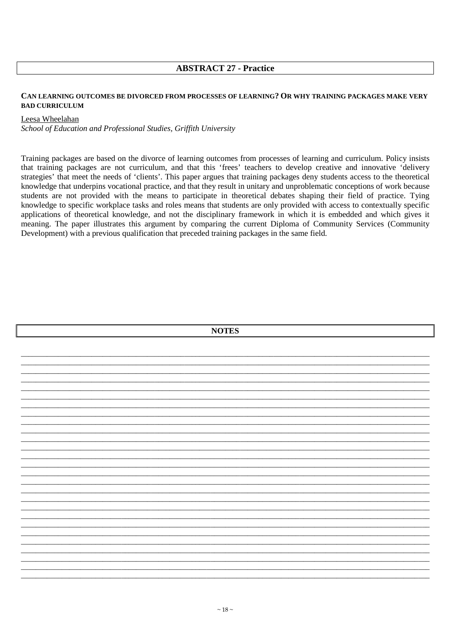## **ABSTRACT 27 - Practice**

#### CAN LEARNING OUTCOMES BE DIVORCED FROM PROCESSES OF LEARNING? OR WHY TRAINING PACKAGES MAKE VERY **BAD CURRICULUM**

#### Leesa Wheelahan

School of Education and Professional Studies, Griffith University

Training packages are based on the divorce of learning outcomes from processes of learning and curriculum. Policy insists that training packages are not curriculum, and that this 'frees' teachers to develop creative and innovative 'delivery strategies' that meet the needs of 'clients'. This paper argues that training packages deny students access to the theoretical knowledge that underpins vocational practice, and that they result in unitary and unproblematic conceptions of work because students are not provided with the means to participate in theoretical debates shaping their field of practice. Tying knowledge to specific workplace tasks and roles means that students are only provided with access to contextually specific applications of theoretical knowledge, and not the disciplinary framework in which it is embedded and which gives it meaning. The paper illustrates this argument by comparing the current Diploma of Community Services (Community Development) with a previous qualification that preceded training packages in the same field.

| <b>NOTES</b> |  |
|--------------|--|
|              |  |
|              |  |
|              |  |
|              |  |
|              |  |
|              |  |
|              |  |
|              |  |
|              |  |
|              |  |
|              |  |
|              |  |
|              |  |
|              |  |
|              |  |
|              |  |
|              |  |
|              |  |
|              |  |
|              |  |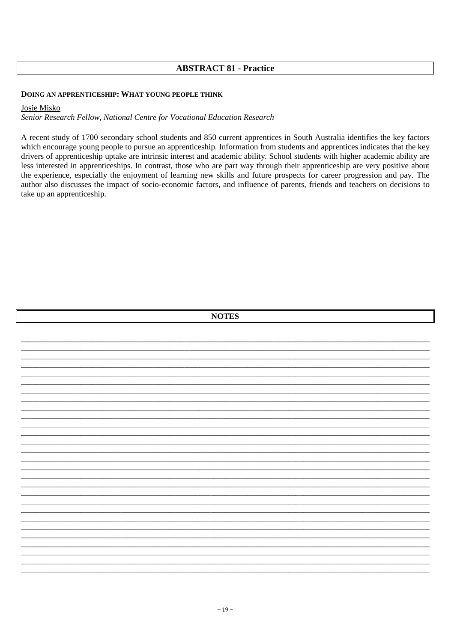## **ABSTRACT 81 - Practice**

#### DOING AN APPRENTICESHIP: WHAT YOUNG PEOPLE THINK

#### Josie Misko

Senior Research Fellow, National Centre for Vocational Education Research

A recent study of 1700 secondary school students and 850 current apprentices in South Australia identifies the key factors which encourage young people to pursue an apprenticeship. Information from students and apprentices indicates that the key drivers of apprenticeship uptake are intrinsic interest and academic ability. School students with higher academic ability are less interested in apprenticeships. In contrast, those who are part way through their apprenticeship are very positive about the experience, especially the enjoyment of learning new skills and future prospects for career progression and pay. The author also discusses the impact of socio-economic factors, and influence of parents, friends and teachers on decisions to take up an apprenticeship.

|  | <b>NOTES</b> |  |
|--|--------------|--|
|  |              |  |
|  |              |  |
|  |              |  |
|  |              |  |
|  |              |  |
|  |              |  |
|  |              |  |
|  |              |  |
|  |              |  |
|  |              |  |
|  |              |  |
|  |              |  |
|  |              |  |
|  |              |  |
|  |              |  |
|  |              |  |
|  |              |  |
|  |              |  |
|  |              |  |
|  |              |  |
|  |              |  |
|  |              |  |
|  |              |  |
|  |              |  |
|  |              |  |
|  |              |  |
|  |              |  |
|  |              |  |
|  |              |  |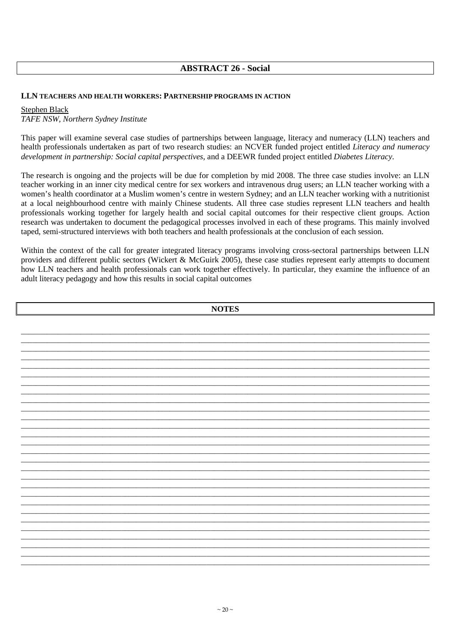## **ABSTRACT 26 - Social**

#### **LLN TEACHERS AND HEALTH WORKERS: PARTNERSHIP PROGRAMS IN ACTION**

Stephen Black

*TAFE NSW, Northern Sydney Institute*

This paper will examine several case studies of partnerships between language, literacy and numeracy (LLN) teachers and health professionals undertaken as part of two research studies: an NCVER funded project entitled *Literacy and numeracy development in partnership: Social capital perspectives*, and a DEEWR funded project entitled *Diabetes Literacy*.

The research is ongoing and the projects will be due for completion by mid 2008. The three case studies involve: an LLN teacher working in an inner city medical centre for sex workers and intravenous drug users; an LLN teacher working with a women's health coordinator at a Muslim women's centre in western Sydney; and an LLN teacher working with a nutritionist at a local neighbourhood centre with mainly Chinese students. All three case studies represent LLN teachers and health professionals working together for largely health and social capital outcomes for their respective client groups. Action research was undertaken to document the pedagogical processes involved in each of these programs. This mainly involved taped, semi-structured interviews with both teachers and health professionals at the conclusion of each session.

Within the context of the call for greater integrated literacy programs involving cross-sectoral partnerships between LLN providers and different public sectors (Wickert & McGuirk 2005), these case studies represent early attempts to document how LLN teachers and health professionals can work together effectively. In particular, they examine the influence of an adult literacy pedagogy and how this results in social capital outcomes

| <b>NOTES</b> |  |  |
|--------------|--|--|
|              |  |  |
|              |  |  |
|              |  |  |
|              |  |  |
|              |  |  |
|              |  |  |
|              |  |  |
|              |  |  |
|              |  |  |
|              |  |  |
|              |  |  |
|              |  |  |
|              |  |  |
|              |  |  |
|              |  |  |
|              |  |  |
|              |  |  |
|              |  |  |
|              |  |  |
|              |  |  |
|              |  |  |
|              |  |  |
|              |  |  |
|              |  |  |
|              |  |  |
|              |  |  |
|              |  |  |
|              |  |  |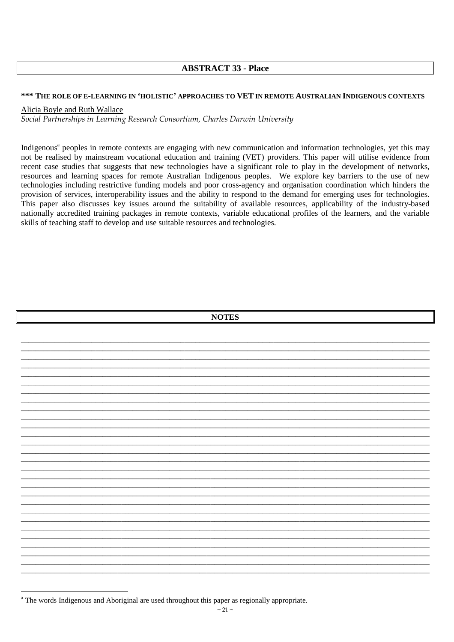## **ABSTRACT 33 - Place**

#### \*\*\* THE ROLE OF E-LEARNING IN 'HOLISTIC' APPROACHES TO VET IN REMOTE AUSTRALIAN INDIGENOUS CONTEXTS

## Alicia Boyle and Ruth Wallace

Social Partnerships in Learning Research Consortium, Charles Darwin University

Indigenous<sup>a</sup> peoples in remote contexts are engaging with new communication and information technologies, yet this may not be realised by mainstream vocational education and training (VET) providers. This paper will utilise evidence from recent case studies that suggests that new technologies have a significant role to play in the development of networks, resources and learning spaces for remote Australian Indigenous peoples. We explore key barriers to the use of new technologies including restrictive funding models and poor cross-agency and organisation coordination which hinders the provision of services, interoperability issues and the ability to respond to the demand for emerging uses for technologies. This paper also discusses key issues around the suitability of available resources, applicability of the industry-based nationally accredited training packages in remote contexts, variable educational profiles of the learners, and the variable skills of teaching staff to develop and use suitable resources and technologies.

| <b>NOTES</b> |  |  |  |  |
|--------------|--|--|--|--|
|              |  |  |  |  |
|              |  |  |  |  |
|              |  |  |  |  |
|              |  |  |  |  |
|              |  |  |  |  |
|              |  |  |  |  |
|              |  |  |  |  |
|              |  |  |  |  |
|              |  |  |  |  |
|              |  |  |  |  |
|              |  |  |  |  |
|              |  |  |  |  |
|              |  |  |  |  |
|              |  |  |  |  |
|              |  |  |  |  |
|              |  |  |  |  |
|              |  |  |  |  |
|              |  |  |  |  |
|              |  |  |  |  |
|              |  |  |  |  |
|              |  |  |  |  |
|              |  |  |  |  |
|              |  |  |  |  |
|              |  |  |  |  |
|              |  |  |  |  |

<sup>&</sup>lt;sup>a</sup> The words Indigenous and Aboriginal are used throughout this paper as regionally appropriate.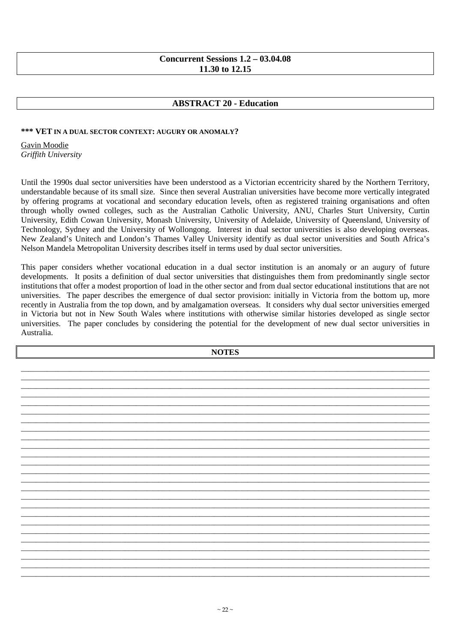## **Concurrent Sessions 1.2 – 03.04.08 11.30 to 12.15**

## **ABSTRACT 20 - Education**

#### **\*\*\* VET IN A DUAL SECTOR CONTEXT: AUGURY OR ANOMALY?**

Gavin Moodie *Griffith University* 

Until the 1990s dual sector universities have been understood as a Victorian eccentricity shared by the Northern Territory, understandable because of its small size. Since then several Australian universities have become more vertically integrated by offering programs at vocational and secondary education levels, often as registered training organisations and often through wholly owned colleges, such as the Australian Catholic University, ANU, Charles Sturt University, Curtin University, Edith Cowan University, Monash University, University of Adelaide, University of Queensland, University of Technology, Sydney and the University of Wollongong. Interest in dual sector universities is also developing overseas. New Zealand's Unitech and London's Thames Valley University identify as dual sector universities and South Africa's Nelson Mandela Metropolitan University describes itself in terms used by dual sector universities.

This paper considers whether vocational education in a dual sector institution is an anomaly or an augury of future developments. It posits a definition of dual sector universities that distinguishes them from predominantly single sector institutions that offer a modest proportion of load in the other sector and from dual sector educational institutions that are not universities. The paper describes the emergence of dual sector provision: initially in Victoria from the bottom up, more recently in Australia from the top down, and by amalgamation overseas. It considers why dual sector universities emerged in Victoria but not in New South Wales where institutions with otherwise similar histories developed as single sector universities. The paper concludes by considering the potential for the development of new dual sector universities in Australia.

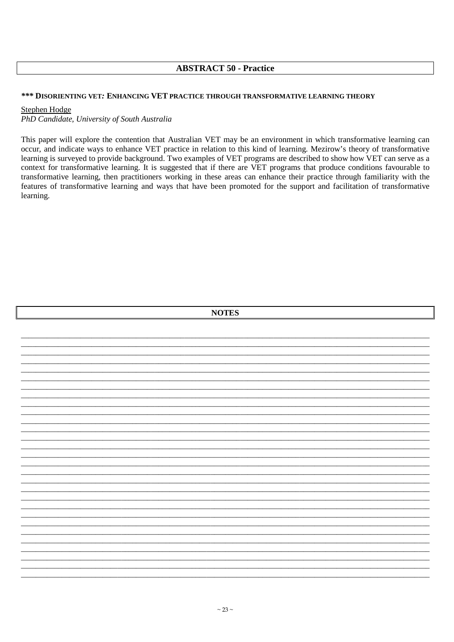## **ABSTRACT 50 - Practice**

#### \*\*\* DISORIENTING VET: ENHANCING VET PRACTICE THROUGH TRANSFORMATIVE LEARNING THEORY

#### **Stephen Hodge**

PhD Candidate, University of South Australia

This paper will explore the contention that Australian VET may be an environment in which transformative learning can occur, and indicate ways to enhance VET practice in relation to this kind of learning. Mezirow's theory of transformative learning is surveyed to provide background. Two examples of VET programs are described to show how VET can serve as a context for transformative learning. It is suggested that if there are VET programs that produce conditions favourable to transformative learning, then practitioners working in these areas can enhance their practice through familiarity with the features of transformative learning and ways that have been promoted for the support and facilitation of transformative learning.

| <b>NOTES</b> |  |  |
|--------------|--|--|
|              |  |  |
|              |  |  |
|              |  |  |
|              |  |  |
|              |  |  |
|              |  |  |
|              |  |  |
|              |  |  |
|              |  |  |
|              |  |  |
|              |  |  |
|              |  |  |
|              |  |  |
|              |  |  |
|              |  |  |
|              |  |  |
|              |  |  |
|              |  |  |
|              |  |  |
|              |  |  |
|              |  |  |
|              |  |  |
|              |  |  |
|              |  |  |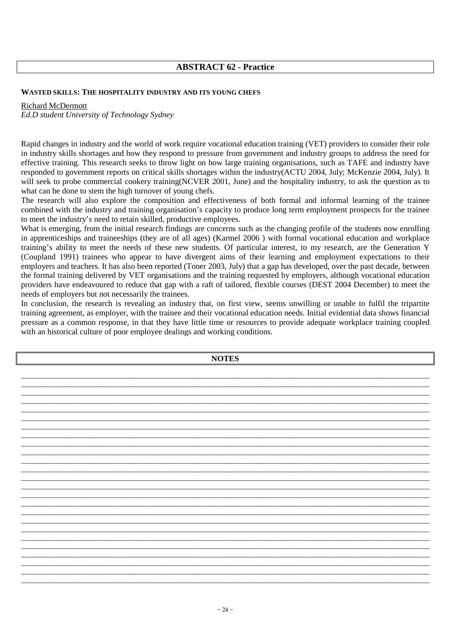## **ABSTRACT 62 - Practice**

#### **WASTED SKILLS: THE HOSPITALITY INDUSTRY AND ITS YOUNG CHEFS**

#### Richard McDermott

*Ed.D student University of Technology Sydney* 

Rapid changes in industry and the world of work require vocational education training (VET) providers to consider their role in industry skills shortages and how they respond to pressure from government and industry groups to address the need for effective training. This research seeks to throw light on how large training organisations, such as TAFE and industry have responded to government reports on critical skills shortages within the industry(ACTU 2004, July; McKenzie 2004, July). It will seek to probe commercial cookery training(NCVER 2001, June) and the hospitality industry, to ask the question as to what can be done to stem the high turnover of young chefs.

The research will also explore the composition and effectiveness of both formal and informal learning of the trainee combined with the industry and training organisation's capacity to produce long term employment prospects for the trainee to meet the industry's need to retain skilled, productive employees.

What is emerging, from the initial research findings are concerns such as the changing profile of the students now enrolling in apprenticeships and traineeships (they are of all ages) (Karmel 2006 ) with formal vocational education and workplace training's ability to meet the needs of these new students. Of particular interest, to my research, are the Generation Y (Coupland 1991) trainees who appear to have divergent aims of their learning and employment expectations to their employers and teachers. It has also been reported (Toner 2003, July) that a gap has developed, over the past decade, between the formal training delivered by VET organisations and the training requested by employers, although vocational education providers have endeavoured to reduce that gap with a raft of tailored, flexible courses (DEST 2004 December) to meet the needs of employers but not necessarily the trainees.

In conclusion, the research is revealing an industry that, on first view, seems unwilling or unable to fulfil the tripartite training agreement, as employer, with the trainee and their vocational education needs. Initial evidential data shows financial pressure as a common response, in that they have little time or resources to provide adequate workplace training coupled with an historical culture of poor employee dealings and working conditions.

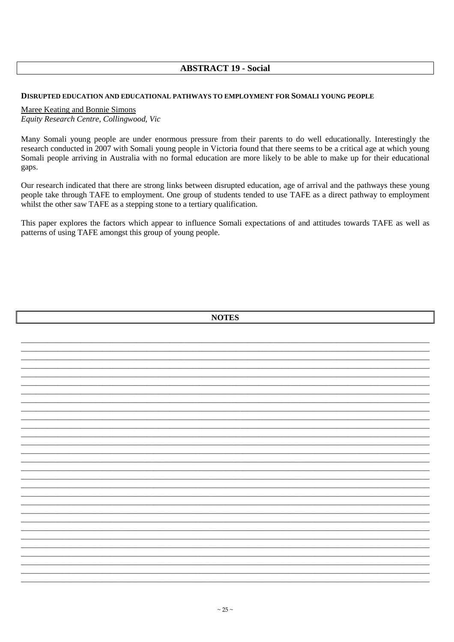## **ABSTRACT 19 - Social**

#### DISRUPTED EDUCATION AND EDUCATIONAL PATHWAYS TO EMPLOYMENT FOR SOMALI YOUNG PEOPLE

#### Maree Keating and Bonnie Simons

Equity Research Centre, Collingwood, Vic

Many Somali young people are under enormous pressure from their parents to do well educationally. Interestingly the research conducted in 2007 with Somali young people in Victoria found that there seems to be a critical age at which young Somali people arriving in Australia with no formal education are more likely to be able to make up for their educational gaps.

Our research indicated that there are strong links between disrupted education, age of arrival and the pathways these young people take through TAFE to employment. One group of students tended to use TAFE as a direct pathway to employment whilst the other saw TAFE as a stepping stone to a tertiary qualification.

This paper explores the factors which appear to influence Somali expectations of and attitudes towards TAFE as well as patterns of using TAFE amongst this group of young people.

| <b>NOTES</b> |
|--------------|
|              |
|              |
|              |
|              |
|              |
|              |
|              |
|              |
|              |
|              |
|              |
|              |
|              |
|              |
|              |
|              |
|              |
|              |
|              |
|              |
|              |
|              |
|              |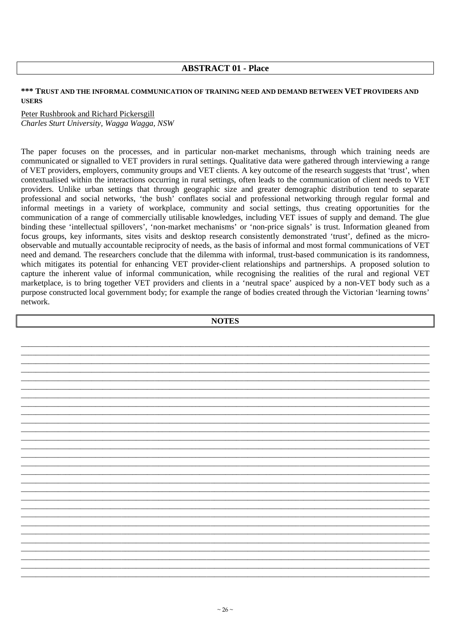## **ABSTRACT 01 - Place**

### **\*\*\* TRUST AND THE INFORMAL COMMUNICATION OF TRAINING NEED AND DEMAND BETWEEN VET PROVIDERS AND USERS**

## Peter Rushbrook and Richard Pickersgill *Charles Sturt University, Wagga Wagga, NSW*

The paper focuses on the processes, and in particular non-market mechanisms, through which training needs are communicated or signalled to VET providers in rural settings. Qualitative data were gathered through interviewing a range of VET providers, employers, community groups and VET clients. A key outcome of the research suggests that 'trust', when contextualised within the interactions occurring in rural settings, often leads to the communication of client needs to VET providers. Unlike urban settings that through geographic size and greater demographic distribution tend to separate professional and social networks, 'the bush' conflates social and professional networking through regular formal and informal meetings in a variety of workplace, community and social settings, thus creating opportunities for the communication of a range of commercially utilisable knowledges, including VET issues of supply and demand. The glue binding these 'intellectual spillovers', 'non-market mechanisms' or 'non-price signals' is trust. Information gleaned from focus groups, key informants, sites visits and desktop research consistently demonstrated 'trust', defined as the microobservable and mutually accountable reciprocity of needs, as the basis of informal and most formal communications of VET need and demand. The researchers conclude that the dilemma with informal, trust-based communication is its randomness, which mitigates its potential for enhancing VET provider-client relationships and partnerships. A proposed solution to capture the inherent value of informal communication, while recognising the realities of the rural and regional VET marketplace, is to bring together VET providers and clients in a 'neutral space' auspiced by a non-VET body such as a purpose constructed local government body; for example the range of bodies created through the Victorian 'learning towns' network.

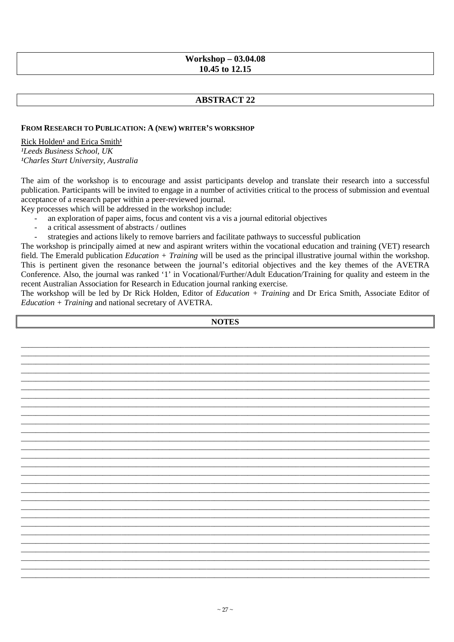## **Workshop - 03.04.08** 10.45 to 12.15

## **ABSTRACT 22**

#### FROM RESEARCH TO PUBLICATION: A (NEW) WRITER'S WORKSHOP

Rick Holden<sup>1</sup> and Erica Smith<sup>1</sup> <sup>1</sup>Leeds Business School, UK <sup>1</sup>Charles Sturt University, Australia

The aim of the workshop is to encourage and assist participants develop and translate their research into a successful publication. Participants will be invited to engage in a number of activities critical to the process of submission and eventual acceptance of a research paper within a peer-reviewed journal.

Key processes which will be addressed in the workshop include:

- an exploration of paper aims, focus and content vis a vis a journal editorial objectives
- a critical assessment of abstracts / outlines
- strategies and actions likely to remove barriers and facilitate pathways to successful publication

The workshop is principally aimed at new and aspirant writers within the vocational education and training (VET) research field. The Emerald publication  $Education + Training$  will be used as the principal illustrative journal within the workshop. This is pertinent given the resonance between the journal's editorial objectives and the key themes of the AVETRA Conference. Also, the journal was ranked '1' in Vocational/Further/Adult Education/Training for quality and esteem in the recent Australian Association for Research in Education journal ranking exercise.

The workshop will be led by Dr Rick Holden, Editor of *Education + Training* and Dr Erica Smith, Associate Editor of *Education* +  $Training$  and national secretary of AVETRA.

**NOTES**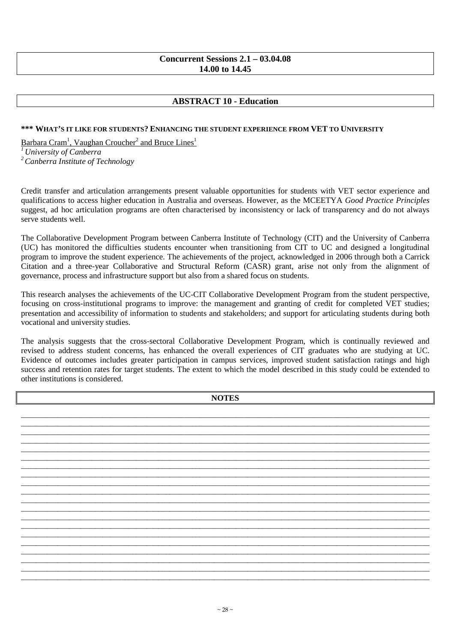## **Concurrent Sessions 2.1 – 03.04.08 14.00 to 14.45**

## **ABSTRACT 10 - Education**

#### **\*\*\* WHAT'S IT LIKE FOR STUDENTS? ENHANCING THE STUDENT EXPERIENCE FROM VET TO UNIVERSITY**

Barbara Cram<sup>1</sup>, Vaughan Croucher<sup>2</sup> and Bruce Lines<sup>1</sup>

*<sup>1</sup>University of Canberra*

*<sup>2</sup>Canberra Institute of Technology* 

Credit transfer and articulation arrangements present valuable opportunities for students with VET sector experience and qualifications to access higher education in Australia and overseas. However, as the MCEETYA *Good Practice Principles* suggest, ad hoc articulation programs are often characterised by inconsistency or lack of transparency and do not always serve students well.

The Collaborative Development Program between Canberra Institute of Technology (CIT) and the University of Canberra (UC) has monitored the difficulties students encounter when transitioning from CIT to UC and designed a longitudinal program to improve the student experience. The achievements of the project, acknowledged in 2006 through both a Carrick Citation and a three-year Collaborative and Structural Reform (CASR) grant, arise not only from the alignment of governance, process and infrastructure support but also from a shared focus on students.

This research analyses the achievements of the UC-CIT Collaborative Development Program from the student perspective, focusing on cross-institutional programs to improve: the management and granting of credit for completed VET studies; presentation and accessibility of information to students and stakeholders; and support for articulating students during both vocational and university studies.

The analysis suggests that the cross-sectoral Collaborative Development Program, which is continually reviewed and revised to address student concerns, has enhanced the overall experiences of CIT graduates who are studying at UC. Evidence of outcomes includes greater participation in campus services, improved student satisfaction ratings and high success and retention rates for target students. The extent to which the model described in this study could be extended to other institutions is considered.

**NOTES**  \_\_\_\_\_\_\_\_\_\_\_\_\_\_\_\_\_\_\_\_\_\_\_\_\_\_\_\_\_\_\_\_\_\_\_\_\_\_\_\_\_\_\_\_\_\_\_\_\_\_\_\_\_\_\_\_\_\_\_\_\_\_\_\_\_\_\_\_\_\_\_\_\_\_\_\_\_\_\_\_\_\_\_\_\_\_\_\_\_\_\_\_\_\_\_\_\_\_\_\_\_\_\_\_\_\_\_\_\_\_ \_\_\_\_\_\_\_\_\_\_\_\_\_\_\_\_\_\_\_\_\_\_\_\_\_\_\_\_\_\_\_\_\_\_\_\_\_\_\_\_\_\_\_\_\_\_\_\_\_\_\_\_\_\_\_\_\_\_\_\_\_\_\_\_\_\_\_\_\_\_\_\_\_\_\_\_\_\_\_\_\_\_\_\_\_\_\_\_\_\_\_\_\_\_\_\_\_\_\_\_\_\_\_\_\_\_\_\_\_\_ \_\_\_\_\_\_\_\_\_\_\_\_\_\_\_\_\_\_\_\_\_\_\_\_\_\_\_\_\_\_\_\_\_\_\_\_\_\_\_\_\_\_\_\_\_\_\_\_\_\_\_\_\_\_\_\_\_\_\_\_\_\_\_\_\_\_\_\_\_\_\_\_\_\_\_\_\_\_\_\_\_\_\_\_\_\_\_\_\_\_\_\_\_\_\_\_\_\_\_\_\_\_\_\_\_\_\_\_\_\_ \_\_\_\_\_\_\_\_\_\_\_\_\_\_\_\_\_\_\_\_\_\_\_\_\_\_\_\_\_\_\_\_\_\_\_\_\_\_\_\_\_\_\_\_\_\_\_\_\_\_\_\_\_\_\_\_\_\_\_\_\_\_\_\_\_\_\_\_\_\_\_\_\_\_\_\_\_\_\_\_\_\_\_\_\_\_\_\_\_\_\_\_\_\_\_\_\_\_\_\_\_\_\_\_\_\_\_\_\_\_ \_\_\_\_\_\_\_\_\_\_\_\_\_\_\_\_\_\_\_\_\_\_\_\_\_\_\_\_\_\_\_\_\_\_\_\_\_\_\_\_\_\_\_\_\_\_\_\_\_\_\_\_\_\_\_\_\_\_\_\_\_\_\_\_\_\_\_\_\_\_\_\_\_\_\_\_\_\_\_\_\_\_\_\_\_\_\_\_\_\_\_\_\_\_\_\_\_\_\_\_\_\_\_\_\_\_\_\_\_\_ \_\_\_\_\_\_\_\_\_\_\_\_\_\_\_\_\_\_\_\_\_\_\_\_\_\_\_\_\_\_\_\_\_\_\_\_\_\_\_\_\_\_\_\_\_\_\_\_\_\_\_\_\_\_\_\_\_\_\_\_\_\_\_\_\_\_\_\_\_\_\_\_\_\_\_\_\_\_\_\_\_\_\_\_\_\_\_\_\_\_\_\_\_\_\_\_\_\_\_\_\_\_\_\_\_\_\_\_\_\_ \_\_\_\_\_\_\_\_\_\_\_\_\_\_\_\_\_\_\_\_\_\_\_\_\_\_\_\_\_\_\_\_\_\_\_\_\_\_\_\_\_\_\_\_\_\_\_\_\_\_\_\_\_\_\_\_\_\_\_\_\_\_\_\_\_\_\_\_\_\_\_\_\_\_\_\_\_\_\_\_\_\_\_\_\_\_\_\_\_\_\_\_\_\_\_\_\_\_\_\_\_\_\_\_\_\_\_\_\_\_ \_\_\_\_\_\_\_\_\_\_\_\_\_\_\_\_\_\_\_\_\_\_\_\_\_\_\_\_\_\_\_\_\_\_\_\_\_\_\_\_\_\_\_\_\_\_\_\_\_\_\_\_\_\_\_\_\_\_\_\_\_\_\_\_\_\_\_\_\_\_\_\_\_\_\_\_\_\_\_\_\_\_\_\_\_\_\_\_\_\_\_\_\_\_\_\_\_\_\_\_\_\_\_\_\_\_\_\_\_\_ \_\_\_\_\_\_\_\_\_\_\_\_\_\_\_\_\_\_\_\_\_\_\_\_\_\_\_\_\_\_\_\_\_\_\_\_\_\_\_\_\_\_\_\_\_\_\_\_\_\_\_\_\_\_\_\_\_\_\_\_\_\_\_\_\_\_\_\_\_\_\_\_\_\_\_\_\_\_\_\_\_\_\_\_\_\_\_\_\_\_\_\_\_\_\_\_\_\_\_\_\_\_\_\_\_\_\_\_\_\_ \_\_\_\_\_\_\_\_\_\_\_\_\_\_\_\_\_\_\_\_\_\_\_\_\_\_\_\_\_\_\_\_\_\_\_\_\_\_\_\_\_\_\_\_\_\_\_\_\_\_\_\_\_\_\_\_\_\_\_\_\_\_\_\_\_\_\_\_\_\_\_\_\_\_\_\_\_\_\_\_\_\_\_\_\_\_\_\_\_\_\_\_\_\_\_\_\_\_\_\_\_\_\_\_\_\_\_\_\_\_ \_\_\_\_\_\_\_\_\_\_\_\_\_\_\_\_\_\_\_\_\_\_\_\_\_\_\_\_\_\_\_\_\_\_\_\_\_\_\_\_\_\_\_\_\_\_\_\_\_\_\_\_\_\_\_\_\_\_\_\_\_\_\_\_\_\_\_\_\_\_\_\_\_\_\_\_\_\_\_\_\_\_\_\_\_\_\_\_\_\_\_\_\_\_\_\_\_\_\_\_\_\_\_\_\_\_\_\_\_\_ \_\_\_\_\_\_\_\_\_\_\_\_\_\_\_\_\_\_\_\_\_\_\_\_\_\_\_\_\_\_\_\_\_\_\_\_\_\_\_\_\_\_\_\_\_\_\_\_\_\_\_\_\_\_\_\_\_\_\_\_\_\_\_\_\_\_\_\_\_\_\_\_\_\_\_\_\_\_\_\_\_\_\_\_\_\_\_\_\_\_\_\_\_\_\_\_\_\_\_\_\_\_\_\_\_\_\_\_\_\_ \_\_\_\_\_\_\_\_\_\_\_\_\_\_\_\_\_\_\_\_\_\_\_\_\_\_\_\_\_\_\_\_\_\_\_\_\_\_\_\_\_\_\_\_\_\_\_\_\_\_\_\_\_\_\_\_\_\_\_\_\_\_\_\_\_\_\_\_\_\_\_\_\_\_\_\_\_\_\_\_\_\_\_\_\_\_\_\_\_\_\_\_\_\_\_\_\_\_\_\_\_\_\_\_\_\_\_\_\_\_ \_\_\_\_\_\_\_\_\_\_\_\_\_\_\_\_\_\_\_\_\_\_\_\_\_\_\_\_\_\_\_\_\_\_\_\_\_\_\_\_\_\_\_\_\_\_\_\_\_\_\_\_\_\_\_\_\_\_\_\_\_\_\_\_\_\_\_\_\_\_\_\_\_\_\_\_\_\_\_\_\_\_\_\_\_\_\_\_\_\_\_\_\_\_\_\_\_\_\_\_\_\_\_\_\_\_\_\_\_\_ \_\_\_\_\_\_\_\_\_\_\_\_\_\_\_\_\_\_\_\_\_\_\_\_\_\_\_\_\_\_\_\_\_\_\_\_\_\_\_\_\_\_\_\_\_\_\_\_\_\_\_\_\_\_\_\_\_\_\_\_\_\_\_\_\_\_\_\_\_\_\_\_\_\_\_\_\_\_\_\_\_\_\_\_\_\_\_\_\_\_\_\_\_\_\_\_\_\_\_\_\_\_\_\_\_\_\_\_\_\_ \_\_\_\_\_\_\_\_\_\_\_\_\_\_\_\_\_\_\_\_\_\_\_\_\_\_\_\_\_\_\_\_\_\_\_\_\_\_\_\_\_\_\_\_\_\_\_\_\_\_\_\_\_\_\_\_\_\_\_\_\_\_\_\_\_\_\_\_\_\_\_\_\_\_\_\_\_\_\_\_\_\_\_\_\_\_\_\_\_\_\_\_\_\_\_\_\_\_\_\_\_\_\_\_\_\_\_\_\_\_ \_\_\_\_\_\_\_\_\_\_\_\_\_\_\_\_\_\_\_\_\_\_\_\_\_\_\_\_\_\_\_\_\_\_\_\_\_\_\_\_\_\_\_\_\_\_\_\_\_\_\_\_\_\_\_\_\_\_\_\_\_\_\_\_\_\_\_\_\_\_\_\_\_\_\_\_\_\_\_\_\_\_\_\_\_\_\_\_\_\_\_\_\_\_\_\_\_\_\_\_\_\_\_\_\_\_\_\_\_\_ \_\_\_\_\_\_\_\_\_\_\_\_\_\_\_\_\_\_\_\_\_\_\_\_\_\_\_\_\_\_\_\_\_\_\_\_\_\_\_\_\_\_\_\_\_\_\_\_\_\_\_\_\_\_\_\_\_\_\_\_\_\_\_\_\_\_\_\_\_\_\_\_\_\_\_\_\_\_\_\_\_\_\_\_\_\_\_\_\_\_\_\_\_\_\_\_\_\_\_\_\_\_\_\_\_\_\_\_\_\_ \_\_\_\_\_\_\_\_\_\_\_\_\_\_\_\_\_\_\_\_\_\_\_\_\_\_\_\_\_\_\_\_\_\_\_\_\_\_\_\_\_\_\_\_\_\_\_\_\_\_\_\_\_\_\_\_\_\_\_\_\_\_\_\_\_\_\_\_\_\_\_\_\_\_\_\_\_\_\_\_\_\_\_\_\_\_\_\_\_\_\_\_\_\_\_\_\_\_\_\_\_\_\_\_\_\_\_\_\_\_ \_\_\_\_\_\_\_\_\_\_\_\_\_\_\_\_\_\_\_\_\_\_\_\_\_\_\_\_\_\_\_\_\_\_\_\_\_\_\_\_\_\_\_\_\_\_\_\_\_\_\_\_\_\_\_\_\_\_\_\_\_\_\_\_\_\_\_\_\_\_\_\_\_\_\_\_\_\_\_\_\_\_\_\_\_\_\_\_\_\_\_\_\_\_\_\_\_\_\_\_\_\_\_\_\_\_\_\_\_\_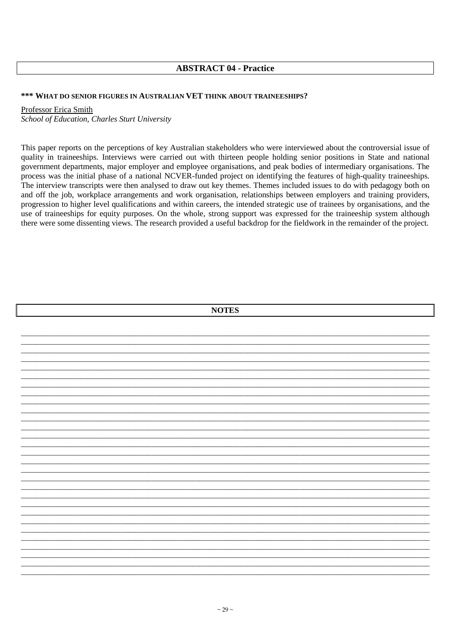## **ABSTRACT 04 - Practice**

## \*\*\* WHAT DO SENIOR FIGURES IN AUSTRALIAN VET THINK ABOUT TRAINEESHIPS?

## Professor Erica Smith

School of Education, Charles Sturt University

This paper reports on the perceptions of key Australian stakeholders who were interviewed about the controversial issue of quality in traineeships. Interviews were carried out with thirteen people holding senior positions in State and national government departments, major employer and employee organisations, and peak bodies of intermediary organisations. The process was the initial phase of a national NCVER-funded project on identifying the features of high-quality traineeships. The interview transcripts were then analysed to draw out key themes. Themes included issues to do with pedagogy both on and off the job, workplace arrangements and work organisation, relationships between employers and training providers, progression to higher level qualifications and within careers, the intended strategic use of trainees by organisations, and the use of traineeships for equity purposes. On the whole, strong support was expressed for the traineeship system although there were some dissenting views. The research provided a useful backdrop for the fieldwork in the remainder of the project.

| <b>NOTES</b> |  |
|--------------|--|
|              |  |
|              |  |
|              |  |
|              |  |
|              |  |
|              |  |
|              |  |
|              |  |
|              |  |
|              |  |
|              |  |
|              |  |
|              |  |
|              |  |
|              |  |
|              |  |
|              |  |
|              |  |
|              |  |
|              |  |
|              |  |
|              |  |
|              |  |
|              |  |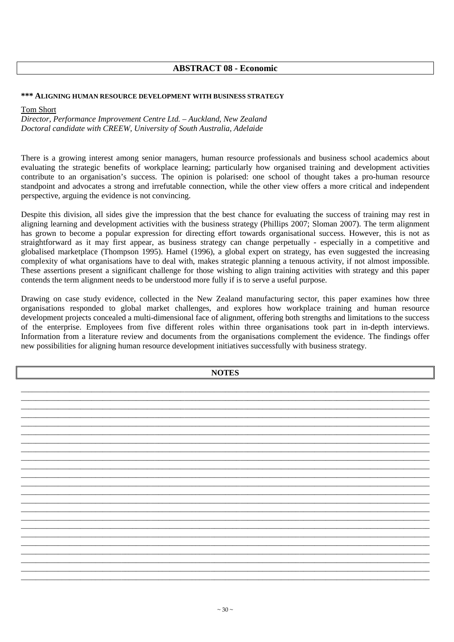## **ABSTRACT 08 - Economic**

#### **\*\*\* ALIGNING HUMAN RESOURCE DEVELOPMENT WITH BUSINESS STRATEGY**

#### Tom Short

*Director, Performance Improvement Centre Ltd. – Auckland, New Zealand Doctoral candidate with CREEW, University of South Australia, Adelaide* 

There is a growing interest among senior managers, human resource professionals and business school academics about evaluating the strategic benefits of workplace learning; particularly how organised training and development activities contribute to an organisation's success. The opinion is polarised: one school of thought takes a pro-human resource standpoint and advocates a strong and irrefutable connection, while the other view offers a more critical and independent perspective, arguing the evidence is not convincing.

Despite this division, all sides give the impression that the best chance for evaluating the success of training may rest in aligning learning and development activities with the business strategy (Phillips 2007; Sloman 2007). The term alignment has grown to become a popular expression for directing effort towards organisational success. However, this is not as straightforward as it may first appear, as business strategy can change perpetually - especially in a competitive and globalised marketplace (Thompson 1995). Hamel (1996), a global expert on strategy, has even suggested the increasing complexity of what organisations have to deal with, makes strategic planning a tenuous activity, if not almost impossible. These assertions present a significant challenge for those wishing to align training activities with strategy and this paper contends the term alignment needs to be understood more fully if is to serve a useful purpose.

Drawing on case study evidence, collected in the New Zealand manufacturing sector, this paper examines how three organisations responded to global market challenges, and explores how workplace training and human resource development projects concealed a multi-dimensional face of alignment, offering both strengths and limitations to the success of the enterprise. Employees from five different roles within three organisations took part in in-depth interviews. Information from a literature review and documents from the organisations complement the evidence. The findings offer new possibilities for aligning human resource development initiatives successfully with business strategy.

| <b>NOTES</b> |  |  |  |
|--------------|--|--|--|
|              |  |  |  |
|              |  |  |  |
|              |  |  |  |
|              |  |  |  |
|              |  |  |  |
|              |  |  |  |
|              |  |  |  |
|              |  |  |  |
|              |  |  |  |
|              |  |  |  |
|              |  |  |  |
|              |  |  |  |
|              |  |  |  |
|              |  |  |  |
|              |  |  |  |
|              |  |  |  |
|              |  |  |  |
|              |  |  |  |
|              |  |  |  |
|              |  |  |  |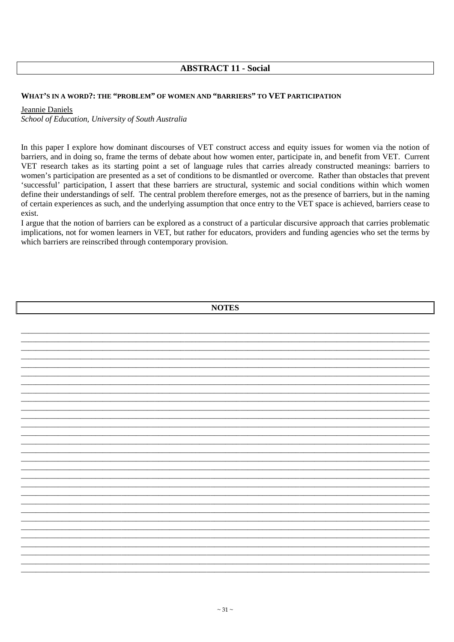## **ABSTRACT 11 - Social**

#### WHAT'S IN A WORD?: THE "PROBLEM" OF WOMEN AND "BARRIERS" TO VET PARTICIPATION

#### Jeannie Daniels

School of Education, University of South Australia

In this paper I explore how dominant discourses of VET construct access and equity issues for women via the notion of barriers, and in doing so, frame the terms of debate about how women enter, participate in, and benefit from VET. Current VET research takes as its starting point a set of language rules that carries already constructed meanings: barriers to women's participation are presented as a set of conditions to be dismantled or overcome. Rather than obstacles that prevent 'successful' participation, I assert that these barriers are structural, systemic and social conditions within which women define their understandings of self. The central problem therefore emerges, not as the presence of barriers, but in the naming of certain experiences as such, and the underlying assumption that once entry to the VET space is achieved, barriers cease to exist.

I argue that the notion of barriers can be explored as a construct of a particular discursive approach that carries problematic implications, not for women learners in VET, but rather for educators, providers and funding agencies who set the terms by which barriers are reinscribed through contemporary provision.

**NOTEC** 

| <b>TAATED</b> |  |
|---------------|--|
|               |  |
|               |  |
|               |  |
|               |  |
|               |  |
|               |  |
|               |  |
|               |  |
|               |  |
|               |  |
|               |  |
|               |  |
|               |  |
|               |  |
|               |  |
|               |  |
|               |  |
|               |  |
|               |  |
|               |  |
|               |  |
|               |  |
|               |  |
|               |  |
|               |  |
|               |  |
|               |  |
|               |  |
|               |  |
|               |  |
|               |  |
|               |  |
|               |  |
|               |  |
|               |  |
|               |  |
|               |  |
|               |  |
|               |  |
|               |  |
|               |  |
|               |  |
|               |  |
|               |  |
|               |  |
|               |  |
|               |  |
|               |  |
|               |  |
|               |  |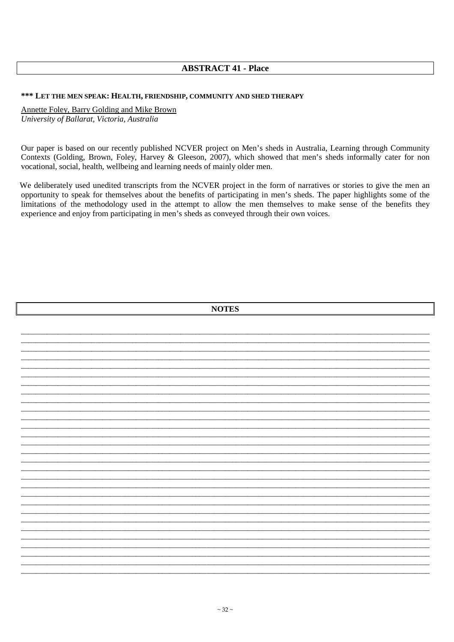## **ABSTRACT 41 - Place**

#### \*\*\* LET THE MEN SPEAK: HEALTH, FRIENDSHIP, COMMUNITY AND SHED THERAPY

Annette Foley, Barry Golding and Mike Brown University of Ballarat, Victoria, Australia

Our paper is based on our recently published NCVER project on Men's sheds in Australia, Learning through Community Contexts (Golding, Brown, Foley, Harvey & Gleeson, 2007), which showed that men's sheds informally cater for non vocational, social, health, wellbeing and learning needs of mainly older men.

We deliberately used unedited transcripts from the NCVER project in the form of narratives or stories to give the men an opportunity to speak for themselves about the benefits of participating in men's sheds. The paper highlights some of the limitations of the methodology used in the attempt to allow the men themselves to make sense of the benefits they experience and enjoy from participating in men's sheds as conveyed through their own voices.

| <b>NOTES</b> |  |  |  |  |  |
|--------------|--|--|--|--|--|
|              |  |  |  |  |  |
|              |  |  |  |  |  |
|              |  |  |  |  |  |
|              |  |  |  |  |  |
|              |  |  |  |  |  |
|              |  |  |  |  |  |
|              |  |  |  |  |  |
|              |  |  |  |  |  |
|              |  |  |  |  |  |
|              |  |  |  |  |  |
|              |  |  |  |  |  |
|              |  |  |  |  |  |
|              |  |  |  |  |  |
|              |  |  |  |  |  |
|              |  |  |  |  |  |
|              |  |  |  |  |  |
|              |  |  |  |  |  |
|              |  |  |  |  |  |
|              |  |  |  |  |  |
|              |  |  |  |  |  |
|              |  |  |  |  |  |
|              |  |  |  |  |  |
|              |  |  |  |  |  |
|              |  |  |  |  |  |
|              |  |  |  |  |  |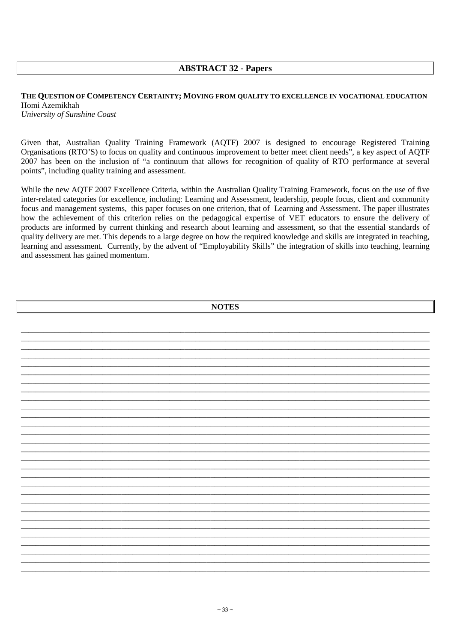## **ABSTRACT 32 - Papers**

#### THE QUESTION OF COMPETENCY CERTAINTY; MOVING FROM QUALITY TO EXCELLENCE IN VOCATIONAL EDUCATION Homi Azemikhah University of Sunshine Coast

Given that, Australian Quality Training Framework (AQTF) 2007 is designed to encourage Registered Training Organisations (RTO'S) to focus on quality and continuous improvement to better meet client needs", a key aspect of AOTF 2007 has been on the inclusion of "a continuum that allows for recognition of quality of RTO performance at several points", including quality training and assessment.

While the new AQTF 2007 Excellence Criteria, within the Australian Quality Training Framework, focus on the use of five inter-related categories for excellence, including: Learning and Assessment, leadership, people focus, client and community focus and management systems, this paper focuses on one criterion, that of Learning and Assessment. The paper illustrates how the achievement of this criterion relies on the pedagogical expertise of VET educators to ensure the delivery of products are informed by current thinking and research about learning and assessment, so that the essential standards of quality delivery are met. This depends to a large degree on how the required knowledge and skills are integrated in teaching, learning and assessment. Currently, by the advent of "Employability Skills" the integration of skills into teaching, learning and assessment has gained momentum.

| <b>NOTES</b> |  |  |  |
|--------------|--|--|--|
|              |  |  |  |
|              |  |  |  |
|              |  |  |  |
|              |  |  |  |
|              |  |  |  |
|              |  |  |  |
|              |  |  |  |
|              |  |  |  |
|              |  |  |  |
|              |  |  |  |
|              |  |  |  |
|              |  |  |  |
|              |  |  |  |
|              |  |  |  |
|              |  |  |  |
|              |  |  |  |
|              |  |  |  |
|              |  |  |  |
|              |  |  |  |
|              |  |  |  |
|              |  |  |  |
|              |  |  |  |
|              |  |  |  |
|              |  |  |  |
|              |  |  |  |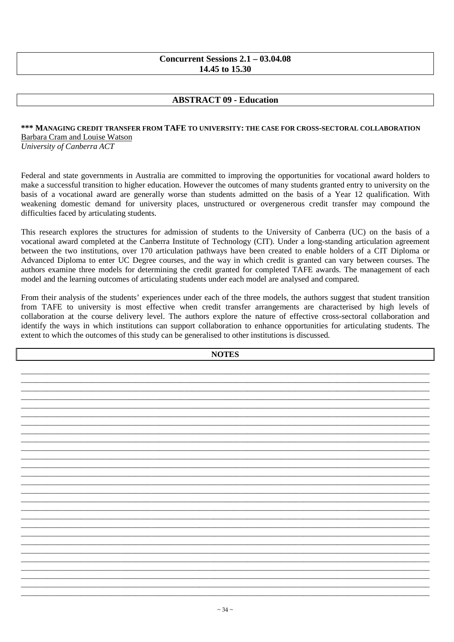## **Concurrent Sessions 2.1 – 03.04.08 14.45 to 15.30**

## **ABSTRACT 09 - Education**

## **\*\*\* MANAGING CREDIT TRANSFER FROM TAFE TO UNIVERSITY: THE CASE FOR CROSS-SECTORAL COLLABORATION** Barbara Cram and Louise Watson

*University of Canberra ACT* 

Federal and state governments in Australia are committed to improving the opportunities for vocational award holders to make a successful transition to higher education. However the outcomes of many students granted entry to university on the basis of a vocational award are generally worse than students admitted on the basis of a Year 12 qualification. With weakening domestic demand for university places, unstructured or overgenerous credit transfer may compound the difficulties faced by articulating students.

This research explores the structures for admission of students to the University of Canberra (UC) on the basis of a vocational award completed at the Canberra Institute of Technology (CIT). Under a long-standing articulation agreement between the two institutions, over 170 articulation pathways have been created to enable holders of a CIT Diploma or Advanced Diploma to enter UC Degree courses, and the way in which credit is granted can vary between courses. The authors examine three models for determining the credit granted for completed TAFE awards. The management of each model and the learning outcomes of articulating students under each model are analysed and compared.

From their analysis of the students' experiences under each of the three models, the authors suggest that student transition from TAFE to university is most effective when credit transfer arrangements are characterised by high levels of collaboration at the course delivery level. The authors explore the nature of effective cross-sectoral collaboration and identify the ways in which institutions can support collaboration to enhance opportunities for articulating students. The extent to which the outcomes of this study can be generalised to other institutions is discussed.

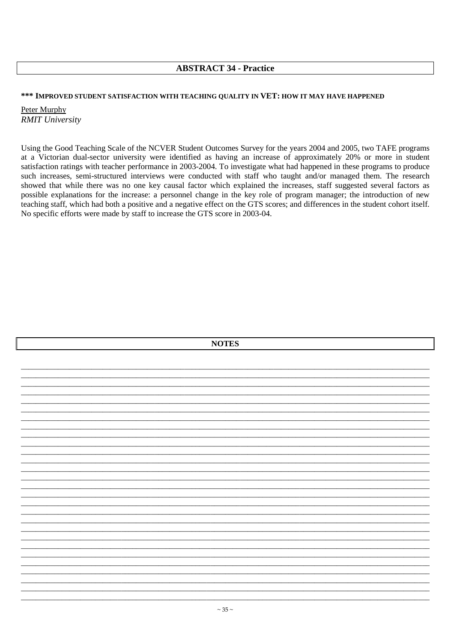## **ABSTRACT 34 - Practice**

#### \*\*\* IMPROVED STUDENT SATISFACTION WITH TEACHING QUALITY IN VET: HOW IT MAY HAVE HAPPENED

Peter Murphy **RMIT University** 

Using the Good Teaching Scale of the NCVER Student Outcomes Survey for the years 2004 and 2005, two TAFE programs at a Victorian dual-sector university were identified as having an increase of approximately 20% or more in student satisfaction ratings with teacher performance in 2003-2004. To investigate what had happened in these programs to produce such increases, semi-structured interviews were conducted with staff who taught and/or managed them. The research showed that while there was no one key causal factor which explained the increases, staff suggested several factors as possible explanations for the increase: a personnel change in the key role of program manager; the introduction of new teaching staff, which had both a positive and a negative effect on the GTS scores; and differences in the student cohort itself. No specific efforts were made by staff to increase the GTS score in 2003-04.

| <b>NOTES</b> |  |  |
|--------------|--|--|
|              |  |  |
|              |  |  |
|              |  |  |
|              |  |  |
|              |  |  |
|              |  |  |
|              |  |  |
|              |  |  |
|              |  |  |
|              |  |  |
|              |  |  |
|              |  |  |
|              |  |  |
|              |  |  |
|              |  |  |
|              |  |  |
|              |  |  |
|              |  |  |
|              |  |  |
|              |  |  |
|              |  |  |
|              |  |  |
|              |  |  |
|              |  |  |
|              |  |  |
|              |  |  |
|              |  |  |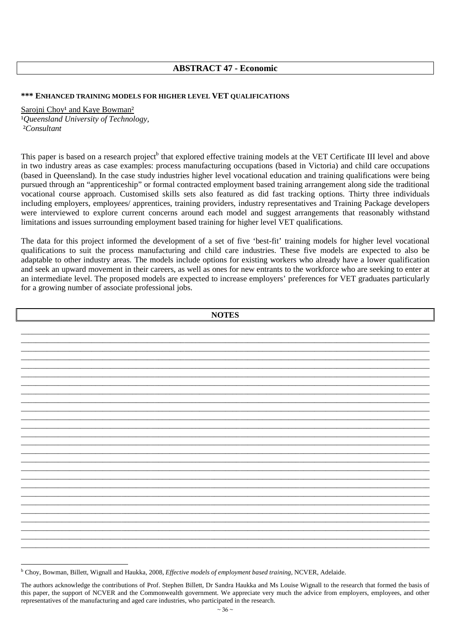## **ABSTRACT 47 - Economic**

#### **\*\*\* ENHANCED TRAINING MODELS FOR HIGHER LEVEL VET QUALIFICATIONS**

#### Sarojni Choy<sup>1</sup> and Kaye Bowman<sup>2</sup>

<sup>1</sup>Queensland University of Technology, ²*Consultant* 

This paper is based on a research project<sup>b</sup> that explored effective training models at the VET Certificate III level and above in two industry areas as case examples: process manufacturing occupations (based in Victoria) and child care occupations (based in Queensland). In the case study industries higher level vocational education and training qualifications were being pursued through an "apprenticeship" or formal contracted employment based training arrangement along side the traditional vocational course approach. Customised skills sets also featured as did fast tracking options. Thirty three individuals including employers, employees/ apprentices, training providers, industry representatives and Training Package developers were interviewed to explore current concerns around each model and suggest arrangements that reasonably withstand limitations and issues surrounding employment based training for higher level VET qualifications.

The data for this project informed the development of a set of five 'best-fit' training models for higher level vocational qualifications to suit the process manufacturing and child care industries. These five models are expected to also be adaptable to other industry areas. The models include options for existing workers who already have a lower qualification and seek an upward movement in their careers, as well as ones for new entrants to the workforce who are seeking to enter at an intermediate level. The proposed models are expected to increase employers' preferences for VET graduates particularly for a growing number of associate professional jobs.

| <b>NOTES</b> |  |  |
|--------------|--|--|
|              |  |  |
|              |  |  |
|              |  |  |
|              |  |  |
|              |  |  |
|              |  |  |
|              |  |  |
|              |  |  |
|              |  |  |
|              |  |  |
|              |  |  |
|              |  |  |
|              |  |  |
|              |  |  |
|              |  |  |
|              |  |  |
|              |  |  |
|              |  |  |
|              |  |  |
|              |  |  |
|              |  |  |

<sup>b</sup> Choy, Bowman, Billett, Wignall and Haukka, 2008, *Effective models of employment based training*, NCVER, Adelaide.

The authors acknowledge the contributions of Prof. Stephen Billett, Dr Sandra Haukka and Ms Louise Wignall to the research that formed the basis of this paper, the support of NCVER and the Commonwealth government. We appreciate very much the advice from employers, employees, and other representatives of the manufacturing and aged care industries, who participated in the research.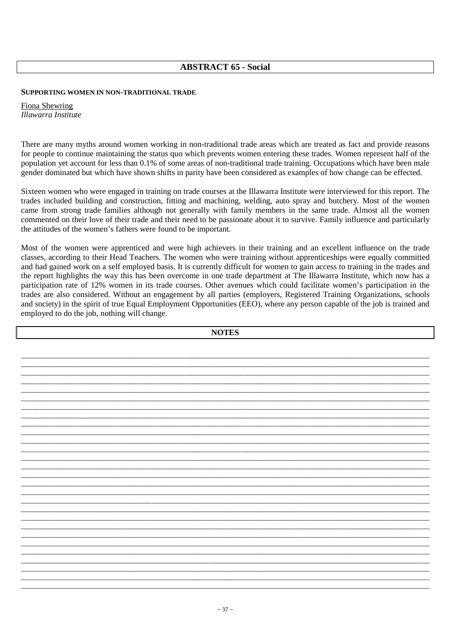## **ABSTRACT 65 - Social**

### **SUPPORTING WOMEN IN NON-TRADITIONAL TRADE**

Fiona Shewring *Illawarra Institute* 

There are many myths around women working in non-traditional trade areas which are treated as fact and provide reasons for people to continue maintaining the status quo which prevents women entering these trades. Women represent half of the population yet account for less than 0.1% of some areas of non-traditional trade training. Occupations which have been male gender dominated but which have shown shifts in parity have been considered as examples of how change can be effected.

Sixteen women who were engaged in training on trade courses at the Illawarra Institute were interviewed for this report. The trades included building and construction, fitting and machining, welding, auto spray and butchery. Most of the women came from strong trade families although not generally with family members in the same trade. Almost all the women commented on their love of their trade and their need to be passionate about it to survive. Family influence and particularly the attitudes of the women's fathers were found to be important.

Most of the women were apprenticed and were high achievers in their training and an excellent influence on the trade classes, according to their Head Teachers. The women who were training without apprenticeships were equally committed and had gained work on a self employed basis. It is currently difficult for women to gain access to training in the trades and the report highlights the way this has been overcome in one trade department at The Illawarra Institute, which now has a participation rate of 12% women in its trade courses. Other avenues which could facilitate women's participation in the trades are also considered. Without an engagement by all parties (employers, Registered Training Organizations, schools and society) in the spirit of true Equal Employment Opportunities (EEO), where any person capable of the job is trained and employed to do the job, nothing will change.

| <b>NOTES</b> |  |  |
|--------------|--|--|
|              |  |  |
|              |  |  |
|              |  |  |
|              |  |  |
|              |  |  |
|              |  |  |
|              |  |  |
|              |  |  |
|              |  |  |
|              |  |  |
|              |  |  |
|              |  |  |
|              |  |  |
|              |  |  |
|              |  |  |
|              |  |  |
|              |  |  |
|              |  |  |
|              |  |  |
|              |  |  |
|              |  |  |
|              |  |  |
|              |  |  |
|              |  |  |
|              |  |  |
|              |  |  |
|              |  |  |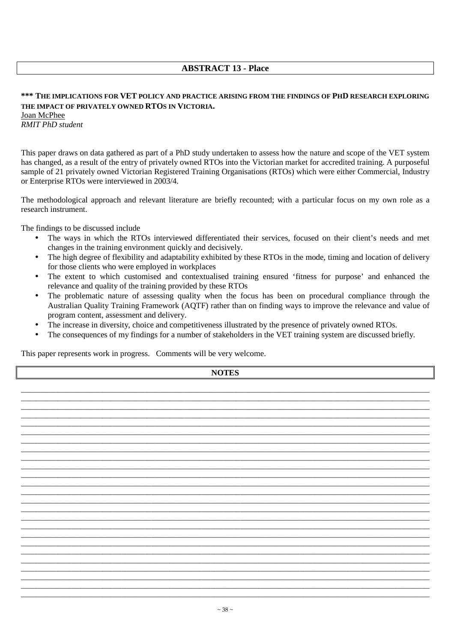## **ABSTRACT 13 - Place**

## **\*\*\* THE IMPLICATIONS FOR VET POLICY AND PRACTICE ARISING FROM THE FINDINGS OF PHD RESEARCH EXPLORING THE IMPACT OF PRIVATELY OWNED RTOS IN VICTORIA.**

Joan McPhee *RMIT PhD student*

This paper draws on data gathered as part of a PhD study undertaken to assess how the nature and scope of the VET system has changed, as a result of the entry of privately owned RTOs into the Victorian market for accredited training. A purposeful sample of 21 privately owned Victorian Registered Training Organisations (RTOs) which were either Commercial, Industry or Enterprise RTOs were interviewed in 2003/4.

The methodological approach and relevant literature are briefly recounted; with a particular focus on my own role as a research instrument.

The findings to be discussed include

- The ways in which the RTOs interviewed differentiated their services, focused on their client's needs and met changes in the training environment quickly and decisively.
- The high degree of flexibility and adaptability exhibited by these RTOs in the mode, timing and location of delivery for those clients who were employed in workplaces
- The extent to which customised and contextualised training ensured 'fitness for purpose' and enhanced the relevance and quality of the training provided by these RTOs
- The problematic nature of assessing quality when the focus has been on procedural compliance through the Australian Quality Training Framework (AQTF) rather than on finding ways to improve the relevance and value of program content, assessment and delivery.
- The increase in diversity, choice and competitiveness illustrated by the presence of privately owned RTOs.
- The consequences of my findings for a number of stakeholders in the VET training system are discussed briefly.

This paper represents work in progress. Comments will be very welcome.

| <b>NOTES</b> |  |  |
|--------------|--|--|
|              |  |  |
|              |  |  |
|              |  |  |
|              |  |  |
|              |  |  |
|              |  |  |
|              |  |  |
|              |  |  |
|              |  |  |
|              |  |  |
|              |  |  |
|              |  |  |
|              |  |  |
|              |  |  |
|              |  |  |
|              |  |  |
|              |  |  |
|              |  |  |
|              |  |  |
|              |  |  |

\_\_\_\_\_\_\_\_\_\_\_\_\_\_\_\_\_\_\_\_\_\_\_\_\_\_\_\_\_\_\_\_\_\_\_\_\_\_\_\_\_\_\_\_\_\_\_\_\_\_\_\_\_\_\_\_\_\_\_\_\_\_\_\_\_\_\_\_\_\_\_\_\_\_\_\_\_\_\_\_\_\_\_\_\_\_\_\_\_\_\_\_\_\_\_\_\_\_\_\_\_\_\_\_\_\_\_\_\_\_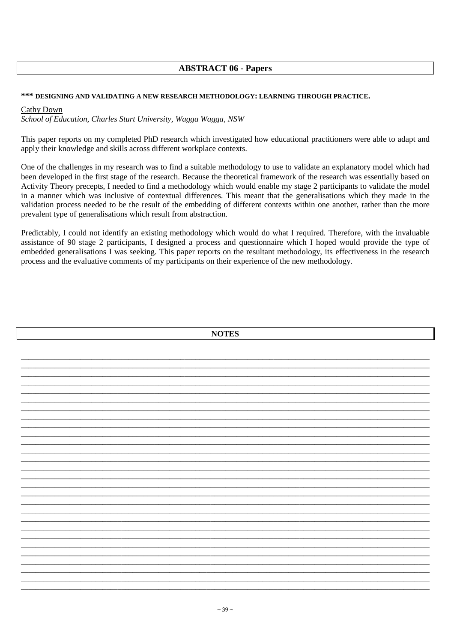## **ABSTRACT 06 - Papers**

#### \*\*\* DESIGNING AND VALIDATING A NEW RESEARCH METHODOLOGY: LEARNING THROUGH PRACTICE.

#### Cathy Down

School of Education, Charles Sturt University, Wagga Wagga, NSW

This paper reports on my completed PhD research which investigated how educational practitioners were able to adapt and apply their knowledge and skills across different workplace contexts.

One of the challenges in my research was to find a suitable methodology to use to validate an explanatory model which had been developed in the first stage of the research. Because the theoretical framework of the research was essentially based on Activity Theory precepts, I needed to find a methodology which would enable my stage 2 participants to validate the model in a manner which was inclusive of contextual differences. This meant that the generalisations which they made in the validation process needed to be the result of the embedding of different contexts within one another, rather than the more prevalent type of generalisations which result from abstraction.

Predictably, I could not identify an existing methodology which would do what I required. Therefore, with the invaluable assistance of 90 stage 2 participants. I designed a process and questionnaire which I hoped would provide the type of embedded generalisations I was seeking. This paper reports on the resultant methodology, its effectiveness in the research process and the evaluative comments of my participants on their experience of the new methodology.

| <b>NOTES</b> |  |
|--------------|--|
|              |  |
|              |  |
|              |  |
|              |  |
|              |  |
|              |  |
|              |  |
|              |  |
|              |  |
|              |  |
|              |  |
|              |  |
|              |  |
|              |  |
|              |  |
|              |  |
|              |  |
|              |  |
|              |  |
|              |  |
|              |  |
|              |  |
|              |  |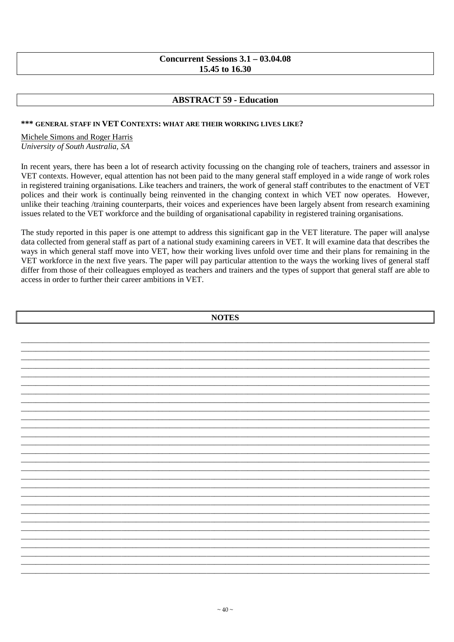## **Concurrent Sessions 3.1 – 03.04.08 15.45 to 16.30**

## **ABSTRACT 59 - Education**

### **\*\*\* GENERAL STAFF IN VET CONTEXTS: WHAT ARE THEIR WORKING LIVES LIKE?**

#### Michele Simons and Roger Harris *University of South Australia, SA*

In recent years, there has been a lot of research activity focussing on the changing role of teachers, trainers and assessor in VET contexts. However, equal attention has not been paid to the many general staff employed in a wide range of work roles in registered training organisations. Like teachers and trainers, the work of general staff contributes to the enactment of VET polices and their work is continually being reinvented in the changing context in which VET now operates. However, unlike their teaching /training counterparts, their voices and experiences have been largely absent from research examining issues related to the VET workforce and the building of organisational capability in registered training organisations.

The study reported in this paper is one attempt to address this significant gap in the VET literature. The paper will analyse data collected from general staff as part of a national study examining careers in VET. It will examine data that describes the ways in which general staff move into VET, how their working lives unfold over time and their plans for remaining in the VET workforce in the next five years. The paper will pay particular attention to the ways the working lives of general staff differ from those of their colleagues employed as teachers and trainers and the types of support that general staff are able to access in order to further their career ambitions in VET.

| <b>NOTES</b> |  |  |  |
|--------------|--|--|--|
|              |  |  |  |
|              |  |  |  |
|              |  |  |  |
|              |  |  |  |
|              |  |  |  |
|              |  |  |  |
|              |  |  |  |
|              |  |  |  |
|              |  |  |  |
|              |  |  |  |
|              |  |  |  |
|              |  |  |  |
|              |  |  |  |
|              |  |  |  |
|              |  |  |  |
|              |  |  |  |
|              |  |  |  |
|              |  |  |  |
|              |  |  |  |
|              |  |  |  |
|              |  |  |  |
|              |  |  |  |
|              |  |  |  |
|              |  |  |  |
|              |  |  |  |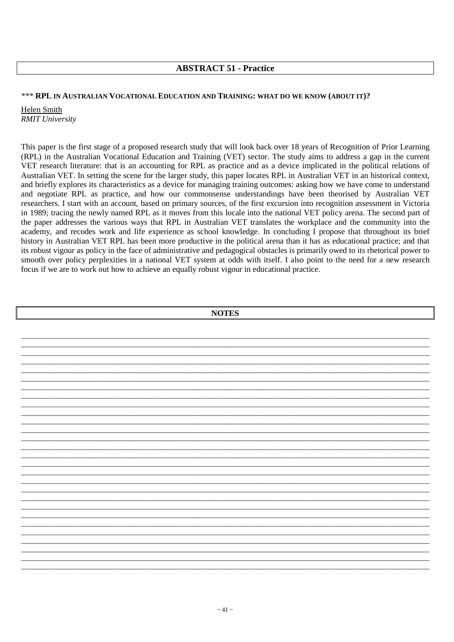## **ABSTRACT 51 - Practice**

### *\*\*\** **RPL IN AUSTRALIAN VOCATIONAL EDUCATION AND TRAINING: WHAT DO WE KNOW (ABOUT IT)?**

Helen Smith *RMIT University* 

This paper is the first stage of a proposed research study that will look back over 18 years of Recognition of Prior Learning (RPL) in the Australian Vocational Education and Training (VET) sector. The study aims to address a gap in the current VET research literature: that is an accounting for RPL as practice and as a device implicated in the political relations of Australian VET. In setting the scene for the larger study, this paper locates RPL in Australian VET in an historical context, and briefly explores its characteristics as a device for managing training outcomes: asking how we have come to understand and negotiate RPL as practice, and how our commonsense understandings have been theorised by Australian VET researchers. I start with an account, based on primary sources, of the first excursion into recognition assessment in Victoria in 1989; tracing the newly named RPL as it moves from this locale into the national VET policy arena. The second part of the paper addresses the various ways that RPL in Australian VET translates the workplace and the community into the academy, and recodes work and life experience as school knowledge. In concluding I propose that throughout its brief history in Australian VET RPL has been more productive in the political arena than it has as educational practice; and that its robust vigour as policy in the face of administrative and pedagogical obstacles is primarily owed to its rhetorical power to smooth over policy perplexities in a national VET system at odds with itself. I also point to the need for a new research focus if we are to work out how to achieve an equally robust vigour in educational practice.

| <b>NOTES</b> |  |  |  |
|--------------|--|--|--|
|              |  |  |  |
|              |  |  |  |
|              |  |  |  |
|              |  |  |  |
|              |  |  |  |
|              |  |  |  |
|              |  |  |  |
|              |  |  |  |
|              |  |  |  |
|              |  |  |  |
|              |  |  |  |
|              |  |  |  |
|              |  |  |  |
|              |  |  |  |
|              |  |  |  |
|              |  |  |  |
|              |  |  |  |
|              |  |  |  |
|              |  |  |  |
|              |  |  |  |
|              |  |  |  |
|              |  |  |  |
|              |  |  |  |
|              |  |  |  |
|              |  |  |  |
|              |  |  |  |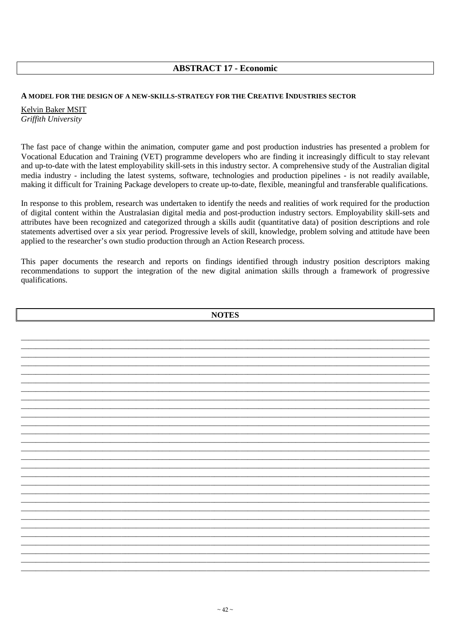# **ABSTRACT 17 - Economic**

### **A MODEL FOR THE DESIGN OF A NEW-SKILLS-STRATEGY FOR THE CREATIVE INDUSTRIES SECTOR**

Kelvin Baker MSIT *Griffith University* 

The fast pace of change within the animation, computer game and post production industries has presented a problem for Vocational Education and Training (VET) programme developers who are finding it increasingly difficult to stay relevant and up-to-date with the latest employability skill-sets in this industry sector. A comprehensive study of the Australian digital media industry - including the latest systems, software, technologies and production pipelines - is not readily available, making it difficult for Training Package developers to create up-to-date, flexible, meaningful and transferable qualifications.

In response to this problem, research was undertaken to identify the needs and realities of work required for the production of digital content within the Australasian digital media and post-production industry sectors. Employability skill-sets and attributes have been recognized and categorized through a skills audit (quantitative data) of position descriptions and role statements advertised over a six year period. Progressive levels of skill, knowledge, problem solving and attitude have been applied to the researcher's own studio production through an Action Research process.

This paper documents the research and reports on findings identified through industry position descriptors making recommendations to support the integration of the new digital animation skills through a framework of progressive qualifications.

| <b>NOTES</b> |  |
|--------------|--|
|              |  |
|              |  |
|              |  |
|              |  |
|              |  |
|              |  |
|              |  |
|              |  |
|              |  |
|              |  |
|              |  |
|              |  |
|              |  |
|              |  |
|              |  |
|              |  |
|              |  |
|              |  |
|              |  |
|              |  |
|              |  |
|              |  |
|              |  |
|              |  |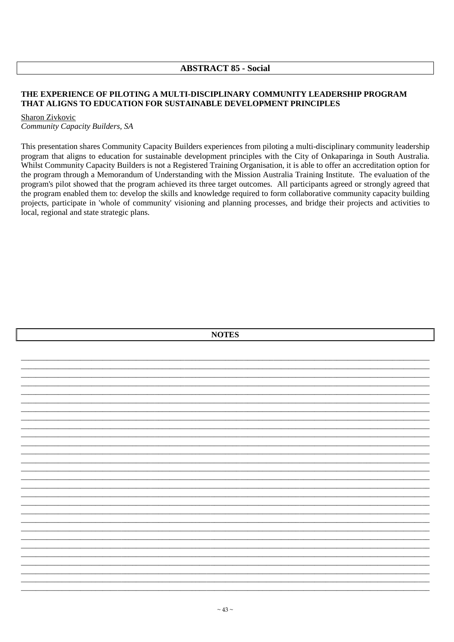## **ABSTRACT 85 - Social**

### THE EXPERIENCE OF PILOTING A MULTI-DISCIPLINARY COMMUNITY LEADERSHIP PROGRAM THAT ALIGNS TO EDUCATION FOR SUSTAINABLE DEVELOPMENT PRINCIPLES

#### Sharon Zivkovic

Community Capacity Builders, SA

This presentation shares Community Capacity Builders experiences from piloting a multi-disciplinary community leadership program that aligns to education for sustainable development principles with the City of Onkaparinga in South Australia. Whilst Community Capacity Builders is not a Registered Training Organisation, it is able to offer an accreditation option for the program through a Memorandum of Understanding with the Mission Australia Training Institute. The evaluation of the program's pilot showed that the program achieved its three target outcomes. All participants agreed or strongly agreed that the program enabled them to: develop the skills and knowledge required to form collaborative community capacity building projects, participate in 'whole of community' visioning and planning processes, and bridge their projects and activities to local, regional and state strategic plans.

| <b>NOTES</b> |  |  |
|--------------|--|--|
|              |  |  |
|              |  |  |
|              |  |  |
|              |  |  |
|              |  |  |
|              |  |  |
|              |  |  |
|              |  |  |
|              |  |  |
|              |  |  |
|              |  |  |
|              |  |  |
|              |  |  |
|              |  |  |
|              |  |  |
|              |  |  |
|              |  |  |
|              |  |  |
|              |  |  |
|              |  |  |
|              |  |  |
|              |  |  |
|              |  |  |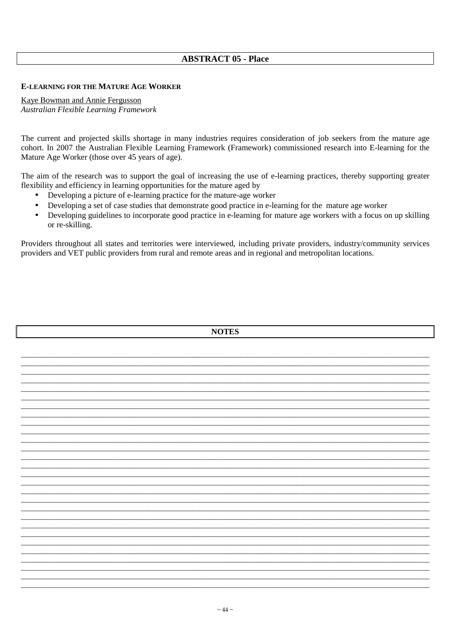## **ABSTRACT 05 - Place**

### **E-LEARNING FOR THE MATURE AGE WORKER**

Kaye Bowman and Annie Fergusson Australian Flexible Learning Framework

The current and projected skills shortage in many industries requires consideration of job seekers from the mature age cohort. In 2007 the Australian Flexible Learning Framework (Framework) commissioned research into E-learning for the Mature Age Worker (those over 45 years of age).

The aim of the research was to support the goal of increasing the use of e-learning practices, thereby supporting greater flexibility and efficiency in learning opportunities for the mature aged by

- Developing a picture of e-learning practice for the mature-age worker
- $\bullet$ Developing a set of case studies that demonstrate good practice in e-learning for the mature age worker
- Developing guidelines to incorporate good practice in e-learning for mature age workers with a focus on up skilling or re-skilling.

Providers throughout all states and territories were interviewed, including private providers, industry/community services providers and VET public providers from rural and remote areas and in regional and metropolitan locations.

| <b>NOTES</b> |  |  |  |  |
|--------------|--|--|--|--|
|              |  |  |  |  |
|              |  |  |  |  |
|              |  |  |  |  |
|              |  |  |  |  |
|              |  |  |  |  |
|              |  |  |  |  |
|              |  |  |  |  |
|              |  |  |  |  |
|              |  |  |  |  |
|              |  |  |  |  |
|              |  |  |  |  |
|              |  |  |  |  |
|              |  |  |  |  |
|              |  |  |  |  |
|              |  |  |  |  |
|              |  |  |  |  |
|              |  |  |  |  |
|              |  |  |  |  |
|              |  |  |  |  |
|              |  |  |  |  |
|              |  |  |  |  |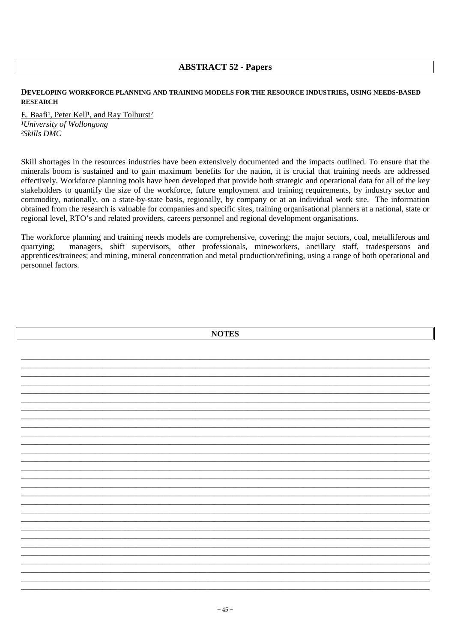## **ABSTRACT 52 - Papers**

### DEVELOPING WORKFORCE PLANNING AND TRAINING MODELS FOR THE RESOURCE INDUSTRIES, USING NEEDS-BASED **RESEARCH**

E. Baafi<sup>1</sup>, Peter Kell<sup>1</sup>, and Ray Tolhurst<sup>2</sup> <sup>1</sup>University of Wollongong  $2$ Skills DMC

Skill shortages in the resources industries have been extensively documented and the impacts outlined. To ensure that the minerals boom is sustained and to gain maximum benefits for the nation, it is crucial that training needs are addressed effectively. Workforce planning tools have been developed that provide both strategic and operational data for all of the key stakeholders to quantify the size of the workforce, future employment and training requirements, by industry sector and commodity, nationally, on a state-by-state basis, regionally, by company or at an individual work site. The information obtained from the research is valuable for companies and specific sites, training organisational planners at a national, state or regional level, RTO's and related providers, careers personnel and regional development organisations.

The workforce planning and training needs models are comprehensive, covering; the major sectors, coal, metalliferous and quarrying: managers, shift supervisors, other professionals, mineworkers, ancillary staff, tradespersons and apprentices/trainees; and mining, mineral concentration and metal production/refining, using a range of both operational and personnel factors.

| <b>NOTES</b> |  |  |
|--------------|--|--|
|              |  |  |
|              |  |  |
|              |  |  |
|              |  |  |
|              |  |  |
|              |  |  |
|              |  |  |
|              |  |  |
|              |  |  |
|              |  |  |
|              |  |  |
|              |  |  |
|              |  |  |
|              |  |  |
|              |  |  |
|              |  |  |
|              |  |  |
|              |  |  |
|              |  |  |
|              |  |  |
|              |  |  |
|              |  |  |
|              |  |  |
|              |  |  |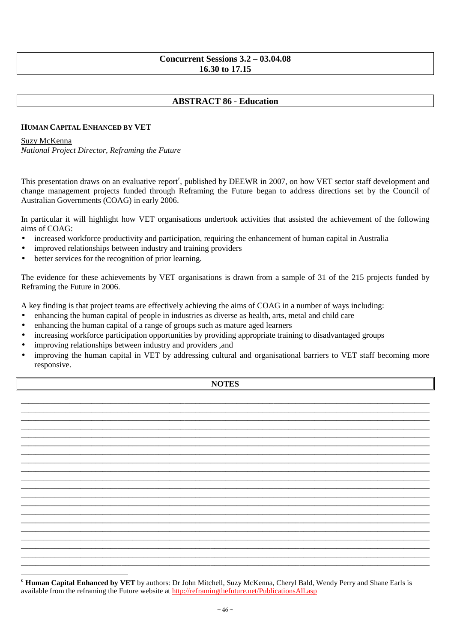## **Concurrent Sessions 3.2 – 03.04.08 16.30 to 17.15**

# **ABSTRACT 86 - Education**

### **HUMAN CAPITAL ENHANCED BY VET**

#### Suzy McKenna

-

*National Project Director, Reframing the Future*

This presentation draws on an evaluative report<sup>c</sup>, published by DEEWR in 2007, on how VET sector staff development and change management projects funded through Reframing the Future began to address directions set by the Council of Australian Governments (COAG) in early 2006.

In particular it will highlight how VET organisations undertook activities that assisted the achievement of the following aims of COAG:

- increased workforce productivity and participation, requiring the enhancement of human capital in Australia
- improved relationships between industry and training providers
- better services for the recognition of prior learning.

The evidence for these achievements by VET organisations is drawn from a sample of 31 of the 215 projects funded by Reframing the Future in 2006.

A key finding is that project teams are effectively achieving the aims of COAG in a number of ways including:

- enhancing the human capital of people in industries as diverse as health, arts, metal and child care
- enhancing the human capital of a range of groups such as mature aged learners
- increasing workforce participation opportunities by providing appropriate training to disadvantaged groups
- improving relationships between industry and providers, and
- improving the human capital in VET by addressing cultural and organisational barriers to VET staff becoming more responsive.

### **NOTES**

\_\_\_\_\_\_\_\_\_\_\_\_\_\_\_\_\_\_\_\_\_\_\_\_\_\_\_\_\_\_\_\_\_\_\_\_\_\_\_\_\_\_\_\_\_\_\_\_\_\_\_\_\_\_\_\_\_\_\_\_\_\_\_\_\_\_\_\_\_\_\_\_\_\_\_\_\_\_\_\_\_\_\_\_\_\_\_\_\_\_\_\_\_\_\_\_\_\_\_\_\_\_\_\_\_\_\_\_\_\_ \_\_\_\_\_\_\_\_\_\_\_\_\_\_\_\_\_\_\_\_\_\_\_\_\_\_\_\_\_\_\_\_\_\_\_\_\_\_\_\_\_\_\_\_\_\_\_\_\_\_\_\_\_\_\_\_\_\_\_\_\_\_\_\_\_\_\_\_\_\_\_\_\_\_\_\_\_\_\_\_\_\_\_\_\_\_\_\_\_\_\_\_\_\_\_\_\_\_\_\_\_\_\_\_\_\_\_\_\_\_ \_\_\_\_\_\_\_\_\_\_\_\_\_\_\_\_\_\_\_\_\_\_\_\_\_\_\_\_\_\_\_\_\_\_\_\_\_\_\_\_\_\_\_\_\_\_\_\_\_\_\_\_\_\_\_\_\_\_\_\_\_\_\_\_\_\_\_\_\_\_\_\_\_\_\_\_\_\_\_\_\_\_\_\_\_\_\_\_\_\_\_\_\_\_\_\_\_\_\_\_\_\_\_\_\_\_\_\_\_\_ \_\_\_\_\_\_\_\_\_\_\_\_\_\_\_\_\_\_\_\_\_\_\_\_\_\_\_\_\_\_\_\_\_\_\_\_\_\_\_\_\_\_\_\_\_\_\_\_\_\_\_\_\_\_\_\_\_\_\_\_\_\_\_\_\_\_\_\_\_\_\_\_\_\_\_\_\_\_\_\_\_\_\_\_\_\_\_\_\_\_\_\_\_\_\_\_\_\_\_\_\_\_\_\_\_\_\_\_\_\_ \_\_\_\_\_\_\_\_\_\_\_\_\_\_\_\_\_\_\_\_\_\_\_\_\_\_\_\_\_\_\_\_\_\_\_\_\_\_\_\_\_\_\_\_\_\_\_\_\_\_\_\_\_\_\_\_\_\_\_\_\_\_\_\_\_\_\_\_\_\_\_\_\_\_\_\_\_\_\_\_\_\_\_\_\_\_\_\_\_\_\_\_\_\_\_\_\_\_\_\_\_\_\_\_\_\_\_\_\_\_ \_\_\_\_\_\_\_\_\_\_\_\_\_\_\_\_\_\_\_\_\_\_\_\_\_\_\_\_\_\_\_\_\_\_\_\_\_\_\_\_\_\_\_\_\_\_\_\_\_\_\_\_\_\_\_\_\_\_\_\_\_\_\_\_\_\_\_\_\_\_\_\_\_\_\_\_\_\_\_\_\_\_\_\_\_\_\_\_\_\_\_\_\_\_\_\_\_\_\_\_\_\_\_\_\_\_\_\_\_\_ \_\_\_\_\_\_\_\_\_\_\_\_\_\_\_\_\_\_\_\_\_\_\_\_\_\_\_\_\_\_\_\_\_\_\_\_\_\_\_\_\_\_\_\_\_\_\_\_\_\_\_\_\_\_\_\_\_\_\_\_\_\_\_\_\_\_\_\_\_\_\_\_\_\_\_\_\_\_\_\_\_\_\_\_\_\_\_\_\_\_\_\_\_\_\_\_\_\_\_\_\_\_\_\_\_\_\_\_\_\_ \_\_\_\_\_\_\_\_\_\_\_\_\_\_\_\_\_\_\_\_\_\_\_\_\_\_\_\_\_\_\_\_\_\_\_\_\_\_\_\_\_\_\_\_\_\_\_\_\_\_\_\_\_\_\_\_\_\_\_\_\_\_\_\_\_\_\_\_\_\_\_\_\_\_\_\_\_\_\_\_\_\_\_\_\_\_\_\_\_\_\_\_\_\_\_\_\_\_\_\_\_\_\_\_\_\_\_\_\_\_ \_\_\_\_\_\_\_\_\_\_\_\_\_\_\_\_\_\_\_\_\_\_\_\_\_\_\_\_\_\_\_\_\_\_\_\_\_\_\_\_\_\_\_\_\_\_\_\_\_\_\_\_\_\_\_\_\_\_\_\_\_\_\_\_\_\_\_\_\_\_\_\_\_\_\_\_\_\_\_\_\_\_\_\_\_\_\_\_\_\_\_\_\_\_\_\_\_\_\_\_\_\_\_\_\_\_\_\_\_\_ \_\_\_\_\_\_\_\_\_\_\_\_\_\_\_\_\_\_\_\_\_\_\_\_\_\_\_\_\_\_\_\_\_\_\_\_\_\_\_\_\_\_\_\_\_\_\_\_\_\_\_\_\_\_\_\_\_\_\_\_\_\_\_\_\_\_\_\_\_\_\_\_\_\_\_\_\_\_\_\_\_\_\_\_\_\_\_\_\_\_\_\_\_\_\_\_\_\_\_\_\_\_\_\_\_\_\_\_\_\_ \_\_\_\_\_\_\_\_\_\_\_\_\_\_\_\_\_\_\_\_\_\_\_\_\_\_\_\_\_\_\_\_\_\_\_\_\_\_\_\_\_\_\_\_\_\_\_\_\_\_\_\_\_\_\_\_\_\_\_\_\_\_\_\_\_\_\_\_\_\_\_\_\_\_\_\_\_\_\_\_\_\_\_\_\_\_\_\_\_\_\_\_\_\_\_\_\_\_\_\_\_\_\_\_\_\_\_\_\_\_ \_\_\_\_\_\_\_\_\_\_\_\_\_\_\_\_\_\_\_\_\_\_\_\_\_\_\_\_\_\_\_\_\_\_\_\_\_\_\_\_\_\_\_\_\_\_\_\_\_\_\_\_\_\_\_\_\_\_\_\_\_\_\_\_\_\_\_\_\_\_\_\_\_\_\_\_\_\_\_\_\_\_\_\_\_\_\_\_\_\_\_\_\_\_\_\_\_\_\_\_\_\_\_\_\_\_\_\_\_\_ \_\_\_\_\_\_\_\_\_\_\_\_\_\_\_\_\_\_\_\_\_\_\_\_\_\_\_\_\_\_\_\_\_\_\_\_\_\_\_\_\_\_\_\_\_\_\_\_\_\_\_\_\_\_\_\_\_\_\_\_\_\_\_\_\_\_\_\_\_\_\_\_\_\_\_\_\_\_\_\_\_\_\_\_\_\_\_\_\_\_\_\_\_\_\_\_\_\_\_\_\_\_\_\_\_\_\_\_\_\_ \_\_\_\_\_\_\_\_\_\_\_\_\_\_\_\_\_\_\_\_\_\_\_\_\_\_\_\_\_\_\_\_\_\_\_\_\_\_\_\_\_\_\_\_\_\_\_\_\_\_\_\_\_\_\_\_\_\_\_\_\_\_\_\_\_\_\_\_\_\_\_\_\_\_\_\_\_\_\_\_\_\_\_\_\_\_\_\_\_\_\_\_\_\_\_\_\_\_\_\_\_\_\_\_\_\_\_\_\_\_ \_\_\_\_\_\_\_\_\_\_\_\_\_\_\_\_\_\_\_\_\_\_\_\_\_\_\_\_\_\_\_\_\_\_\_\_\_\_\_\_\_\_\_\_\_\_\_\_\_\_\_\_\_\_\_\_\_\_\_\_\_\_\_\_\_\_\_\_\_\_\_\_\_\_\_\_\_\_\_\_\_\_\_\_\_\_\_\_\_\_\_\_\_\_\_\_\_\_\_\_\_\_\_\_\_\_\_\_\_\_ \_\_\_\_\_\_\_\_\_\_\_\_\_\_\_\_\_\_\_\_\_\_\_\_\_\_\_\_\_\_\_\_\_\_\_\_\_\_\_\_\_\_\_\_\_\_\_\_\_\_\_\_\_\_\_\_\_\_\_\_\_\_\_\_\_\_\_\_\_\_\_\_\_\_\_\_\_\_\_\_\_\_\_\_\_\_\_\_\_\_\_\_\_\_\_\_\_\_\_\_\_\_\_\_\_\_\_\_\_\_ \_\_\_\_\_\_\_\_\_\_\_\_\_\_\_\_\_\_\_\_\_\_\_\_\_\_\_\_\_\_\_\_\_\_\_\_\_\_\_\_\_\_\_\_\_\_\_\_\_\_\_\_\_\_\_\_\_\_\_\_\_\_\_\_\_\_\_\_\_\_\_\_\_\_\_\_\_\_\_\_\_\_\_\_\_\_\_\_\_\_\_\_\_\_\_\_\_\_\_\_\_\_\_\_\_\_\_\_\_\_ \_\_\_\_\_\_\_\_\_\_\_\_\_\_\_\_\_\_\_\_\_\_\_\_\_\_\_\_\_\_\_\_\_\_\_\_\_\_\_\_\_\_\_\_\_\_\_\_\_\_\_\_\_\_\_\_\_\_\_\_\_\_\_\_\_\_\_\_\_\_\_\_\_\_\_\_\_\_\_\_\_\_\_\_\_\_\_\_\_\_\_\_\_\_\_\_\_\_\_\_\_\_\_\_\_\_\_\_\_\_ \_\_\_\_\_\_\_\_\_\_\_\_\_\_\_\_\_\_\_\_\_\_\_\_\_\_\_\_\_\_\_\_\_\_\_\_\_\_\_\_\_\_\_\_\_\_\_\_\_\_\_\_\_\_\_\_\_\_\_\_\_\_\_\_\_\_\_\_\_\_\_\_\_\_\_\_\_\_\_\_\_\_\_\_\_\_\_\_\_\_\_\_\_\_\_\_\_\_\_\_\_\_\_\_\_\_\_\_\_\_ \_\_\_\_\_\_\_\_\_\_\_\_\_\_\_\_\_\_\_\_\_\_\_\_\_\_\_\_\_\_\_\_\_\_\_\_\_\_\_\_\_\_\_\_\_\_\_\_\_\_\_\_\_\_\_\_\_\_\_\_\_\_\_\_\_\_\_\_\_\_\_\_\_\_\_\_\_\_\_\_\_\_\_\_\_\_\_\_\_\_\_\_\_\_\_\_\_\_\_\_\_\_\_\_\_\_\_\_\_\_

**<sup>c</sup> Human Capital Enhanced by VET** by authors: Dr John Mitchell, Suzy McKenna, Cheryl Bald, Wendy Perry and Shane Earls is available from the reframing the Future website at http://reframingthefuture.net/PublicationsAll.asp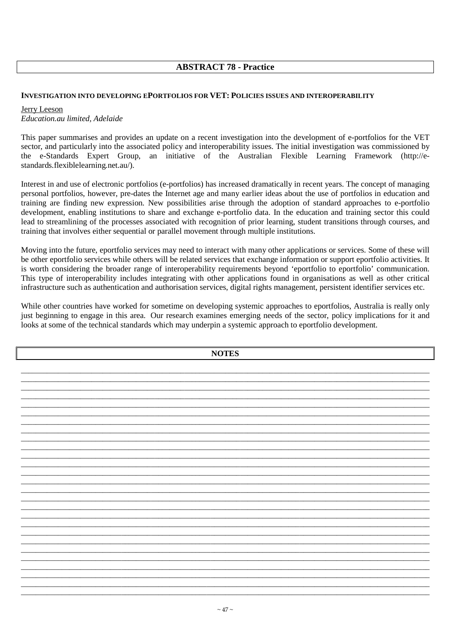# **ABSTRACT 78 - Practice**

### **INVESTIGATION INTO DEVELOPING EPORTFOLIOS FOR VET: POLICIES ISSUES AND INTEROPERABILITY**

Jerry Leeson *Education.au limited, Adelaide* 

This paper summarises and provides an update on a recent investigation into the development of e-portfolios for the VET sector, and particularly into the associated policy and interoperability issues. The initial investigation was commissioned by the e-Standards Expert Group, an initiative of the Australian Flexible Learning Framework (http://estandards.flexiblelearning.net.au/).

Interest in and use of electronic portfolios (e-portfolios) has increased dramatically in recent years. The concept of managing personal portfolios, however, pre-dates the Internet age and many earlier ideas about the use of portfolios in education and training are finding new expression. New possibilities arise through the adoption of standard approaches to e-portfolio development, enabling institutions to share and exchange e-portfolio data. In the education and training sector this could lead to streamlining of the processes associated with recognition of prior learning, student transitions through courses, and training that involves either sequential or parallel movement through multiple institutions.

Moving into the future, eportfolio services may need to interact with many other applications or services. Some of these will be other eportfolio services while others will be related services that exchange information or support eportfolio activities. It is worth considering the broader range of interoperability requirements beyond 'eportfolio to eportfolio' communication. This type of interoperability includes integrating with other applications found in organisations as well as other critical infrastructure such as authentication and authorisation services, digital rights management, persistent identifier services etc.

While other countries have worked for sometime on developing systemic approaches to eportfolios. Australia is really only just beginning to engage in this area. Our research examines emerging needs of the sector, policy implications for it and looks at some of the technical standards which may underpin a systemic approach to eportfolio development.

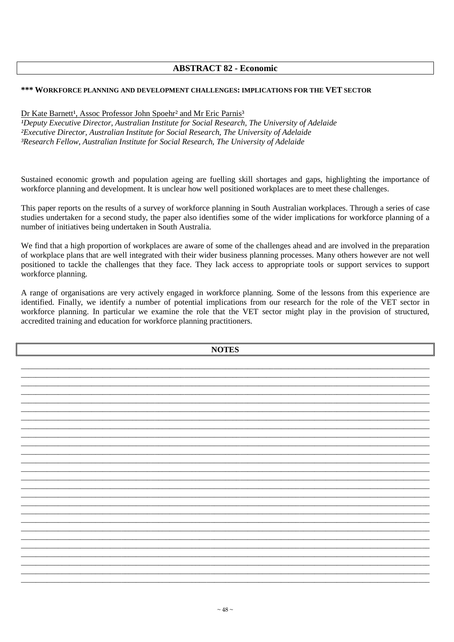# **ABSTRACT 82 - Economic**

### **\*\*\* WORKFORCE PLANNING AND DEVELOPMENT CHALLENGES: IMPLICATIONS FOR THE VET SECTOR**

### Dr Kate Barnett<sup>1</sup>, Assoc Professor John Spoehr<sup>2</sup> and Mr Eric Parnis<sup>3</sup>

<sup>1</sup>Deputy Executive Director, Australian Institute for Social Research, The University of Adelaide *²Executive Director, Australian Institute for Social Research, The University of Adelaide ³Research Fellow, Australian Institute for Social Research, The University of Adelaide* 

Sustained economic growth and population ageing are fuelling skill shortages and gaps, highlighting the importance of workforce planning and development. It is unclear how well positioned workplaces are to meet these challenges.

This paper reports on the results of a survey of workforce planning in South Australian workplaces. Through a series of case studies undertaken for a second study, the paper also identifies some of the wider implications for workforce planning of a number of initiatives being undertaken in South Australia.

We find that a high proportion of workplaces are aware of some of the challenges ahead and are involved in the preparation of workplace plans that are well integrated with their wider business planning processes. Many others however are not well positioned to tackle the challenges that they face. They lack access to appropriate tools or support services to support workforce planning.

A range of organisations are very actively engaged in workforce planning. Some of the lessons from this experience are identified. Finally, we identify a number of potential implications from our research for the role of the VET sector in workforce planning. In particular we examine the role that the VET sector might play in the provision of structured, accredited training and education for workforce planning practitioners.

**NOTES**  \_\_\_\_\_\_\_\_\_\_\_\_\_\_\_\_\_\_\_\_\_\_\_\_\_\_\_\_\_\_\_\_\_\_\_\_\_\_\_\_\_\_\_\_\_\_\_\_\_\_\_\_\_\_\_\_\_\_\_\_\_\_\_\_\_\_\_\_\_\_\_\_\_\_\_\_\_\_\_\_\_\_\_\_\_\_\_\_\_\_\_\_\_\_\_\_\_\_\_\_\_\_\_\_\_\_\_\_\_\_ \_\_\_\_\_\_\_\_\_\_\_\_\_\_\_\_\_\_\_\_\_\_\_\_\_\_\_\_\_\_\_\_\_\_\_\_\_\_\_\_\_\_\_\_\_\_\_\_\_\_\_\_\_\_\_\_\_\_\_\_\_\_\_\_\_\_\_\_\_\_\_\_\_\_\_\_\_\_\_\_\_\_\_\_\_\_\_\_\_\_\_\_\_\_\_\_\_\_\_\_\_\_\_\_\_\_\_\_\_\_ \_\_\_\_\_\_\_\_\_\_\_\_\_\_\_\_\_\_\_\_\_\_\_\_\_\_\_\_\_\_\_\_\_\_\_\_\_\_\_\_\_\_\_\_\_\_\_\_\_\_\_\_\_\_\_\_\_\_\_\_\_\_\_\_\_\_\_\_\_\_\_\_\_\_\_\_\_\_\_\_\_\_\_\_\_\_\_\_\_\_\_\_\_\_\_\_\_\_\_\_\_\_\_\_\_\_\_\_\_\_ \_\_\_\_\_\_\_\_\_\_\_\_\_\_\_\_\_\_\_\_\_\_\_\_\_\_\_\_\_\_\_\_\_\_\_\_\_\_\_\_\_\_\_\_\_\_\_\_\_\_\_\_\_\_\_\_\_\_\_\_\_\_\_\_\_\_\_\_\_\_\_\_\_\_\_\_\_\_\_\_\_\_\_\_\_\_\_\_\_\_\_\_\_\_\_\_\_\_\_\_\_\_\_\_\_\_\_\_\_\_ \_\_\_\_\_\_\_\_\_\_\_\_\_\_\_\_\_\_\_\_\_\_\_\_\_\_\_\_\_\_\_\_\_\_\_\_\_\_\_\_\_\_\_\_\_\_\_\_\_\_\_\_\_\_\_\_\_\_\_\_\_\_\_\_\_\_\_\_\_\_\_\_\_\_\_\_\_\_\_\_\_\_\_\_\_\_\_\_\_\_\_\_\_\_\_\_\_\_\_\_\_\_\_\_\_\_\_\_\_\_ \_\_\_\_\_\_\_\_\_\_\_\_\_\_\_\_\_\_\_\_\_\_\_\_\_\_\_\_\_\_\_\_\_\_\_\_\_\_\_\_\_\_\_\_\_\_\_\_\_\_\_\_\_\_\_\_\_\_\_\_\_\_\_\_\_\_\_\_\_\_\_\_\_\_\_\_\_\_\_\_\_\_\_\_\_\_\_\_\_\_\_\_\_\_\_\_\_\_\_\_\_\_\_\_\_\_\_\_\_\_ \_\_\_\_\_\_\_\_\_\_\_\_\_\_\_\_\_\_\_\_\_\_\_\_\_\_\_\_\_\_\_\_\_\_\_\_\_\_\_\_\_\_\_\_\_\_\_\_\_\_\_\_\_\_\_\_\_\_\_\_\_\_\_\_\_\_\_\_\_\_\_\_\_\_\_\_\_\_\_\_\_\_\_\_\_\_\_\_\_\_\_\_\_\_\_\_\_\_\_\_\_\_\_\_\_\_\_\_\_\_ \_\_\_\_\_\_\_\_\_\_\_\_\_\_\_\_\_\_\_\_\_\_\_\_\_\_\_\_\_\_\_\_\_\_\_\_\_\_\_\_\_\_\_\_\_\_\_\_\_\_\_\_\_\_\_\_\_\_\_\_\_\_\_\_\_\_\_\_\_\_\_\_\_\_\_\_\_\_\_\_\_\_\_\_\_\_\_\_\_\_\_\_\_\_\_\_\_\_\_\_\_\_\_\_\_\_\_\_\_\_ \_\_\_\_\_\_\_\_\_\_\_\_\_\_\_\_\_\_\_\_\_\_\_\_\_\_\_\_\_\_\_\_\_\_\_\_\_\_\_\_\_\_\_\_\_\_\_\_\_\_\_\_\_\_\_\_\_\_\_\_\_\_\_\_\_\_\_\_\_\_\_\_\_\_\_\_\_\_\_\_\_\_\_\_\_\_\_\_\_\_\_\_\_\_\_\_\_\_\_\_\_\_\_\_\_\_\_\_\_\_ \_\_\_\_\_\_\_\_\_\_\_\_\_\_\_\_\_\_\_\_\_\_\_\_\_\_\_\_\_\_\_\_\_\_\_\_\_\_\_\_\_\_\_\_\_\_\_\_\_\_\_\_\_\_\_\_\_\_\_\_\_\_\_\_\_\_\_\_\_\_\_\_\_\_\_\_\_\_\_\_\_\_\_\_\_\_\_\_\_\_\_\_\_\_\_\_\_\_\_\_\_\_\_\_\_\_\_\_\_\_ \_\_\_\_\_\_\_\_\_\_\_\_\_\_\_\_\_\_\_\_\_\_\_\_\_\_\_\_\_\_\_\_\_\_\_\_\_\_\_\_\_\_\_\_\_\_\_\_\_\_\_\_\_\_\_\_\_\_\_\_\_\_\_\_\_\_\_\_\_\_\_\_\_\_\_\_\_\_\_\_\_\_\_\_\_\_\_\_\_\_\_\_\_\_\_\_\_\_\_\_\_\_\_\_\_\_\_\_\_\_ \_\_\_\_\_\_\_\_\_\_\_\_\_\_\_\_\_\_\_\_\_\_\_\_\_\_\_\_\_\_\_\_\_\_\_\_\_\_\_\_\_\_\_\_\_\_\_\_\_\_\_\_\_\_\_\_\_\_\_\_\_\_\_\_\_\_\_\_\_\_\_\_\_\_\_\_\_\_\_\_\_\_\_\_\_\_\_\_\_\_\_\_\_\_\_\_\_\_\_\_\_\_\_\_\_\_\_\_\_\_ \_\_\_\_\_\_\_\_\_\_\_\_\_\_\_\_\_\_\_\_\_\_\_\_\_\_\_\_\_\_\_\_\_\_\_\_\_\_\_\_\_\_\_\_\_\_\_\_\_\_\_\_\_\_\_\_\_\_\_\_\_\_\_\_\_\_\_\_\_\_\_\_\_\_\_\_\_\_\_\_\_\_\_\_\_\_\_\_\_\_\_\_\_\_\_\_\_\_\_\_\_\_\_\_\_\_\_\_\_\_ \_\_\_\_\_\_\_\_\_\_\_\_\_\_\_\_\_\_\_\_\_\_\_\_\_\_\_\_\_\_\_\_\_\_\_\_\_\_\_\_\_\_\_\_\_\_\_\_\_\_\_\_\_\_\_\_\_\_\_\_\_\_\_\_\_\_\_\_\_\_\_\_\_\_\_\_\_\_\_\_\_\_\_\_\_\_\_\_\_\_\_\_\_\_\_\_\_\_\_\_\_\_\_\_\_\_\_\_\_\_ \_\_\_\_\_\_\_\_\_\_\_\_\_\_\_\_\_\_\_\_\_\_\_\_\_\_\_\_\_\_\_\_\_\_\_\_\_\_\_\_\_\_\_\_\_\_\_\_\_\_\_\_\_\_\_\_\_\_\_\_\_\_\_\_\_\_\_\_\_\_\_\_\_\_\_\_\_\_\_\_\_\_\_\_\_\_\_\_\_\_\_\_\_\_\_\_\_\_\_\_\_\_\_\_\_\_\_\_\_\_ \_\_\_\_\_\_\_\_\_\_\_\_\_\_\_\_\_\_\_\_\_\_\_\_\_\_\_\_\_\_\_\_\_\_\_\_\_\_\_\_\_\_\_\_\_\_\_\_\_\_\_\_\_\_\_\_\_\_\_\_\_\_\_\_\_\_\_\_\_\_\_\_\_\_\_\_\_\_\_\_\_\_\_\_\_\_\_\_\_\_\_\_\_\_\_\_\_\_\_\_\_\_\_\_\_\_\_\_\_\_ \_\_\_\_\_\_\_\_\_\_\_\_\_\_\_\_\_\_\_\_\_\_\_\_\_\_\_\_\_\_\_\_\_\_\_\_\_\_\_\_\_\_\_\_\_\_\_\_\_\_\_\_\_\_\_\_\_\_\_\_\_\_\_\_\_\_\_\_\_\_\_\_\_\_\_\_\_\_\_\_\_\_\_\_\_\_\_\_\_\_\_\_\_\_\_\_\_\_\_\_\_\_\_\_\_\_\_\_\_\_ \_\_\_\_\_\_\_\_\_\_\_\_\_\_\_\_\_\_\_\_\_\_\_\_\_\_\_\_\_\_\_\_\_\_\_\_\_\_\_\_\_\_\_\_\_\_\_\_\_\_\_\_\_\_\_\_\_\_\_\_\_\_\_\_\_\_\_\_\_\_\_\_\_\_\_\_\_\_\_\_\_\_\_\_\_\_\_\_\_\_\_\_\_\_\_\_\_\_\_\_\_\_\_\_\_\_\_\_\_\_ \_\_\_\_\_\_\_\_\_\_\_\_\_\_\_\_\_\_\_\_\_\_\_\_\_\_\_\_\_\_\_\_\_\_\_\_\_\_\_\_\_\_\_\_\_\_\_\_\_\_\_\_\_\_\_\_\_\_\_\_\_\_\_\_\_\_\_\_\_\_\_\_\_\_\_\_\_\_\_\_\_\_\_\_\_\_\_\_\_\_\_\_\_\_\_\_\_\_\_\_\_\_\_\_\_\_\_\_\_\_ \_\_\_\_\_\_\_\_\_\_\_\_\_\_\_\_\_\_\_\_\_\_\_\_\_\_\_\_\_\_\_\_\_\_\_\_\_\_\_\_\_\_\_\_\_\_\_\_\_\_\_\_\_\_\_\_\_\_\_\_\_\_\_\_\_\_\_\_\_\_\_\_\_\_\_\_\_\_\_\_\_\_\_\_\_\_\_\_\_\_\_\_\_\_\_\_\_\_\_\_\_\_\_\_\_\_\_\_\_\_ \_\_\_\_\_\_\_\_\_\_\_\_\_\_\_\_\_\_\_\_\_\_\_\_\_\_\_\_\_\_\_\_\_\_\_\_\_\_\_\_\_\_\_\_\_\_\_\_\_\_\_\_\_\_\_\_\_\_\_\_\_\_\_\_\_\_\_\_\_\_\_\_\_\_\_\_\_\_\_\_\_\_\_\_\_\_\_\_\_\_\_\_\_\_\_\_\_\_\_\_\_\_\_\_\_\_\_\_\_\_ \_\_\_\_\_\_\_\_\_\_\_\_\_\_\_\_\_\_\_\_\_\_\_\_\_\_\_\_\_\_\_\_\_\_\_\_\_\_\_\_\_\_\_\_\_\_\_\_\_\_\_\_\_\_\_\_\_\_\_\_\_\_\_\_\_\_\_\_\_\_\_\_\_\_\_\_\_\_\_\_\_\_\_\_\_\_\_\_\_\_\_\_\_\_\_\_\_\_\_\_\_\_\_\_\_\_\_\_\_\_ \_\_\_\_\_\_\_\_\_\_\_\_\_\_\_\_\_\_\_\_\_\_\_\_\_\_\_\_\_\_\_\_\_\_\_\_\_\_\_\_\_\_\_\_\_\_\_\_\_\_\_\_\_\_\_\_\_\_\_\_\_\_\_\_\_\_\_\_\_\_\_\_\_\_\_\_\_\_\_\_\_\_\_\_\_\_\_\_\_\_\_\_\_\_\_\_\_\_\_\_\_\_\_\_\_\_\_\_\_\_ \_\_\_\_\_\_\_\_\_\_\_\_\_\_\_\_\_\_\_\_\_\_\_\_\_\_\_\_\_\_\_\_\_\_\_\_\_\_\_\_\_\_\_\_\_\_\_\_\_\_\_\_\_\_\_\_\_\_\_\_\_\_\_\_\_\_\_\_\_\_\_\_\_\_\_\_\_\_\_\_\_\_\_\_\_\_\_\_\_\_\_\_\_\_\_\_\_\_\_\_\_\_\_\_\_\_\_\_\_\_ \_\_\_\_\_\_\_\_\_\_\_\_\_\_\_\_\_\_\_\_\_\_\_\_\_\_\_\_\_\_\_\_\_\_\_\_\_\_\_\_\_\_\_\_\_\_\_\_\_\_\_\_\_\_\_\_\_\_\_\_\_\_\_\_\_\_\_\_\_\_\_\_\_\_\_\_\_\_\_\_\_\_\_\_\_\_\_\_\_\_\_\_\_\_\_\_\_\_\_\_\_\_\_\_\_\_\_\_\_\_ \_\_\_\_\_\_\_\_\_\_\_\_\_\_\_\_\_\_\_\_\_\_\_\_\_\_\_\_\_\_\_\_\_\_\_\_\_\_\_\_\_\_\_\_\_\_\_\_\_\_\_\_\_\_\_\_\_\_\_\_\_\_\_\_\_\_\_\_\_\_\_\_\_\_\_\_\_\_\_\_\_\_\_\_\_\_\_\_\_\_\_\_\_\_\_\_\_\_\_\_\_\_\_\_\_\_\_\_\_\_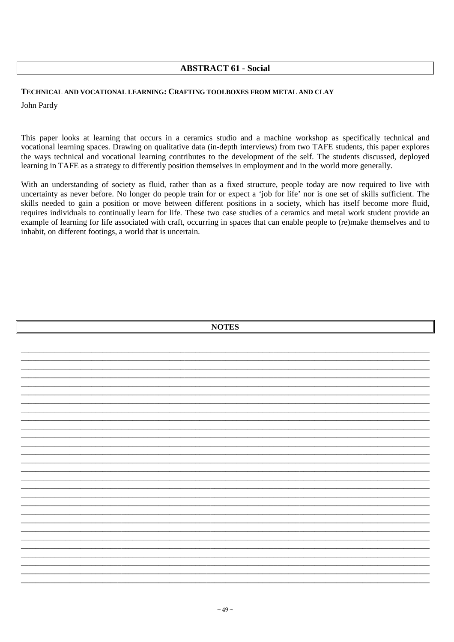## **ABSTRACT 61 - Social**

#### TECHNICAL AND VOCATIONAL LEARNING: CRAFTING TOOLBOXES FROM METAL AND CLAY

#### John Pardy

This paper looks at learning that occurs in a ceramics studio and a machine workshop as specifically technical and vocational learning spaces. Drawing on qualitative data (in-depth interviews) from two TAFE students, this paper explores the ways technical and vocational learning contributes to the development of the self. The students discussed, deployed learning in TAFE as a strategy to differently position themselves in employment and in the world more generally.

With an understanding of society as fluid, rather than as a fixed structure, people today are now required to live with uncertainty as never before. No longer do people train for or expect a 'job for life' nor is one set of skills sufficient. The skills needed to gain a position or move between different positions in a society, which has itself become more fluid, requires individuals to continually learn for life. These two case studies of a ceramics and metal work student provide an example of learning for life associated with craft, occurring in spaces that can enable people to (re)make themselves and to inhabit, on different footings, a world that is uncertain.

|  | <b>NOTES</b> |  |
|--|--------------|--|
|  |              |  |
|  |              |  |
|  |              |  |
|  |              |  |
|  |              |  |
|  |              |  |
|  |              |  |
|  |              |  |
|  |              |  |
|  |              |  |
|  |              |  |
|  |              |  |
|  |              |  |
|  |              |  |
|  |              |  |
|  |              |  |
|  |              |  |
|  |              |  |
|  |              |  |
|  |              |  |
|  |              |  |
|  |              |  |
|  |              |  |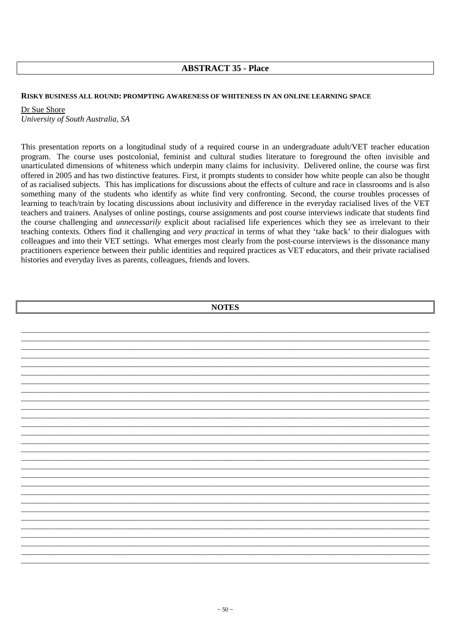## **ABSTRACT 35 - Place**

#### **RISKY BUSINESS ALL ROUND: PROMPTING AWARENESS OF WHITENESS IN AN ONLINE LEARNING SPACE**

Dr Sue Shore *University of South Australia, SA* 

This presentation reports on a longitudinal study of a required course in an undergraduate adult/VET teacher education program. The course uses postcolonial, feminist and cultural studies literature to foreground the often invisible and unarticulated dimensions of whiteness which underpin many claims for inclusivity. Delivered online, the course was first offered in 2005 and has two distinctive features. First, it prompts students to consider how white people can also be thought of as racialised subjects. This has implications for discussions about the effects of culture and race in classrooms and is also something many of the students who identify as white find very confronting. Second, the course troubles processes of learning to teach/train by locating discussions about inclusivity and difference in the everyday racialised lives of the VET teachers and trainers. Analyses of online postings, course assignments and post course interviews indicate that students find the course challenging and *unnecessarily* explicit about racialised life experiences which they see as irrelevant to their teaching contexts. Others find it challenging and *very practical* in terms of what they 'take back' to their dialogues with colleagues and into their VET settings. What emerges most clearly from the post-course interviews is the dissonance many practitioners experience between their public identities and required practices as VET educators, and their private racialised histories and everyday lives as parents, colleagues, friends and lovers.

| <b>NOTES</b> |  |  |  |
|--------------|--|--|--|
|              |  |  |  |
|              |  |  |  |
|              |  |  |  |
|              |  |  |  |
|              |  |  |  |
|              |  |  |  |
|              |  |  |  |
|              |  |  |  |
|              |  |  |  |
|              |  |  |  |
|              |  |  |  |
|              |  |  |  |
|              |  |  |  |
|              |  |  |  |
|              |  |  |  |
|              |  |  |  |
|              |  |  |  |
|              |  |  |  |
|              |  |  |  |
|              |  |  |  |
|              |  |  |  |
|              |  |  |  |
|              |  |  |  |
|              |  |  |  |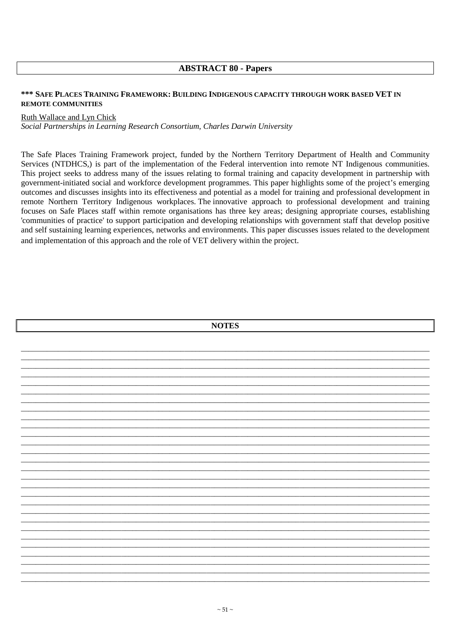### **ABSTRACT 80 - Papers**

### \*\*\* SAFE PLACES TRAINING FRAMEWORK: BUILDING INDIGENOUS CAPACITY THROUGH WORK BASED VET IN **REMOTE COMMUNITIES**

#### Ruth Wallace and Lyn Chick

Social Partnerships in Learning Research Consortium, Charles Darwin University

The Safe Places Training Framework project, funded by the Northern Territory Department of Health and Community Services (NTDHCS,) is part of the implementation of the Federal intervention into remote NT Indigenous communities. This project seeks to address many of the issues relating to formal training and capacity development in partnership with government-initiated social and workforce development programmes. This paper highlights some of the project's emerging outcomes and discusses insights into its effectiveness and potential as a model for training and professional development in remote Northern Territory Indigenous workplaces. The innovative approach to professional development and training focuses on Safe Places staff within remote organisations has three key areas; designing appropriate courses, establishing 'communities of practice' to support participation and developing relationships with government staff that develop positive and self sustaining learning experiences, networks and environments. This paper discusses issues related to the development and implementation of this approach and the role of VET delivery within the project.

| <b>NOTES</b> |  |
|--------------|--|
|              |  |
|              |  |
|              |  |
|              |  |
|              |  |
|              |  |
|              |  |
|              |  |
|              |  |
|              |  |
|              |  |
|              |  |
|              |  |
|              |  |
|              |  |
|              |  |
|              |  |
|              |  |
|              |  |
|              |  |
|              |  |
|              |  |
|              |  |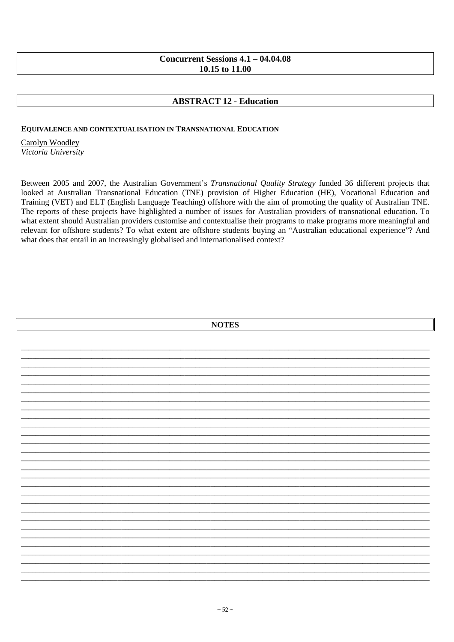## Concurrent Sessions  $4.1 - 04.04.08$ 10.15 to 11.00

# **ABSTRACT 12 - Education**

### **EQUIVALENCE AND CONTEXTUALISATION IN TRANSNATIONAL EDUCATION**

Carolyn Woodley Victoria University

Between 2005 and 2007, the Australian Government's Transnational Quality Strategy funded 36 different projects that looked at Australian Transnational Education (TNE) provision of Higher Education (HE), Vocational Education and Training (VET) and ELT (English Language Teaching) offshore with the aim of promoting the quality of Australian TNE. The reports of these projects have highlighted a number of issues for Australian providers of transnational education. To what extent should Australian providers customise and contextualise their programs to make programs more meaningful and relevant for offshore students? To what extent are offshore students buying an "Australian educational experience"? And what does that entail in an increasingly globalised and internationalised context?

| <b>NOTES</b> |  |  |  |  |
|--------------|--|--|--|--|
|              |  |  |  |  |
|              |  |  |  |  |
|              |  |  |  |  |
|              |  |  |  |  |
|              |  |  |  |  |
|              |  |  |  |  |
|              |  |  |  |  |
|              |  |  |  |  |
|              |  |  |  |  |
|              |  |  |  |  |
|              |  |  |  |  |
|              |  |  |  |  |
|              |  |  |  |  |
|              |  |  |  |  |
|              |  |  |  |  |
|              |  |  |  |  |
|              |  |  |  |  |
|              |  |  |  |  |
|              |  |  |  |  |
|              |  |  |  |  |
|              |  |  |  |  |
|              |  |  |  |  |
|              |  |  |  |  |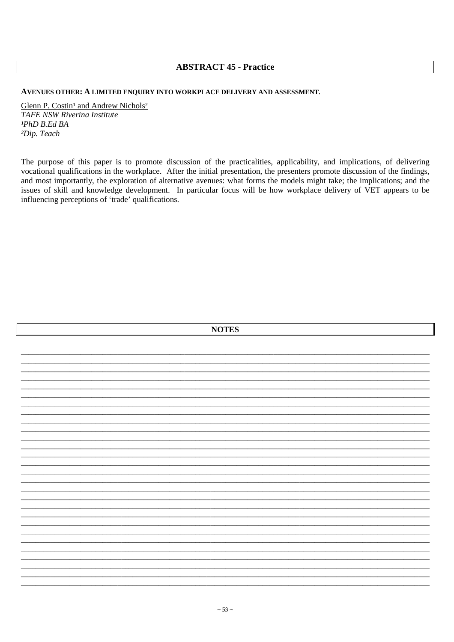## **ABSTRACT 45 - Practice**

AVENUES OTHER: A LIMITED ENOUIRY INTO WORKPLACE DELIVERY AND ASSESSMENT.

Glenn P. Costin<sup>1</sup> and Andrew Nichols<sup>2</sup> **TAFE NSW Riverina Institute**  $PAD$   $B.$   $Ed$   $BA$ <sup>2</sup>Dip. Teach

The purpose of this paper is to promote discussion of the practicalities, applicability, and implications, of delivering vocational qualifications in the workplace. After the initial presentation, the presenters promote discussion of the findings, and most importantly, the exploration of alternative avenues: what forms the models might take; the implications; and the issues of skill and knowledge development. In particular focus will be how workplace delivery of VET appears to be influencing perceptions of 'trade' qualifications.

| <b>NOTES</b> |  |  |  |
|--------------|--|--|--|
|              |  |  |  |
|              |  |  |  |
|              |  |  |  |
|              |  |  |  |
|              |  |  |  |
|              |  |  |  |
|              |  |  |  |
|              |  |  |  |
|              |  |  |  |
|              |  |  |  |
|              |  |  |  |
|              |  |  |  |
|              |  |  |  |
|              |  |  |  |
|              |  |  |  |
|              |  |  |  |
|              |  |  |  |
|              |  |  |  |
|              |  |  |  |
|              |  |  |  |
|              |  |  |  |
|              |  |  |  |
|              |  |  |  |
|              |  |  |  |
|              |  |  |  |
|              |  |  |  |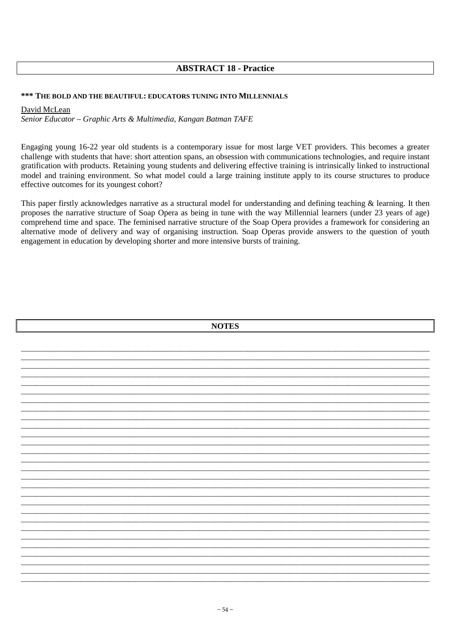# **ABSTRACT 18 - Practice**

### \*\*\* THE BOLD AND THE BEAUTIFUL: EDUCATORS TUNING INTO MILLENNIALS

#### David McLean

Senior Educator - Graphic Arts & Multimedia, Kangan Batman TAFE

Engaging young 16-22 year old students is a contemporary issue for most large VET providers. This becomes a greater challenge with students that have: short attention spans, an obsession with communications technologies, and require instant gratification with products. Retaining young students and delivering effective training is intrinsically linked to instructional model and training environment. So what model could a large training institute apply to its course structures to produce effective outcomes for its youngest cohort?

This paper firstly acknowledges narrative as a structural model for understanding and defining teaching & learning. It then proposes the narrative structure of Soap Opera as being in tune with the way Millennial learners (under 23 years of age) comprehend time and space. The feminised narrative structure of the Soap Opera provides a framework for considering an alternative mode of delivery and way of organising instruction. Soap Operas provide answers to the question of youth engagement in education by developing shorter and more intensive bursts of training.

| <b>NOTES</b> |  |  |  |  |
|--------------|--|--|--|--|
|              |  |  |  |  |
|              |  |  |  |  |
|              |  |  |  |  |
|              |  |  |  |  |
|              |  |  |  |  |
|              |  |  |  |  |
|              |  |  |  |  |
|              |  |  |  |  |
|              |  |  |  |  |
|              |  |  |  |  |
|              |  |  |  |  |
|              |  |  |  |  |
|              |  |  |  |  |
|              |  |  |  |  |
|              |  |  |  |  |
|              |  |  |  |  |
|              |  |  |  |  |
|              |  |  |  |  |
|              |  |  |  |  |
|              |  |  |  |  |
|              |  |  |  |  |
|              |  |  |  |  |
|              |  |  |  |  |
|              |  |  |  |  |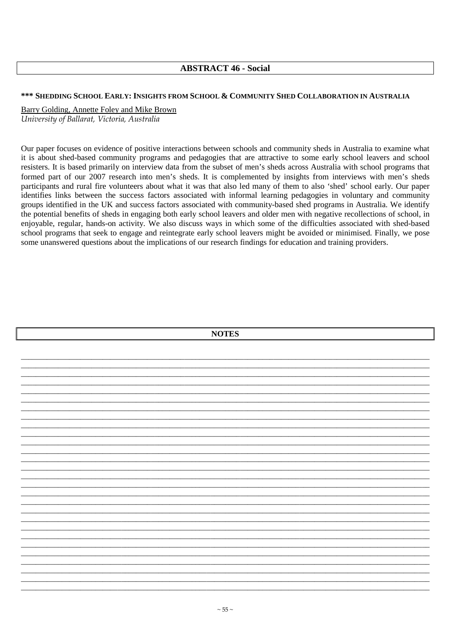## **ABSTRACT 46 - Social**

### \*\*\* SHEDDING SCHOOL EARLY: INSIGHTS FROM SCHOOL & COMMUNITY SHED COLLABORATION IN AUSTRALIA

Barry Golding, Annette Foley and Mike Brown University of Ballarat, Victoria, Australia

Our paper focuses on evidence of positive interactions between schools and community sheds in Australia to examine what it is about shed-based community programs and pedagogies that are attractive to some early school leavers and school resisters. It is based primarily on interview data from the subset of men's sheds across Australia with school programs that formed part of our 2007 research into men's sheds. It is complemented by insights from interviews with men's sheds participants and rural fire volunteers about what it was that also led many of them to also 'shed' school early. Our paper identifies links between the success factors associated with informal learning pedagogies in voluntary and community groups identified in the UK and success factors associated with community-based shed programs in Australia. We identify the potential benefits of sheds in engaging both early school leavers and older men with negative recollections of school, in enjoyable, regular, hands-on activity. We also discuss ways in which some of the difficulties associated with shed-based school programs that seek to engage and reintegrate early school leavers might be avoided or minimised. Finally, we pose some unanswered questions about the implications of our research findings for education and training providers.

| <b>NOTES</b> |  |  |  |  |
|--------------|--|--|--|--|
|              |  |  |  |  |
|              |  |  |  |  |
|              |  |  |  |  |
|              |  |  |  |  |
|              |  |  |  |  |
|              |  |  |  |  |
|              |  |  |  |  |
|              |  |  |  |  |
|              |  |  |  |  |
|              |  |  |  |  |
|              |  |  |  |  |
|              |  |  |  |  |
|              |  |  |  |  |
|              |  |  |  |  |
|              |  |  |  |  |
|              |  |  |  |  |
|              |  |  |  |  |
|              |  |  |  |  |
|              |  |  |  |  |
|              |  |  |  |  |
|              |  |  |  |  |
|              |  |  |  |  |
|              |  |  |  |  |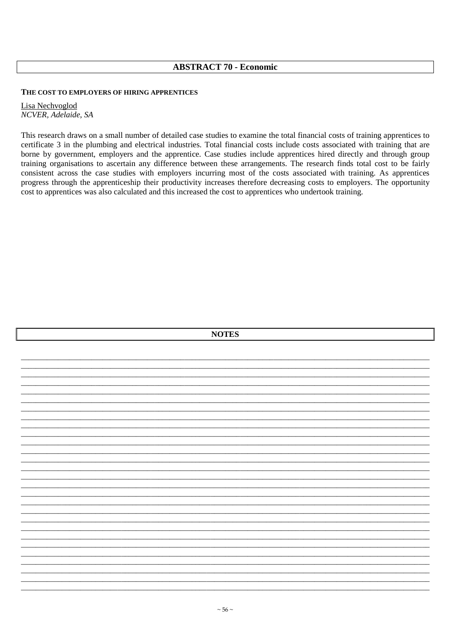## **ABSTRACT 70 - Economic**

#### THE COST TO EMPLOYERS OF HIRING APPRENTICES

Lisa Nechvoglod NCVER, Adelaide, SA

This research draws on a small number of detailed case studies to examine the total financial costs of training apprentices to certificate 3 in the plumbing and electrical industries. Total financial costs include costs associated with training that are borne by government, employers and the apprentice. Case studies include apprentices hired directly and through group training organisations to ascertain any difference between these arrangements. The research finds total cost to be fairly consistent across the case studies with employers incurring most of the costs associated with training. As apprentices progress through the apprenticeship their productivity increases therefore decreasing costs to employers. The opportunity cost to apprentices was also calculated and this increased the cost to apprentices who undertook training.

|  | <b>NOTES</b> |  |  |
|--|--------------|--|--|
|  |              |  |  |
|  |              |  |  |
|  |              |  |  |
|  |              |  |  |
|  |              |  |  |
|  |              |  |  |
|  |              |  |  |
|  |              |  |  |
|  |              |  |  |
|  |              |  |  |
|  |              |  |  |
|  |              |  |  |
|  |              |  |  |
|  |              |  |  |
|  |              |  |  |
|  |              |  |  |
|  |              |  |  |
|  |              |  |  |
|  |              |  |  |
|  |              |  |  |
|  |              |  |  |
|  |              |  |  |
|  |              |  |  |
|  |              |  |  |
|  |              |  |  |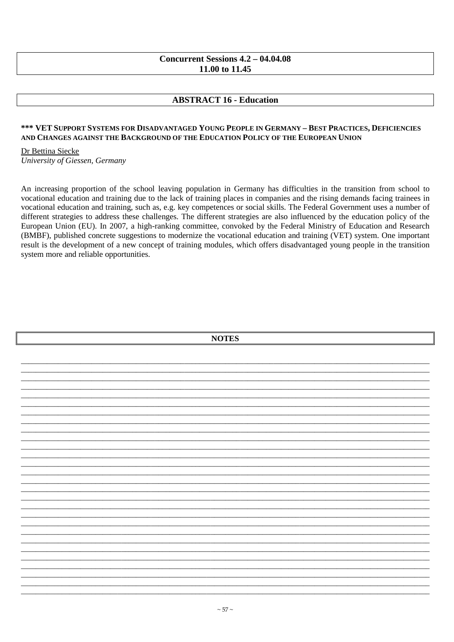## Concurrent Sessions  $4.2 - 04.04.08$ 11.00 to 11.45

# **ABSTRACT 16 - Education**

#### \*\*\* VET SUPPORT SYSTEMS FOR DISADVANTAGED YOUNG PEOPLE IN GERMANY - BEST PRACTICES, DEFICIENCIES AND CHANGES AGAINST THE BACKGROUND OF THE EDUCATION POLICY OF THE EUROPEAN UNION

Dr Bettina Siecke

University of Giessen, Germany

An increasing proportion of the school leaving population in Germany has difficulties in the transition from school to vocational education and training due to the lack of training places in companies and the rising demands facing trainees in vocational education and training, such as, e.g. key competences or social skills. The Federal Government uses a number of different strategies to address these challenges. The different strategies are also influenced by the education policy of the European Union (EU). In 2007, a high-ranking committee, convoked by the Federal Ministry of Education and Research (BMBF), published concrete suggestions to modernize the vocational education and training (VET) system. One important result is the development of a new concept of training modules, which offers disadvantaged young people in the transition system more and reliable opportunities.

| <b>NOTES</b> |  |
|--------------|--|
|              |  |
|              |  |
|              |  |
|              |  |
|              |  |
|              |  |
|              |  |
|              |  |
|              |  |
|              |  |
|              |  |
|              |  |
|              |  |
|              |  |
|              |  |
|              |  |
|              |  |
|              |  |
|              |  |
|              |  |
|              |  |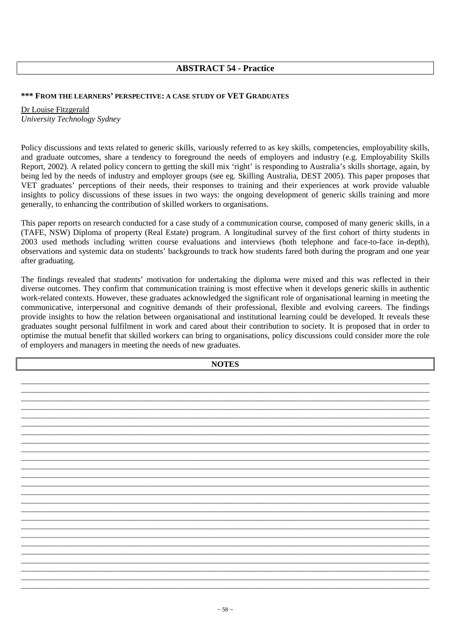# **ABSTRACT 54 - Practice**

### **\*\*\* FROM THE LEARNERS' PERSPECTIVE: A CASE STUDY OF VET GRADUATES**

Dr Louise Fitzgerald *University Technology Sydney* 

Policy discussions and texts related to generic skills, variously referred to as key skills, competencies, employability skills, and graduate outcomes, share a tendency to foreground the needs of employers and industry (e.g. Employability Skills Report, 2002). A related policy concern to getting the skill mix 'right' is responding to Australia's skills shortage, again, by being led by the needs of industry and employer groups (see eg. Skilling Australia, DEST 2005). This paper proposes that VET graduates' perceptions of their needs, their responses to training and their experiences at work provide valuable insights to policy discussions of these issues in two ways: the ongoing development of generic skills training and more generally, to enhancing the contribution of skilled workers to organisations.

This paper reports on research conducted for a case study of a communication course, composed of many generic skills, in a (TAFE, NSW) Diploma of property (Real Estate) program. A longitudinal survey of the first cohort of thirty students in 2003 used methods including written course evaluations and interviews (both telephone and face-to-face in-depth), observations and systemic data on students' backgrounds to track how students fared both during the program and one year after graduating.

The findings revealed that students' motivation for undertaking the diploma were mixed and this was reflected in their diverse outcomes. They confirm that communication training is most effective when it develops generic skills in authentic work-related contexts. However, these graduates acknowledged the significant role of organisational learning in meeting the communicative, interpersonal and cognitive demands of their professional, flexible and evolving careers. The findings provide insights to how the relation between organisational and institutional learning could be developed. It reveals these graduates sought personal fulfilment in work and cared about their contribution to society. It is proposed that in order to optimise the mutual benefit that skilled workers can bring to organisations, policy discussions could consider more the role of employers and managers in meeting the needs of new graduates.

**NOTES** 

\_\_\_\_\_\_\_\_\_\_\_\_\_\_\_\_\_\_\_\_\_\_\_\_\_\_\_\_\_\_\_\_\_\_\_\_\_\_\_\_\_\_\_\_\_\_\_\_\_\_\_\_\_\_\_\_\_\_\_\_\_\_\_\_\_\_\_\_\_\_\_\_\_\_\_\_\_\_\_\_\_\_\_\_\_\_\_\_\_\_\_\_\_\_\_\_\_\_\_\_\_\_\_\_\_\_\_\_\_\_ \_\_\_\_\_\_\_\_\_\_\_\_\_\_\_\_\_\_\_\_\_\_\_\_\_\_\_\_\_\_\_\_\_\_\_\_\_\_\_\_\_\_\_\_\_\_\_\_\_\_\_\_\_\_\_\_\_\_\_\_\_\_\_\_\_\_\_\_\_\_\_\_\_\_\_\_\_\_\_\_\_\_\_\_\_\_\_\_\_\_\_\_\_\_\_\_\_\_\_\_\_\_\_\_\_\_\_\_\_\_ \_\_\_\_\_\_\_\_\_\_\_\_\_\_\_\_\_\_\_\_\_\_\_\_\_\_\_\_\_\_\_\_\_\_\_\_\_\_\_\_\_\_\_\_\_\_\_\_\_\_\_\_\_\_\_\_\_\_\_\_\_\_\_\_\_\_\_\_\_\_\_\_\_\_\_\_\_\_\_\_\_\_\_\_\_\_\_\_\_\_\_\_\_\_\_\_\_\_\_\_\_\_\_\_\_\_\_\_\_\_ \_\_\_\_\_\_\_\_\_\_\_\_\_\_\_\_\_\_\_\_\_\_\_\_\_\_\_\_\_\_\_\_\_\_\_\_\_\_\_\_\_\_\_\_\_\_\_\_\_\_\_\_\_\_\_\_\_\_\_\_\_\_\_\_\_\_\_\_\_\_\_\_\_\_\_\_\_\_\_\_\_\_\_\_\_\_\_\_\_\_\_\_\_\_\_\_\_\_\_\_\_\_\_\_\_\_\_\_\_\_ \_\_\_\_\_\_\_\_\_\_\_\_\_\_\_\_\_\_\_\_\_\_\_\_\_\_\_\_\_\_\_\_\_\_\_\_\_\_\_\_\_\_\_\_\_\_\_\_\_\_\_\_\_\_\_\_\_\_\_\_\_\_\_\_\_\_\_\_\_\_\_\_\_\_\_\_\_\_\_\_\_\_\_\_\_\_\_\_\_\_\_\_\_\_\_\_\_\_\_\_\_\_\_\_\_\_\_\_\_\_ \_\_\_\_\_\_\_\_\_\_\_\_\_\_\_\_\_\_\_\_\_\_\_\_\_\_\_\_\_\_\_\_\_\_\_\_\_\_\_\_\_\_\_\_\_\_\_\_\_\_\_\_\_\_\_\_\_\_\_\_\_\_\_\_\_\_\_\_\_\_\_\_\_\_\_\_\_\_\_\_\_\_\_\_\_\_\_\_\_\_\_\_\_\_\_\_\_\_\_\_\_\_\_\_\_\_\_\_\_\_ \_\_\_\_\_\_\_\_\_\_\_\_\_\_\_\_\_\_\_\_\_\_\_\_\_\_\_\_\_\_\_\_\_\_\_\_\_\_\_\_\_\_\_\_\_\_\_\_\_\_\_\_\_\_\_\_\_\_\_\_\_\_\_\_\_\_\_\_\_\_\_\_\_\_\_\_\_\_\_\_\_\_\_\_\_\_\_\_\_\_\_\_\_\_\_\_\_\_\_\_\_\_\_\_\_\_\_\_\_\_ \_\_\_\_\_\_\_\_\_\_\_\_\_\_\_\_\_\_\_\_\_\_\_\_\_\_\_\_\_\_\_\_\_\_\_\_\_\_\_\_\_\_\_\_\_\_\_\_\_\_\_\_\_\_\_\_\_\_\_\_\_\_\_\_\_\_\_\_\_\_\_\_\_\_\_\_\_\_\_\_\_\_\_\_\_\_\_\_\_\_\_\_\_\_\_\_\_\_\_\_\_\_\_\_\_\_\_\_\_\_ \_\_\_\_\_\_\_\_\_\_\_\_\_\_\_\_\_\_\_\_\_\_\_\_\_\_\_\_\_\_\_\_\_\_\_\_\_\_\_\_\_\_\_\_\_\_\_\_\_\_\_\_\_\_\_\_\_\_\_\_\_\_\_\_\_\_\_\_\_\_\_\_\_\_\_\_\_\_\_\_\_\_\_\_\_\_\_\_\_\_\_\_\_\_\_\_\_\_\_\_\_\_\_\_\_\_\_\_\_\_ \_\_\_\_\_\_\_\_\_\_\_\_\_\_\_\_\_\_\_\_\_\_\_\_\_\_\_\_\_\_\_\_\_\_\_\_\_\_\_\_\_\_\_\_\_\_\_\_\_\_\_\_\_\_\_\_\_\_\_\_\_\_\_\_\_\_\_\_\_\_\_\_\_\_\_\_\_\_\_\_\_\_\_\_\_\_\_\_\_\_\_\_\_\_\_\_\_\_\_\_\_\_\_\_\_\_\_\_\_\_ \_\_\_\_\_\_\_\_\_\_\_\_\_\_\_\_\_\_\_\_\_\_\_\_\_\_\_\_\_\_\_\_\_\_\_\_\_\_\_\_\_\_\_\_\_\_\_\_\_\_\_\_\_\_\_\_\_\_\_\_\_\_\_\_\_\_\_\_\_\_\_\_\_\_\_\_\_\_\_\_\_\_\_\_\_\_\_\_\_\_\_\_\_\_\_\_\_\_\_\_\_\_\_\_\_\_\_\_\_\_ \_\_\_\_\_\_\_\_\_\_\_\_\_\_\_\_\_\_\_\_\_\_\_\_\_\_\_\_\_\_\_\_\_\_\_\_\_\_\_\_\_\_\_\_\_\_\_\_\_\_\_\_\_\_\_\_\_\_\_\_\_\_\_\_\_\_\_\_\_\_\_\_\_\_\_\_\_\_\_\_\_\_\_\_\_\_\_\_\_\_\_\_\_\_\_\_\_\_\_\_\_\_\_\_\_\_\_\_\_\_ \_\_\_\_\_\_\_\_\_\_\_\_\_\_\_\_\_\_\_\_\_\_\_\_\_\_\_\_\_\_\_\_\_\_\_\_\_\_\_\_\_\_\_\_\_\_\_\_\_\_\_\_\_\_\_\_\_\_\_\_\_\_\_\_\_\_\_\_\_\_\_\_\_\_\_\_\_\_\_\_\_\_\_\_\_\_\_\_\_\_\_\_\_\_\_\_\_\_\_\_\_\_\_\_\_\_\_\_\_\_ \_\_\_\_\_\_\_\_\_\_\_\_\_\_\_\_\_\_\_\_\_\_\_\_\_\_\_\_\_\_\_\_\_\_\_\_\_\_\_\_\_\_\_\_\_\_\_\_\_\_\_\_\_\_\_\_\_\_\_\_\_\_\_\_\_\_\_\_\_\_\_\_\_\_\_\_\_\_\_\_\_\_\_\_\_\_\_\_\_\_\_\_\_\_\_\_\_\_\_\_\_\_\_\_\_\_\_\_\_\_ \_\_\_\_\_\_\_\_\_\_\_\_\_\_\_\_\_\_\_\_\_\_\_\_\_\_\_\_\_\_\_\_\_\_\_\_\_\_\_\_\_\_\_\_\_\_\_\_\_\_\_\_\_\_\_\_\_\_\_\_\_\_\_\_\_\_\_\_\_\_\_\_\_\_\_\_\_\_\_\_\_\_\_\_\_\_\_\_\_\_\_\_\_\_\_\_\_\_\_\_\_\_\_\_\_\_\_\_\_\_ \_\_\_\_\_\_\_\_\_\_\_\_\_\_\_\_\_\_\_\_\_\_\_\_\_\_\_\_\_\_\_\_\_\_\_\_\_\_\_\_\_\_\_\_\_\_\_\_\_\_\_\_\_\_\_\_\_\_\_\_\_\_\_\_\_\_\_\_\_\_\_\_\_\_\_\_\_\_\_\_\_\_\_\_\_\_\_\_\_\_\_\_\_\_\_\_\_\_\_\_\_\_\_\_\_\_\_\_\_\_ \_\_\_\_\_\_\_\_\_\_\_\_\_\_\_\_\_\_\_\_\_\_\_\_\_\_\_\_\_\_\_\_\_\_\_\_\_\_\_\_\_\_\_\_\_\_\_\_\_\_\_\_\_\_\_\_\_\_\_\_\_\_\_\_\_\_\_\_\_\_\_\_\_\_\_\_\_\_\_\_\_\_\_\_\_\_\_\_\_\_\_\_\_\_\_\_\_\_\_\_\_\_\_\_\_\_\_\_\_\_ \_\_\_\_\_\_\_\_\_\_\_\_\_\_\_\_\_\_\_\_\_\_\_\_\_\_\_\_\_\_\_\_\_\_\_\_\_\_\_\_\_\_\_\_\_\_\_\_\_\_\_\_\_\_\_\_\_\_\_\_\_\_\_\_\_\_\_\_\_\_\_\_\_\_\_\_\_\_\_\_\_\_\_\_\_\_\_\_\_\_\_\_\_\_\_\_\_\_\_\_\_\_\_\_\_\_\_\_\_\_ \_\_\_\_\_\_\_\_\_\_\_\_\_\_\_\_\_\_\_\_\_\_\_\_\_\_\_\_\_\_\_\_\_\_\_\_\_\_\_\_\_\_\_\_\_\_\_\_\_\_\_\_\_\_\_\_\_\_\_\_\_\_\_\_\_\_\_\_\_\_\_\_\_\_\_\_\_\_\_\_\_\_\_\_\_\_\_\_\_\_\_\_\_\_\_\_\_\_\_\_\_\_\_\_\_\_\_\_\_\_ \_\_\_\_\_\_\_\_\_\_\_\_\_\_\_\_\_\_\_\_\_\_\_\_\_\_\_\_\_\_\_\_\_\_\_\_\_\_\_\_\_\_\_\_\_\_\_\_\_\_\_\_\_\_\_\_\_\_\_\_\_\_\_\_\_\_\_\_\_\_\_\_\_\_\_\_\_\_\_\_\_\_\_\_\_\_\_\_\_\_\_\_\_\_\_\_\_\_\_\_\_\_\_\_\_\_\_\_\_\_ \_\_\_\_\_\_\_\_\_\_\_\_\_\_\_\_\_\_\_\_\_\_\_\_\_\_\_\_\_\_\_\_\_\_\_\_\_\_\_\_\_\_\_\_\_\_\_\_\_\_\_\_\_\_\_\_\_\_\_\_\_\_\_\_\_\_\_\_\_\_\_\_\_\_\_\_\_\_\_\_\_\_\_\_\_\_\_\_\_\_\_\_\_\_\_\_\_\_\_\_\_\_\_\_\_\_\_\_\_\_ \_\_\_\_\_\_\_\_\_\_\_\_\_\_\_\_\_\_\_\_\_\_\_\_\_\_\_\_\_\_\_\_\_\_\_\_\_\_\_\_\_\_\_\_\_\_\_\_\_\_\_\_\_\_\_\_\_\_\_\_\_\_\_\_\_\_\_\_\_\_\_\_\_\_\_\_\_\_\_\_\_\_\_\_\_\_\_\_\_\_\_\_\_\_\_\_\_\_\_\_\_\_\_\_\_\_\_\_\_\_ \_\_\_\_\_\_\_\_\_\_\_\_\_\_\_\_\_\_\_\_\_\_\_\_\_\_\_\_\_\_\_\_\_\_\_\_\_\_\_\_\_\_\_\_\_\_\_\_\_\_\_\_\_\_\_\_\_\_\_\_\_\_\_\_\_\_\_\_\_\_\_\_\_\_\_\_\_\_\_\_\_\_\_\_\_\_\_\_\_\_\_\_\_\_\_\_\_\_\_\_\_\_\_\_\_\_\_\_\_\_ \_\_\_\_\_\_\_\_\_\_\_\_\_\_\_\_\_\_\_\_\_\_\_\_\_\_\_\_\_\_\_\_\_\_\_\_\_\_\_\_\_\_\_\_\_\_\_\_\_\_\_\_\_\_\_\_\_\_\_\_\_\_\_\_\_\_\_\_\_\_\_\_\_\_\_\_\_\_\_\_\_\_\_\_\_\_\_\_\_\_\_\_\_\_\_\_\_\_\_\_\_\_\_\_\_\_\_\_\_\_ \_\_\_\_\_\_\_\_\_\_\_\_\_\_\_\_\_\_\_\_\_\_\_\_\_\_\_\_\_\_\_\_\_\_\_\_\_\_\_\_\_\_\_\_\_\_\_\_\_\_\_\_\_\_\_\_\_\_\_\_\_\_\_\_\_\_\_\_\_\_\_\_\_\_\_\_\_\_\_\_\_\_\_\_\_\_\_\_\_\_\_\_\_\_\_\_\_\_\_\_\_\_\_\_\_\_\_\_\_\_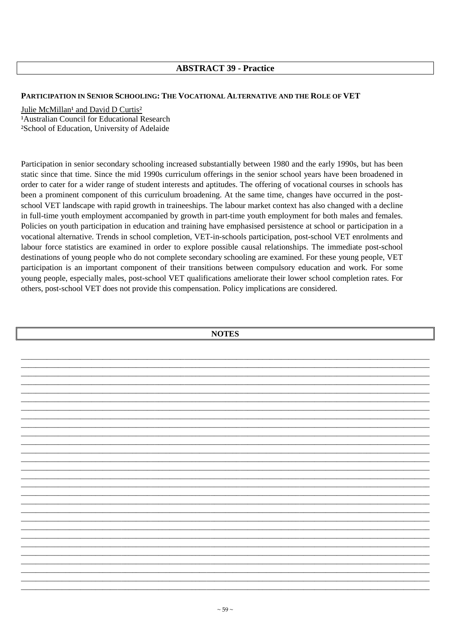## **ABSTRACT 39 - Practice**

#### **PARTICIPATION IN SENIOR SCHOOLING: THE VOCATIONAL ALTERNATIVE AND THE ROLE OF VET**

#### Julie McMillan<sup>1</sup> and David D Curtis<sup>2</sup>

<sup>1</sup> Australian Council for Educational Research ²School of Education, University of Adelaide

Participation in senior secondary schooling increased substantially between 1980 and the early 1990s, but has been static since that time. Since the mid 1990s curriculum offerings in the senior school years have been broadened in order to cater for a wider range of student interests and aptitudes. The offering of vocational courses in schools has been a prominent component of this curriculum broadening. At the same time, changes have occurred in the postschool VET landscape with rapid growth in traineeships. The labour market context has also changed with a decline in full-time youth employment accompanied by growth in part-time youth employment for both males and females. Policies on youth participation in education and training have emphasised persistence at school or participation in a vocational alternative. Trends in school completion, VET-in-schools participation, post-school VET enrolments and labour force statistics are examined in order to explore possible causal relationships. The immediate post-school destinations of young people who do not complete secondary schooling are examined. For these young people, VET participation is an important component of their transitions between compulsory education and work. For some young people, especially males, post-school VET qualifications ameliorate their lower school completion rates. For others, post-school VET does not provide this compensation. Policy implications are considered.

**NOTES**  \_\_\_\_\_\_\_\_\_\_\_\_\_\_\_\_\_\_\_\_\_\_\_\_\_\_\_\_\_\_\_\_\_\_\_\_\_\_\_\_\_\_\_\_\_\_\_\_\_\_\_\_\_\_\_\_\_\_\_\_\_\_\_\_\_\_\_\_\_\_\_\_\_\_\_\_\_\_\_\_\_\_\_\_\_\_\_\_\_\_\_\_\_\_\_\_\_\_\_\_\_\_\_\_\_\_\_\_\_\_ \_\_\_\_\_\_\_\_\_\_\_\_\_\_\_\_\_\_\_\_\_\_\_\_\_\_\_\_\_\_\_\_\_\_\_\_\_\_\_\_\_\_\_\_\_\_\_\_\_\_\_\_\_\_\_\_\_\_\_\_\_\_\_\_\_\_\_\_\_\_\_\_\_\_\_\_\_\_\_\_\_\_\_\_\_\_\_\_\_\_\_\_\_\_\_\_\_\_\_\_\_\_\_\_\_\_\_\_\_\_ \_\_\_\_\_\_\_\_\_\_\_\_\_\_\_\_\_\_\_\_\_\_\_\_\_\_\_\_\_\_\_\_\_\_\_\_\_\_\_\_\_\_\_\_\_\_\_\_\_\_\_\_\_\_\_\_\_\_\_\_\_\_\_\_\_\_\_\_\_\_\_\_\_\_\_\_\_\_\_\_\_\_\_\_\_\_\_\_\_\_\_\_\_\_\_\_\_\_\_\_\_\_\_\_\_\_\_\_\_\_ \_\_\_\_\_\_\_\_\_\_\_\_\_\_\_\_\_\_\_\_\_\_\_\_\_\_\_\_\_\_\_\_\_\_\_\_\_\_\_\_\_\_\_\_\_\_\_\_\_\_\_\_\_\_\_\_\_\_\_\_\_\_\_\_\_\_\_\_\_\_\_\_\_\_\_\_\_\_\_\_\_\_\_\_\_\_\_\_\_\_\_\_\_\_\_\_\_\_\_\_\_\_\_\_\_\_\_\_\_\_ \_\_\_\_\_\_\_\_\_\_\_\_\_\_\_\_\_\_\_\_\_\_\_\_\_\_\_\_\_\_\_\_\_\_\_\_\_\_\_\_\_\_\_\_\_\_\_\_\_\_\_\_\_\_\_\_\_\_\_\_\_\_\_\_\_\_\_\_\_\_\_\_\_\_\_\_\_\_\_\_\_\_\_\_\_\_\_\_\_\_\_\_\_\_\_\_\_\_\_\_\_\_\_\_\_\_\_\_\_\_ \_\_\_\_\_\_\_\_\_\_\_\_\_\_\_\_\_\_\_\_\_\_\_\_\_\_\_\_\_\_\_\_\_\_\_\_\_\_\_\_\_\_\_\_\_\_\_\_\_\_\_\_\_\_\_\_\_\_\_\_\_\_\_\_\_\_\_\_\_\_\_\_\_\_\_\_\_\_\_\_\_\_\_\_\_\_\_\_\_\_\_\_\_\_\_\_\_\_\_\_\_\_\_\_\_\_\_\_\_\_ \_\_\_\_\_\_\_\_\_\_\_\_\_\_\_\_\_\_\_\_\_\_\_\_\_\_\_\_\_\_\_\_\_\_\_\_\_\_\_\_\_\_\_\_\_\_\_\_\_\_\_\_\_\_\_\_\_\_\_\_\_\_\_\_\_\_\_\_\_\_\_\_\_\_\_\_\_\_\_\_\_\_\_\_\_\_\_\_\_\_\_\_\_\_\_\_\_\_\_\_\_\_\_\_\_\_\_\_\_\_ \_\_\_\_\_\_\_\_\_\_\_\_\_\_\_\_\_\_\_\_\_\_\_\_\_\_\_\_\_\_\_\_\_\_\_\_\_\_\_\_\_\_\_\_\_\_\_\_\_\_\_\_\_\_\_\_\_\_\_\_\_\_\_\_\_\_\_\_\_\_\_\_\_\_\_\_\_\_\_\_\_\_\_\_\_\_\_\_\_\_\_\_\_\_\_\_\_\_\_\_\_\_\_\_\_\_\_\_\_\_ \_\_\_\_\_\_\_\_\_\_\_\_\_\_\_\_\_\_\_\_\_\_\_\_\_\_\_\_\_\_\_\_\_\_\_\_\_\_\_\_\_\_\_\_\_\_\_\_\_\_\_\_\_\_\_\_\_\_\_\_\_\_\_\_\_\_\_\_\_\_\_\_\_\_\_\_\_\_\_\_\_\_\_\_\_\_\_\_\_\_\_\_\_\_\_\_\_\_\_\_\_\_\_\_\_\_\_\_\_\_ \_\_\_\_\_\_\_\_\_\_\_\_\_\_\_\_\_\_\_\_\_\_\_\_\_\_\_\_\_\_\_\_\_\_\_\_\_\_\_\_\_\_\_\_\_\_\_\_\_\_\_\_\_\_\_\_\_\_\_\_\_\_\_\_\_\_\_\_\_\_\_\_\_\_\_\_\_\_\_\_\_\_\_\_\_\_\_\_\_\_\_\_\_\_\_\_\_\_\_\_\_\_\_\_\_\_\_\_\_\_ \_\_\_\_\_\_\_\_\_\_\_\_\_\_\_\_\_\_\_\_\_\_\_\_\_\_\_\_\_\_\_\_\_\_\_\_\_\_\_\_\_\_\_\_\_\_\_\_\_\_\_\_\_\_\_\_\_\_\_\_\_\_\_\_\_\_\_\_\_\_\_\_\_\_\_\_\_\_\_\_\_\_\_\_\_\_\_\_\_\_\_\_\_\_\_\_\_\_\_\_\_\_\_\_\_\_\_\_\_\_ \_\_\_\_\_\_\_\_\_\_\_\_\_\_\_\_\_\_\_\_\_\_\_\_\_\_\_\_\_\_\_\_\_\_\_\_\_\_\_\_\_\_\_\_\_\_\_\_\_\_\_\_\_\_\_\_\_\_\_\_\_\_\_\_\_\_\_\_\_\_\_\_\_\_\_\_\_\_\_\_\_\_\_\_\_\_\_\_\_\_\_\_\_\_\_\_\_\_\_\_\_\_\_\_\_\_\_\_\_\_ \_\_\_\_\_\_\_\_\_\_\_\_\_\_\_\_\_\_\_\_\_\_\_\_\_\_\_\_\_\_\_\_\_\_\_\_\_\_\_\_\_\_\_\_\_\_\_\_\_\_\_\_\_\_\_\_\_\_\_\_\_\_\_\_\_\_\_\_\_\_\_\_\_\_\_\_\_\_\_\_\_\_\_\_\_\_\_\_\_\_\_\_\_\_\_\_\_\_\_\_\_\_\_\_\_\_\_\_\_\_ \_\_\_\_\_\_\_\_\_\_\_\_\_\_\_\_\_\_\_\_\_\_\_\_\_\_\_\_\_\_\_\_\_\_\_\_\_\_\_\_\_\_\_\_\_\_\_\_\_\_\_\_\_\_\_\_\_\_\_\_\_\_\_\_\_\_\_\_\_\_\_\_\_\_\_\_\_\_\_\_\_\_\_\_\_\_\_\_\_\_\_\_\_\_\_\_\_\_\_\_\_\_\_\_\_\_\_\_\_\_ \_\_\_\_\_\_\_\_\_\_\_\_\_\_\_\_\_\_\_\_\_\_\_\_\_\_\_\_\_\_\_\_\_\_\_\_\_\_\_\_\_\_\_\_\_\_\_\_\_\_\_\_\_\_\_\_\_\_\_\_\_\_\_\_\_\_\_\_\_\_\_\_\_\_\_\_\_\_\_\_\_\_\_\_\_\_\_\_\_\_\_\_\_\_\_\_\_\_\_\_\_\_\_\_\_\_\_\_\_\_ \_\_\_\_\_\_\_\_\_\_\_\_\_\_\_\_\_\_\_\_\_\_\_\_\_\_\_\_\_\_\_\_\_\_\_\_\_\_\_\_\_\_\_\_\_\_\_\_\_\_\_\_\_\_\_\_\_\_\_\_\_\_\_\_\_\_\_\_\_\_\_\_\_\_\_\_\_\_\_\_\_\_\_\_\_\_\_\_\_\_\_\_\_\_\_\_\_\_\_\_\_\_\_\_\_\_\_\_\_\_ \_\_\_\_\_\_\_\_\_\_\_\_\_\_\_\_\_\_\_\_\_\_\_\_\_\_\_\_\_\_\_\_\_\_\_\_\_\_\_\_\_\_\_\_\_\_\_\_\_\_\_\_\_\_\_\_\_\_\_\_\_\_\_\_\_\_\_\_\_\_\_\_\_\_\_\_\_\_\_\_\_\_\_\_\_\_\_\_\_\_\_\_\_\_\_\_\_\_\_\_\_\_\_\_\_\_\_\_\_\_ \_\_\_\_\_\_\_\_\_\_\_\_\_\_\_\_\_\_\_\_\_\_\_\_\_\_\_\_\_\_\_\_\_\_\_\_\_\_\_\_\_\_\_\_\_\_\_\_\_\_\_\_\_\_\_\_\_\_\_\_\_\_\_\_\_\_\_\_\_\_\_\_\_\_\_\_\_\_\_\_\_\_\_\_\_\_\_\_\_\_\_\_\_\_\_\_\_\_\_\_\_\_\_\_\_\_\_\_\_\_ \_\_\_\_\_\_\_\_\_\_\_\_\_\_\_\_\_\_\_\_\_\_\_\_\_\_\_\_\_\_\_\_\_\_\_\_\_\_\_\_\_\_\_\_\_\_\_\_\_\_\_\_\_\_\_\_\_\_\_\_\_\_\_\_\_\_\_\_\_\_\_\_\_\_\_\_\_\_\_\_\_\_\_\_\_\_\_\_\_\_\_\_\_\_\_\_\_\_\_\_\_\_\_\_\_\_\_\_\_\_ \_\_\_\_\_\_\_\_\_\_\_\_\_\_\_\_\_\_\_\_\_\_\_\_\_\_\_\_\_\_\_\_\_\_\_\_\_\_\_\_\_\_\_\_\_\_\_\_\_\_\_\_\_\_\_\_\_\_\_\_\_\_\_\_\_\_\_\_\_\_\_\_\_\_\_\_\_\_\_\_\_\_\_\_\_\_\_\_\_\_\_\_\_\_\_\_\_\_\_\_\_\_\_\_\_\_\_\_\_\_ \_\_\_\_\_\_\_\_\_\_\_\_\_\_\_\_\_\_\_\_\_\_\_\_\_\_\_\_\_\_\_\_\_\_\_\_\_\_\_\_\_\_\_\_\_\_\_\_\_\_\_\_\_\_\_\_\_\_\_\_\_\_\_\_\_\_\_\_\_\_\_\_\_\_\_\_\_\_\_\_\_\_\_\_\_\_\_\_\_\_\_\_\_\_\_\_\_\_\_\_\_\_\_\_\_\_\_\_\_\_ \_\_\_\_\_\_\_\_\_\_\_\_\_\_\_\_\_\_\_\_\_\_\_\_\_\_\_\_\_\_\_\_\_\_\_\_\_\_\_\_\_\_\_\_\_\_\_\_\_\_\_\_\_\_\_\_\_\_\_\_\_\_\_\_\_\_\_\_\_\_\_\_\_\_\_\_\_\_\_\_\_\_\_\_\_\_\_\_\_\_\_\_\_\_\_\_\_\_\_\_\_\_\_\_\_\_\_\_\_\_ \_\_\_\_\_\_\_\_\_\_\_\_\_\_\_\_\_\_\_\_\_\_\_\_\_\_\_\_\_\_\_\_\_\_\_\_\_\_\_\_\_\_\_\_\_\_\_\_\_\_\_\_\_\_\_\_\_\_\_\_\_\_\_\_\_\_\_\_\_\_\_\_\_\_\_\_\_\_\_\_\_\_\_\_\_\_\_\_\_\_\_\_\_\_\_\_\_\_\_\_\_\_\_\_\_\_\_\_\_\_ \_\_\_\_\_\_\_\_\_\_\_\_\_\_\_\_\_\_\_\_\_\_\_\_\_\_\_\_\_\_\_\_\_\_\_\_\_\_\_\_\_\_\_\_\_\_\_\_\_\_\_\_\_\_\_\_\_\_\_\_\_\_\_\_\_\_\_\_\_\_\_\_\_\_\_\_\_\_\_\_\_\_\_\_\_\_\_\_\_\_\_\_\_\_\_\_\_\_\_\_\_\_\_\_\_\_\_\_\_\_ \_\_\_\_\_\_\_\_\_\_\_\_\_\_\_\_\_\_\_\_\_\_\_\_\_\_\_\_\_\_\_\_\_\_\_\_\_\_\_\_\_\_\_\_\_\_\_\_\_\_\_\_\_\_\_\_\_\_\_\_\_\_\_\_\_\_\_\_\_\_\_\_\_\_\_\_\_\_\_\_\_\_\_\_\_\_\_\_\_\_\_\_\_\_\_\_\_\_\_\_\_\_\_\_\_\_\_\_\_\_ \_\_\_\_\_\_\_\_\_\_\_\_\_\_\_\_\_\_\_\_\_\_\_\_\_\_\_\_\_\_\_\_\_\_\_\_\_\_\_\_\_\_\_\_\_\_\_\_\_\_\_\_\_\_\_\_\_\_\_\_\_\_\_\_\_\_\_\_\_\_\_\_\_\_\_\_\_\_\_\_\_\_\_\_\_\_\_\_\_\_\_\_\_\_\_\_\_\_\_\_\_\_\_\_\_\_\_\_\_\_ \_\_\_\_\_\_\_\_\_\_\_\_\_\_\_\_\_\_\_\_\_\_\_\_\_\_\_\_\_\_\_\_\_\_\_\_\_\_\_\_\_\_\_\_\_\_\_\_\_\_\_\_\_\_\_\_\_\_\_\_\_\_\_\_\_\_\_\_\_\_\_\_\_\_\_\_\_\_\_\_\_\_\_\_\_\_\_\_\_\_\_\_\_\_\_\_\_\_\_\_\_\_\_\_\_\_\_\_\_\_ \_\_\_\_\_\_\_\_\_\_\_\_\_\_\_\_\_\_\_\_\_\_\_\_\_\_\_\_\_\_\_\_\_\_\_\_\_\_\_\_\_\_\_\_\_\_\_\_\_\_\_\_\_\_\_\_\_\_\_\_\_\_\_\_\_\_\_\_\_\_\_\_\_\_\_\_\_\_\_\_\_\_\_\_\_\_\_\_\_\_\_\_\_\_\_\_\_\_\_\_\_\_\_\_\_\_\_\_\_\_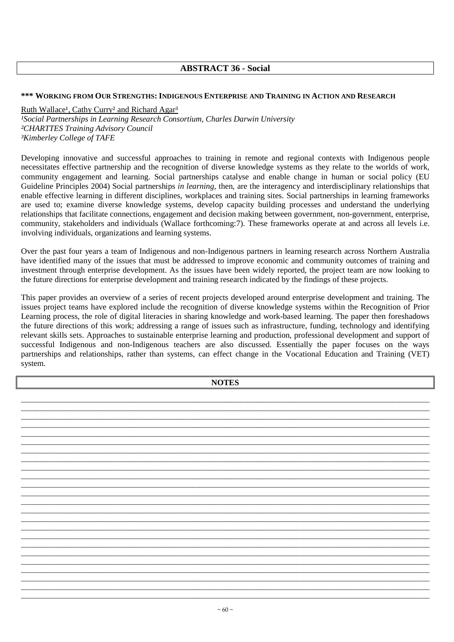# **ABSTRACT 36 - Social**

### **\*\*\* WORKING FROM OUR STRENGTHS:INDIGENOUS ENTERPRISE AND TRAINING IN ACTION AND RESEARCH**

Ruth Wallace<sup>1</sup>, Cathy Curry<sup>2</sup> and Richard Agar<sup>3</sup> <sup>1</sup>Social Partnerships in Learning Research Consortium, Charles Darwin University *²CHARTTES Training Advisory Council ³Kimberley College of TAFE* 

Developing innovative and successful approaches to training in remote and regional contexts with Indigenous people necessitates effective partnership and the recognition of diverse knowledge systems as they relate to the worlds of work, community engagement and learning. Social partnerships catalyse and enable change in human or social policy (EU Guideline Principles 2004) Social partnerships *in learning,* then, are the interagency and interdisciplinary relationships that enable effective learning in different disciplines, workplaces and training sites. Social partnerships in learning frameworks are used to; examine diverse knowledge systems, develop capacity building processes and understand the underlying relationships that facilitate connections, engagement and decision making between government, non-government, enterprise, community, stakeholders and individuals (Wallace forthcoming:7). These frameworks operate at and across all levels i.e. involving individuals, organizations and learning systems.

Over the past four years a team of Indigenous and non-Indigenous partners in learning research across Northern Australia have identified many of the issues that must be addressed to improve economic and community outcomes of training and investment through enterprise development. As the issues have been widely reported, the project team are now looking to the future directions for enterprise development and training research indicated by the findings of these projects.

This paper provides an overview of a series of recent projects developed around enterprise development and training. The issues project teams have explored include the recognition of diverse knowledge systems within the Recognition of Prior Learning process, the role of digital literacies in sharing knowledge and work-based learning. The paper then foreshadows the future directions of this work; addressing a range of issues such as infrastructure, funding, technology and identifying relevant skills sets. Approaches to sustainable enterprise learning and production, professional development and support of successful Indigenous and non-Indigenous teachers are also discussed. Essentially the paper focuses on the ways partnerships and relationships, rather than systems, can effect change in the Vocational Education and Training (VET) system.

| <b>NOTES</b> |  |  |  |
|--------------|--|--|--|
|              |  |  |  |
|              |  |  |  |
|              |  |  |  |
|              |  |  |  |
|              |  |  |  |
|              |  |  |  |
|              |  |  |  |
|              |  |  |  |
|              |  |  |  |
|              |  |  |  |
|              |  |  |  |
|              |  |  |  |
|              |  |  |  |
|              |  |  |  |
|              |  |  |  |
|              |  |  |  |
|              |  |  |  |
|              |  |  |  |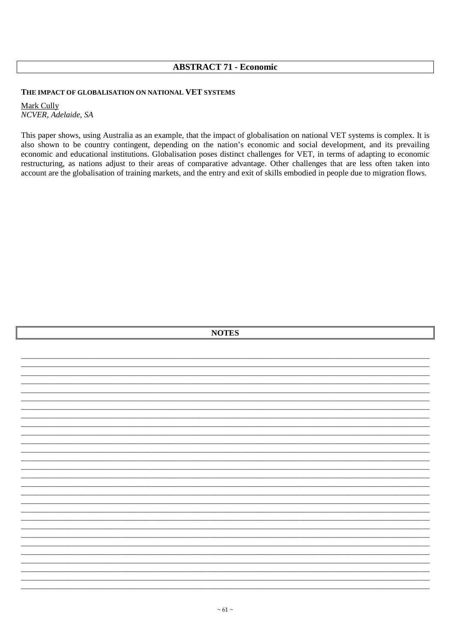## **ABSTRACT 71 - Economic**

### THE IMPACT OF GLOBALISATION ON NATIONAL VET SYSTEMS

Mark Cully NCVER, Adelaide, SA

This paper shows, using Australia as an example, that the impact of globalisation on national VET systems is complex. It is also shown to be country contingent, depending on the nation's economic and social development, and its prevailing economic and educational institutions. Globalisation poses distinct challenges for VET, in terms of adapting to economic restructuring, as nations adjust to their areas of comparative advantage. Other challenges that are less often taken into account are the globalisation of training markets, and the entry and exit of skills embodied in people due to migration flows.

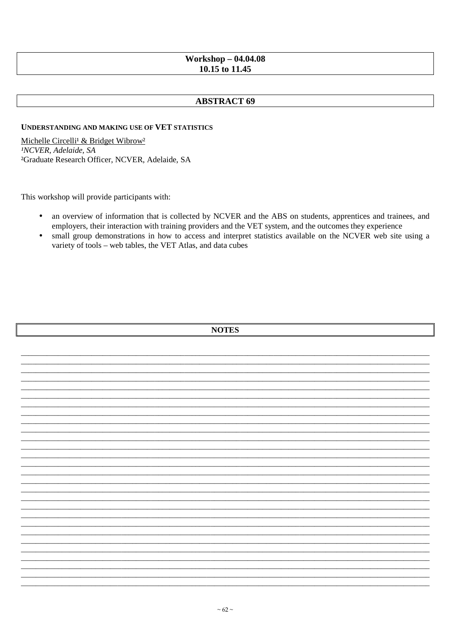# **Workshop - 04.04.08** 10.15 to 11.45

# **ABSTRACT 69**

### **UNDERSTANDING AND MAKING USE OF VET STATISTICS**

Michelle Circelli<sup>1</sup> & Bridget Wibrow<sup>2</sup> <sup>1</sup>NCVER, Adelaide, SA <sup>2</sup>Graduate Research Officer, NCVER, Adelaide, SA

This workshop will provide participants with:

- an overview of information that is collected by NCVER and the ABS on students, apprentices and trainees, and  $\bullet$ employers, their interaction with training providers and the VET system, and the outcomes they experience
- small group demonstrations in how to access and interpret statistics available on the NCVER web site using a  $\bullet$ variety of tools - web tables, the VET Atlas, and data cubes

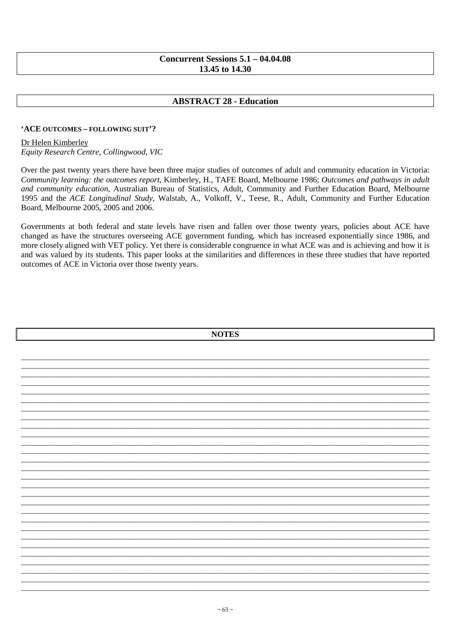# Concurrent Sessions  $5.1 - 04.04.08$ 13.45 to 14.30

# **ABSTRACT 28 - Education**

### 'ACE OUTCOMES - FOLLOWING SUIT'?

### Dr Helen Kimberley

Equity Research Centre, Collingwood, VIC

Over the past twenty years there have been three major studies of outcomes of adult and community education in Victoria: Community learning: the outcomes report, Kimberley, H., TAFE Board, Melbourne 1986; Outcomes and pathways in adult and community education, Australian Bureau of Statistics, Adult, Community and Further Education Board, Melbourne 1995 and the *ACE Longitudinal Study*, Walstab, A., Volkoff, V., Teese, R., Adult, Community and Further Education Board, Melbourne 2005, 2005 and 2006.

Governments at both federal and state levels have risen and fallen over those twenty years, policies about ACE have changed as have the structures overseeing ACE government funding, which has increased exponentially since 1986, and more closely aligned with VET policy. Yet there is considerable congruence in what ACE was and is achieving and how it is and was valued by its students. This paper looks at the similarities and differences in these three studies that have reported outcomes of ACE in Victoria over those twenty years.

| <b>NOTES</b> |  |
|--------------|--|
|              |  |
|              |  |
|              |  |
|              |  |
|              |  |
|              |  |
|              |  |
|              |  |
|              |  |
|              |  |
|              |  |
|              |  |
|              |  |
|              |  |
|              |  |
|              |  |
|              |  |
|              |  |
|              |  |
|              |  |
|              |  |
|              |  |
|              |  |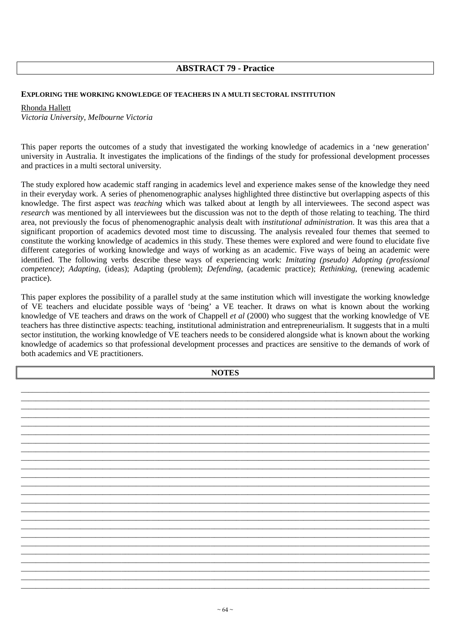## **ABSTRACT 79 - Practice**

#### **EXPLORING THE WORKING KNOWLEDGE OF TEACHERS IN A MULTI SECTORAL INSTITUTION**

#### Rhonda Hallett

*Victoria University, Melbourne Victoria* 

This paper reports the outcomes of a study that investigated the working knowledge of academics in a 'new generation' university in Australia. It investigates the implications of the findings of the study for professional development processes and practices in a multi sectoral university.

The study explored how academic staff ranging in academics level and experience makes sense of the knowledge they need in their everyday work. A series of phenomenographic analyses highlighted three distinctive but overlapping aspects of this knowledge. The first aspect was *teaching* which was talked about at length by all interviewees. The second aspect was *research* was mentioned by all interviewees but the discussion was not to the depth of those relating to teaching. The third area, not previously the focus of phenomenographic analysis dealt with *institutional administration*. It was this area that a significant proportion of academics devoted most time to discussing. The analysis revealed four themes that seemed to constitute the working knowledge of academics in this study. These themes were explored and were found to elucidate five different categories of working knowledge and ways of working as an academic. Five ways of being an academic were identified. The following verbs describe these ways of experiencing work: *Imitating (pseudo) Adopting (professional competence)*; *Adapting,* (ideas); Adapting (problem); *Defending*, (academic practice); *Rethinking,* (renewing academic practice).

This paper explores the possibility of a parallel study at the same institution which will investigate the working knowledge of VE teachers and elucidate possible ways of 'being' a VE teacher. It draws on what is known about the working knowledge of VE teachers and draws on the work of Chappell *et al* (2000) who suggest that the working knowledge of VE teachers has three distinctive aspects: teaching, institutional administration and entrepreneurialism. It suggests that in a multi sector institution, the working knowledge of VE teachers needs to be considered alongside what is known about the working knowledge of academics so that professional development processes and practices are sensitive to the demands of work of both academics and VE practitioners.

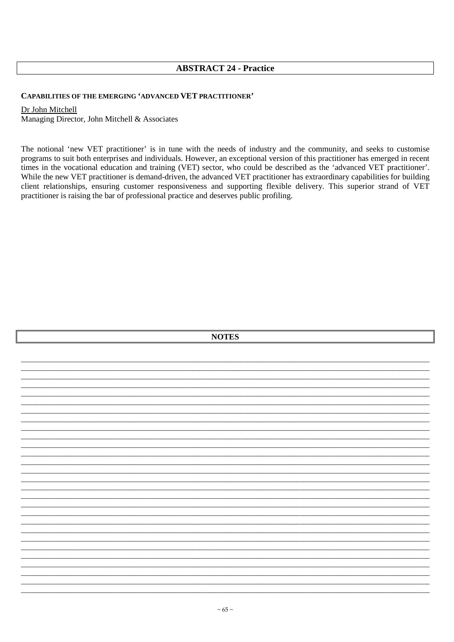# **ABSTRACT 24 - Practice**

### CAPABILITIES OF THE EMERGING 'ADVANCED VET PRACTITIONER'

#### Dr John Mitchell

Managing Director, John Mitchell & Associates

The notional 'new VET practitioner' is in tune with the needs of industry and the community, and seeks to customise programs to suit both enterprises and individuals. However, an exceptional version of this practitioner has emerged in recent times in the vocational education and training (VET) sector, who could be described as the 'advanced VET practitioner'. While the new VET practitioner is demand-driven, the advanced VET practitioner has extraordinary capabilities for building client relationships, ensuring customer responsiveness and supporting flexible delivery. This superior strand of VET practitioner is raising the bar of professional practice and deserves public profiling.

| <b>NOTES</b> |  |  |  |  |
|--------------|--|--|--|--|
|              |  |  |  |  |
|              |  |  |  |  |
|              |  |  |  |  |
|              |  |  |  |  |
|              |  |  |  |  |
|              |  |  |  |  |
|              |  |  |  |  |
|              |  |  |  |  |
|              |  |  |  |  |
|              |  |  |  |  |
|              |  |  |  |  |
|              |  |  |  |  |
|              |  |  |  |  |
|              |  |  |  |  |
|              |  |  |  |  |
|              |  |  |  |  |
|              |  |  |  |  |
|              |  |  |  |  |
|              |  |  |  |  |
|              |  |  |  |  |
|              |  |  |  |  |
|              |  |  |  |  |
|              |  |  |  |  |
|              |  |  |  |  |
|              |  |  |  |  |
|              |  |  |  |  |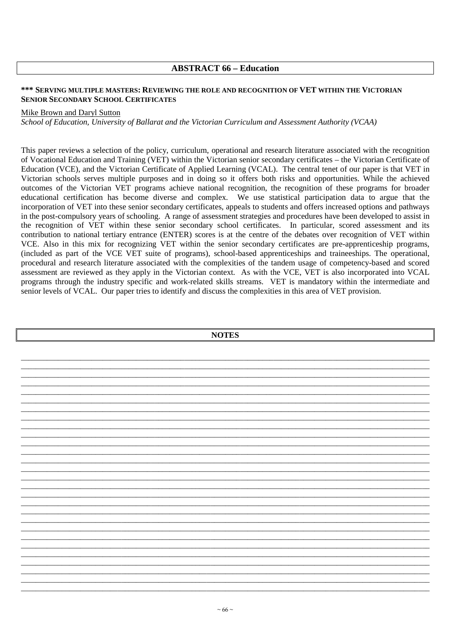### **ABSTRACT 66 – Education**

### **\*\*\* SERVING MULTIPLE MASTERS: REVIEWING THE ROLE AND RECOGNITION OF VET WITHIN THE VICTORIAN SENIOR SECONDARY SCHOOL CERTIFICATES**

#### Mike Brown and Daryl Sutton

*School of Education, University of Ballarat and the Victorian Curriculum and Assessment Authority (VCAA)* 

This paper reviews a selection of the policy, curriculum, operational and research literature associated with the recognition of Vocational Education and Training (VET) within the Victorian senior secondary certificates – the Victorian Certificate of Education (VCE), and the Victorian Certificate of Applied Learning (VCAL). The central tenet of our paper is that VET in Victorian schools serves multiple purposes and in doing so it offers both risks and opportunities. While the achieved outcomes of the Victorian VET programs achieve national recognition, the recognition of these programs for broader educational certification has become diverse and complex. We use statistical participation data to argue that the incorporation of VET into these senior secondary certificates, appeals to students and offers increased options and pathways in the post-compulsory years of schooling. A range of assessment strategies and procedures have been developed to assist in the recognition of VET within these senior secondary school certificates. In particular, scored assessment and its contribution to national tertiary entrance (ENTER) scores is at the centre of the debates over recognition of VET within VCE. Also in this mix for recognizing VET within the senior secondary certificates are pre-apprenticeship programs, (included as part of the VCE VET suite of programs), school-based apprenticeships and traineeships. The operational, procedural and research literature associated with the complexities of the tandem usage of competency-based and scored assessment are reviewed as they apply in the Victorian context. As with the VCE, VET is also incorporated into VCAL programs through the industry specific and work-related skills streams. VET is mandatory within the intermediate and senior levels of VCAL. Our paper tries to identify and discuss the complexities in this area of VET provision.

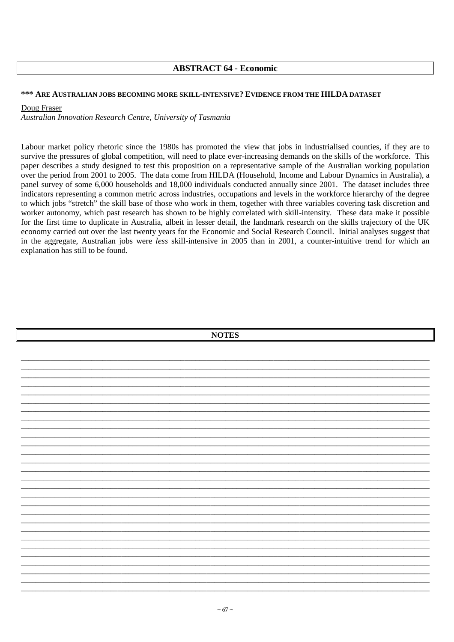## **ABSTRACT 64 - Economic**

#### \*\*\* ARE AUSTRALIAN JOBS BECOMING MORE SKILL-INTENSIVE? EVIDENCE FROM THE HILDA DATASET

#### Doug Fraser

Australian Innovation Research Centre, University of Tasmania

Labour market policy rhetoric since the 1980s has promoted the view that jobs in industrialised counties, if they are to survive the pressures of global competition, will need to place ever-increasing demands on the skills of the workforce. This paper describes a study designed to test this proposition on a representative sample of the Australian working population over the period from 2001 to 2005. The data come from HILDA (Household, Income and Labour Dynamics in Australia), a panel survey of some 6,000 households and 18,000 individuals conducted annually since 2001. The dataset includes three indicators representing a common metric across industries, occupations and levels in the workforce hierarchy of the degree to which jobs "stretch" the skill base of those who work in them, together with three variables covering task discretion and worker autonomy, which past research has shown to be highly correlated with skill-intensity. These data make it possible for the first time to duplicate in Australia, albeit in lesser detail, the landmark research on the skills trajectory of the UK economy carried out over the last twenty years for the Economic and Social Research Council. Initial analyses suggest that in the aggregate, Australian jobs were less skill-intensive in 2005 than in 2001, a counter-intuitive trend for which an explanation has still to be found.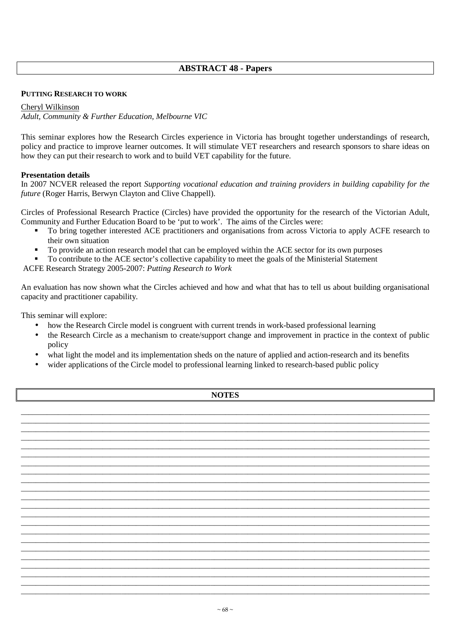# **ABSTRACT 48 - Papers**

### **PUTTING RESEARCH TO WORK**

### Cheryl Wilkinson

*Adult, Community & Further Education, Melbourne VIC*

This seminar explores how the Research Circles experience in Victoria has brought together understandings of research, policy and practice to improve learner outcomes. It will stimulate VET researchers and research sponsors to share ideas on how they can put their research to work and to build VET capability for the future.

### **Presentation details**

In 2007 NCVER released the report *Supporting vocational education and training providers in building capability for the future* (Roger Harris, Berwyn Clayton and Clive Chappell).

Circles of Professional Research Practice (Circles) have provided the opportunity for the research of the Victorian Adult, Community and Further Education Board to be 'put to work'. The aims of the Circles were:

- To bring together interested ACE practitioners and organisations from across Victoria to apply ACFE research to their own situation
- To provide an action research model that can be employed within the ACE sector for its own purposes
- To contribute to the ACE sector's collective capability to meet the goals of the Ministerial Statement

ACFE Research Strategy 2005-2007: *Putting Research to Work*

An evaluation has now shown what the Circles achieved and how and what that has to tell us about building organisational capacity and practitioner capability.

This seminar will explore:

- how the Research Circle model is congruent with current trends in work-based professional learning
- the Research Circle as a mechanism to create/support change and improvement in practice in the context of public policy
- what light the model and its implementation sheds on the nature of applied and action-research and its benefits
- wider applications of the Circle model to professional learning linked to research-based public policy

\_\_\_\_\_\_\_\_\_\_\_\_\_\_\_\_\_\_\_\_\_\_\_\_\_\_\_\_\_\_\_\_\_\_\_\_\_\_\_\_\_\_\_\_\_\_\_\_\_\_\_\_\_\_\_\_\_\_\_\_\_\_\_\_\_\_\_\_\_\_\_\_\_\_\_\_\_\_\_\_\_\_\_\_\_\_\_\_\_\_\_\_\_\_\_\_\_\_\_\_\_\_\_\_\_\_\_\_\_\_ \_\_\_\_\_\_\_\_\_\_\_\_\_\_\_\_\_\_\_\_\_\_\_\_\_\_\_\_\_\_\_\_\_\_\_\_\_\_\_\_\_\_\_\_\_\_\_\_\_\_\_\_\_\_\_\_\_\_\_\_\_\_\_\_\_\_\_\_\_\_\_\_\_\_\_\_\_\_\_\_\_\_\_\_\_\_\_\_\_\_\_\_\_\_\_\_\_\_\_\_\_\_\_\_\_\_\_\_\_\_ \_\_\_\_\_\_\_\_\_\_\_\_\_\_\_\_\_\_\_\_\_\_\_\_\_\_\_\_\_\_\_\_\_\_\_\_\_\_\_\_\_\_\_\_\_\_\_\_\_\_\_\_\_\_\_\_\_\_\_\_\_\_\_\_\_\_\_\_\_\_\_\_\_\_\_\_\_\_\_\_\_\_\_\_\_\_\_\_\_\_\_\_\_\_\_\_\_\_\_\_\_\_\_\_\_\_\_\_\_\_ \_\_\_\_\_\_\_\_\_\_\_\_\_\_\_\_\_\_\_\_\_\_\_\_\_\_\_\_\_\_\_\_\_\_\_\_\_\_\_\_\_\_\_\_\_\_\_\_\_\_\_\_\_\_\_\_\_\_\_\_\_\_\_\_\_\_\_\_\_\_\_\_\_\_\_\_\_\_\_\_\_\_\_\_\_\_\_\_\_\_\_\_\_\_\_\_\_\_\_\_\_\_\_\_\_\_\_\_\_\_ \_\_\_\_\_\_\_\_\_\_\_\_\_\_\_\_\_\_\_\_\_\_\_\_\_\_\_\_\_\_\_\_\_\_\_\_\_\_\_\_\_\_\_\_\_\_\_\_\_\_\_\_\_\_\_\_\_\_\_\_\_\_\_\_\_\_\_\_\_\_\_\_\_\_\_\_\_\_\_\_\_\_\_\_\_\_\_\_\_\_\_\_\_\_\_\_\_\_\_\_\_\_\_\_\_\_\_\_\_\_ \_\_\_\_\_\_\_\_\_\_\_\_\_\_\_\_\_\_\_\_\_\_\_\_\_\_\_\_\_\_\_\_\_\_\_\_\_\_\_\_\_\_\_\_\_\_\_\_\_\_\_\_\_\_\_\_\_\_\_\_\_\_\_\_\_\_\_\_\_\_\_\_\_\_\_\_\_\_\_\_\_\_\_\_\_\_\_\_\_\_\_\_\_\_\_\_\_\_\_\_\_\_\_\_\_\_\_\_\_\_ \_\_\_\_\_\_\_\_\_\_\_\_\_\_\_\_\_\_\_\_\_\_\_\_\_\_\_\_\_\_\_\_\_\_\_\_\_\_\_\_\_\_\_\_\_\_\_\_\_\_\_\_\_\_\_\_\_\_\_\_\_\_\_\_\_\_\_\_\_\_\_\_\_\_\_\_\_\_\_\_\_\_\_\_\_\_\_\_\_\_\_\_\_\_\_\_\_\_\_\_\_\_\_\_\_\_\_\_\_\_ \_\_\_\_\_\_\_\_\_\_\_\_\_\_\_\_\_\_\_\_\_\_\_\_\_\_\_\_\_\_\_\_\_\_\_\_\_\_\_\_\_\_\_\_\_\_\_\_\_\_\_\_\_\_\_\_\_\_\_\_\_\_\_\_\_\_\_\_\_\_\_\_\_\_\_\_\_\_\_\_\_\_\_\_\_\_\_\_\_\_\_\_\_\_\_\_\_\_\_\_\_\_\_\_\_\_\_\_\_\_ \_\_\_\_\_\_\_\_\_\_\_\_\_\_\_\_\_\_\_\_\_\_\_\_\_\_\_\_\_\_\_\_\_\_\_\_\_\_\_\_\_\_\_\_\_\_\_\_\_\_\_\_\_\_\_\_\_\_\_\_\_\_\_\_\_\_\_\_\_\_\_\_\_\_\_\_\_\_\_\_\_\_\_\_\_\_\_\_\_\_\_\_\_\_\_\_\_\_\_\_\_\_\_\_\_\_\_\_\_\_ \_\_\_\_\_\_\_\_\_\_\_\_\_\_\_\_\_\_\_\_\_\_\_\_\_\_\_\_\_\_\_\_\_\_\_\_\_\_\_\_\_\_\_\_\_\_\_\_\_\_\_\_\_\_\_\_\_\_\_\_\_\_\_\_\_\_\_\_\_\_\_\_\_\_\_\_\_\_\_\_\_\_\_\_\_\_\_\_\_\_\_\_\_\_\_\_\_\_\_\_\_\_\_\_\_\_\_\_\_\_ \_\_\_\_\_\_\_\_\_\_\_\_\_\_\_\_\_\_\_\_\_\_\_\_\_\_\_\_\_\_\_\_\_\_\_\_\_\_\_\_\_\_\_\_\_\_\_\_\_\_\_\_\_\_\_\_\_\_\_\_\_\_\_\_\_\_\_\_\_\_\_\_\_\_\_\_\_\_\_\_\_\_\_\_\_\_\_\_\_\_\_\_\_\_\_\_\_\_\_\_\_\_\_\_\_\_\_\_\_\_ \_\_\_\_\_\_\_\_\_\_\_\_\_\_\_\_\_\_\_\_\_\_\_\_\_\_\_\_\_\_\_\_\_\_\_\_\_\_\_\_\_\_\_\_\_\_\_\_\_\_\_\_\_\_\_\_\_\_\_\_\_\_\_\_\_\_\_\_\_\_\_\_\_\_\_\_\_\_\_\_\_\_\_\_\_\_\_\_\_\_\_\_\_\_\_\_\_\_\_\_\_\_\_\_\_\_\_\_\_\_ \_\_\_\_\_\_\_\_\_\_\_\_\_\_\_\_\_\_\_\_\_\_\_\_\_\_\_\_\_\_\_\_\_\_\_\_\_\_\_\_\_\_\_\_\_\_\_\_\_\_\_\_\_\_\_\_\_\_\_\_\_\_\_\_\_\_\_\_\_\_\_\_\_\_\_\_\_\_\_\_\_\_\_\_\_\_\_\_\_\_\_\_\_\_\_\_\_\_\_\_\_\_\_\_\_\_\_\_\_\_ \_\_\_\_\_\_\_\_\_\_\_\_\_\_\_\_\_\_\_\_\_\_\_\_\_\_\_\_\_\_\_\_\_\_\_\_\_\_\_\_\_\_\_\_\_\_\_\_\_\_\_\_\_\_\_\_\_\_\_\_\_\_\_\_\_\_\_\_\_\_\_\_\_\_\_\_\_\_\_\_\_\_\_\_\_\_\_\_\_\_\_\_\_\_\_\_\_\_\_\_\_\_\_\_\_\_\_\_\_\_ \_\_\_\_\_\_\_\_\_\_\_\_\_\_\_\_\_\_\_\_\_\_\_\_\_\_\_\_\_\_\_\_\_\_\_\_\_\_\_\_\_\_\_\_\_\_\_\_\_\_\_\_\_\_\_\_\_\_\_\_\_\_\_\_\_\_\_\_\_\_\_\_\_\_\_\_\_\_\_\_\_\_\_\_\_\_\_\_\_\_\_\_\_\_\_\_\_\_\_\_\_\_\_\_\_\_\_\_\_\_ \_\_\_\_\_\_\_\_\_\_\_\_\_\_\_\_\_\_\_\_\_\_\_\_\_\_\_\_\_\_\_\_\_\_\_\_\_\_\_\_\_\_\_\_\_\_\_\_\_\_\_\_\_\_\_\_\_\_\_\_\_\_\_\_\_\_\_\_\_\_\_\_\_\_\_\_\_\_\_\_\_\_\_\_\_\_\_\_\_\_\_\_\_\_\_\_\_\_\_\_\_\_\_\_\_\_\_\_\_\_ \_\_\_\_\_\_\_\_\_\_\_\_\_\_\_\_\_\_\_\_\_\_\_\_\_\_\_\_\_\_\_\_\_\_\_\_\_\_\_\_\_\_\_\_\_\_\_\_\_\_\_\_\_\_\_\_\_\_\_\_\_\_\_\_\_\_\_\_\_\_\_\_\_\_\_\_\_\_\_\_\_\_\_\_\_\_\_\_\_\_\_\_\_\_\_\_\_\_\_\_\_\_\_\_\_\_\_\_\_\_ \_\_\_\_\_\_\_\_\_\_\_\_\_\_\_\_\_\_\_\_\_\_\_\_\_\_\_\_\_\_\_\_\_\_\_\_\_\_\_\_\_\_\_\_\_\_\_\_\_\_\_\_\_\_\_\_\_\_\_\_\_\_\_\_\_\_\_\_\_\_\_\_\_\_\_\_\_\_\_\_\_\_\_\_\_\_\_\_\_\_\_\_\_\_\_\_\_\_\_\_\_\_\_\_\_\_\_\_\_\_ \_\_\_\_\_\_\_\_\_\_\_\_\_\_\_\_\_\_\_\_\_\_\_\_\_\_\_\_\_\_\_\_\_\_\_\_\_\_\_\_\_\_\_\_\_\_\_\_\_\_\_\_\_\_\_\_\_\_\_\_\_\_\_\_\_\_\_\_\_\_\_\_\_\_\_\_\_\_\_\_\_\_\_\_\_\_\_\_\_\_\_\_\_\_\_\_\_\_\_\_\_\_\_\_\_\_\_\_\_\_ \_\_\_\_\_\_\_\_\_\_\_\_\_\_\_\_\_\_\_\_\_\_\_\_\_\_\_\_\_\_\_\_\_\_\_\_\_\_\_\_\_\_\_\_\_\_\_\_\_\_\_\_\_\_\_\_\_\_\_\_\_\_\_\_\_\_\_\_\_\_\_\_\_\_\_\_\_\_\_\_\_\_\_\_\_\_\_\_\_\_\_\_\_\_\_\_\_\_\_\_\_\_\_\_\_\_\_\_\_\_ \_\_\_\_\_\_\_\_\_\_\_\_\_\_\_\_\_\_\_\_\_\_\_\_\_\_\_\_\_\_\_\_\_\_\_\_\_\_\_\_\_\_\_\_\_\_\_\_\_\_\_\_\_\_\_\_\_\_\_\_\_\_\_\_\_\_\_\_\_\_\_\_\_\_\_\_\_\_\_\_\_\_\_\_\_\_\_\_\_\_\_\_\_\_\_\_\_\_\_\_\_\_\_\_\_\_\_\_\_\_ \_\_\_\_\_\_\_\_\_\_\_\_\_\_\_\_\_\_\_\_\_\_\_\_\_\_\_\_\_\_\_\_\_\_\_\_\_\_\_\_\_\_\_\_\_\_\_\_\_\_\_\_\_\_\_\_\_\_\_\_\_\_\_\_\_\_\_\_\_\_\_\_\_\_\_\_\_\_\_\_\_\_\_\_\_\_\_\_\_\_\_\_\_\_\_\_\_\_\_\_\_\_\_\_\_\_\_\_\_\_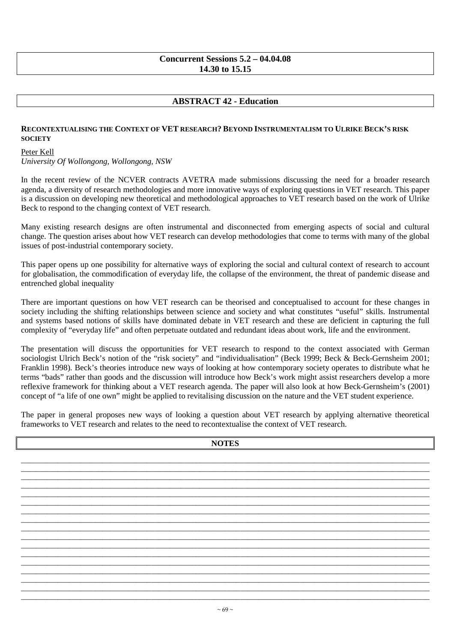## **Concurrent Sessions 5.2 – 04.04.08 14.30 to 15.15**

# **ABSTRACT 42 - Education**

### **RECONTEXTUALISING THE CONTEXT OF VET RESEARCH? BEYOND INSTRUMENTALISM TO ULRIKE BECK'S RISK SOCIETY**

Peter Kell

*University Of Wollongong, Wollongong, NSW* 

In the recent review of the NCVER contracts AVETRA made submissions discussing the need for a broader research agenda, a diversity of research methodologies and more innovative ways of exploring questions in VET research. This paper is a discussion on developing new theoretical and methodological approaches to VET research based on the work of Ulrike Beck to respond to the changing context of VET research.

Many existing research designs are often instrumental and disconnected from emerging aspects of social and cultural change. The question arises about how VET research can develop methodologies that come to terms with many of the global issues of post-industrial contemporary society.

This paper opens up one possibility for alternative ways of exploring the social and cultural context of research to account for globalisation, the commodification of everyday life, the collapse of the environment, the threat of pandemic disease and entrenched global inequality

There are important questions on how VET research can be theorised and conceptualised to account for these changes in society including the shifting relationships between science and society and what constitutes "useful" skills. Instrumental and systems based notions of skills have dominated debate in VET research and these are deficient in capturing the full complexity of "everyday life" and often perpetuate outdated and redundant ideas about work, life and the environment.

The presentation will discuss the opportunities for VET research to respond to the context associated with German sociologist Ulrich Beck's notion of the "risk society" and "individualisation" (Beck 1999; Beck & Beck-Gernsheim 2001; Franklin 1998). Beck's theories introduce new ways of looking at how contemporary society operates to distribute what he terms "bads" rather than goods and the discussion will introduce how Beck's work might assist researchers develop a more reflexive framework for thinking about a VET research agenda. The paper will also look at how Beck-Gernsheim's (2001) concept of "a life of one own" might be applied to revitalising discussion on the nature and the VET student experience.

The paper in general proposes new ways of looking a question about VET research by applying alternative theoretical frameworks to VET research and relates to the need to recontextualise the context of VET research.

| <b>NOTES</b> |  |  |  |  |
|--------------|--|--|--|--|
|              |  |  |  |  |
|              |  |  |  |  |
|              |  |  |  |  |
|              |  |  |  |  |
|              |  |  |  |  |
|              |  |  |  |  |
|              |  |  |  |  |
|              |  |  |  |  |
|              |  |  |  |  |
|              |  |  |  |  |
|              |  |  |  |  |
|              |  |  |  |  |
|              |  |  |  |  |
|              |  |  |  |  |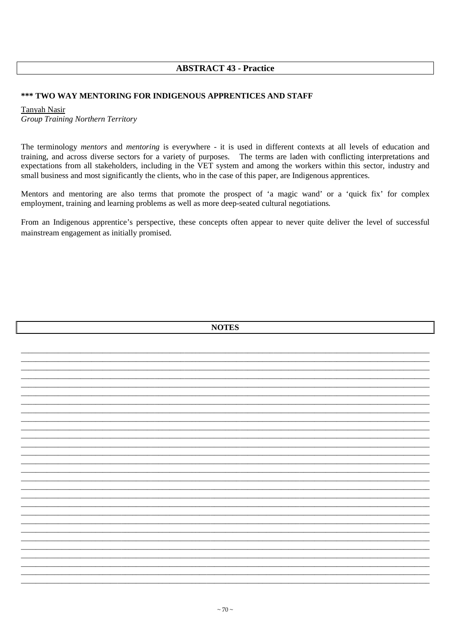# **ABSTRACT 43 - Practice**

### \*\*\* TWO WAY MENTORING FOR INDIGENOUS APPRENTICES AND STAFF

**Tanyah Nasir Group Training Northern Territory** 

The terminology mentors and mentoring is everywhere - it is used in different contexts at all levels of education and training, and across diverse sectors for a variety of purposes. The terms are laden with conflicting interpretations and expectations from all stakeholders, including in the VET system and among the workers within this sector, industry and small business and most significantly the clients, who in the case of this paper, are Indigenous apprentices.

Mentors and mentoring are also terms that promote the prospect of 'a magic wand' or a 'quick fix' for complex employment, training and learning problems as well as more deep-seated cultural negotiations.

From an Indigenous apprentice's perspective, these concepts often appear to never quite deliver the level of successful mainstream engagement as initially promised.

|  | <b>NOTES</b> |
|--|--------------|
|  |              |
|  |              |
|  |              |
|  |              |
|  |              |
|  |              |
|  |              |
|  |              |
|  |              |
|  |              |
|  |              |
|  |              |
|  |              |
|  |              |
|  |              |
|  |              |
|  |              |
|  |              |
|  |              |
|  |              |
|  |              |
|  |              |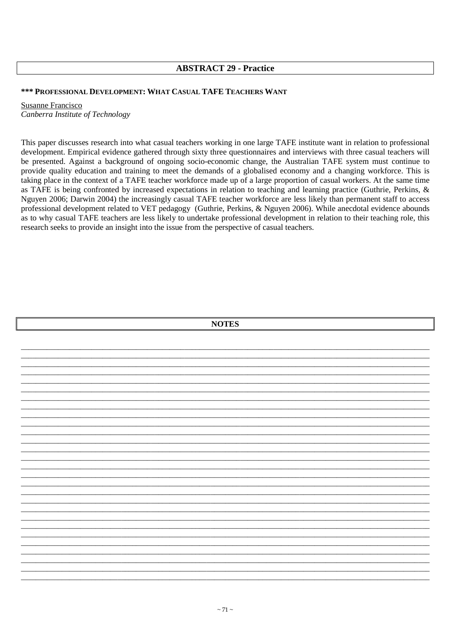## **ABSTRACT 29 - Practice**

## \*\*\* PROFESSIONAL DEVELOPMENT: WHAT CASUAL TAFE TEACHERS WANT

**Susanne Francisco** Canberra Institute of Technology

This paper discusses research into what casual teachers working in one large TAFE institute want in relation to professional development. Empirical evidence gathered through sixty three questionnaires and interviews with three casual teachers will be presented. Against a background of ongoing socio-economic change, the Australian TAFE system must continue to provide quality education and training to meet the demands of a globalised economy and a changing workforce. This is taking place in the context of a TAFE teacher workforce made up of a large proportion of casual workers. At the same time as TAFE is being confronted by increased expectations in relation to teaching and learning practice (Guthrie, Perkins,  $\&$ Nguyen 2006; Darwin 2004) the increasingly casual TAFE teacher workforce are less likely than permanent staff to access professional development related to VET pedagogy (Guthrie, Perkins, & Nguyen 2006). While anecdotal evidence abounds as to why casual TAFE teachers are less likely to undertake professional development in relation to their teaching role, this research seeks to provide an insight into the issue from the perspective of casual teachers.

| <b>NOTES</b> |  |  |  |  |  |  |  |
|--------------|--|--|--|--|--|--|--|
|              |  |  |  |  |  |  |  |
|              |  |  |  |  |  |  |  |
|              |  |  |  |  |  |  |  |
|              |  |  |  |  |  |  |  |
|              |  |  |  |  |  |  |  |
|              |  |  |  |  |  |  |  |
|              |  |  |  |  |  |  |  |
|              |  |  |  |  |  |  |  |
|              |  |  |  |  |  |  |  |
|              |  |  |  |  |  |  |  |
|              |  |  |  |  |  |  |  |
|              |  |  |  |  |  |  |  |
|              |  |  |  |  |  |  |  |
|              |  |  |  |  |  |  |  |
|              |  |  |  |  |  |  |  |
|              |  |  |  |  |  |  |  |
|              |  |  |  |  |  |  |  |
|              |  |  |  |  |  |  |  |
|              |  |  |  |  |  |  |  |
|              |  |  |  |  |  |  |  |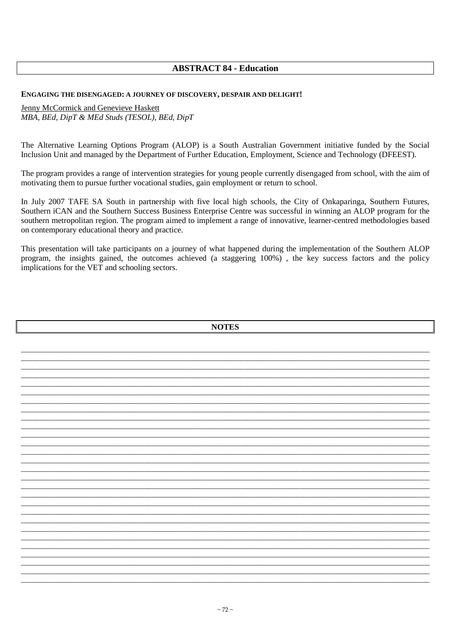# **ABSTRACT 84 - Education**

#### ENGAGING THE DISENGAGED: A JOURNEY OF DISCOVERY, DESPAIR AND DELIGHT!

Jenny McCormick and Genevieve Haskett MBA, BEd, DipT & MEd Studs (TESOL), BEd, DipT

The Alternative Learning Options Program (ALOP) is a South Australian Government initiative funded by the Social Inclusion Unit and managed by the Department of Further Education, Employment, Science and Technology (DFEEST).

The program provides a range of intervention strategies for young people currently disengaged from school, with the aim of motivating them to pursue further vocational studies, gain employment or return to school.

In July 2007 TAFE SA South in partnership with five local high schools, the City of Onkaparinga, Southern Futures, Southern iCAN and the Southern Success Business Enterprise Centre was successful in winning an ALOP program for the southern metropolitan region. The program aimed to implement a range of innovative, learner-centred methodologies based on contemporary educational theory and practice.

This presentation will take participants on a journey of what happened during the implementation of the Southern ALOP program, the insights gained, the outcomes achieved (a staggering 100%), the key success factors and the policy implications for the VET and schooling sectors.

|  |  | <b>NOTES</b> |  |  |  |
|--|--|--------------|--|--|--|
|  |  |              |  |  |  |
|  |  |              |  |  |  |
|  |  |              |  |  |  |
|  |  |              |  |  |  |
|  |  |              |  |  |  |
|  |  |              |  |  |  |
|  |  |              |  |  |  |
|  |  |              |  |  |  |
|  |  |              |  |  |  |
|  |  |              |  |  |  |
|  |  |              |  |  |  |
|  |  |              |  |  |  |
|  |  |              |  |  |  |
|  |  |              |  |  |  |
|  |  |              |  |  |  |
|  |  |              |  |  |  |
|  |  |              |  |  |  |
|  |  |              |  |  |  |
|  |  |              |  |  |  |
|  |  |              |  |  |  |
|  |  |              |  |  |  |
|  |  |              |  |  |  |
|  |  |              |  |  |  |
|  |  |              |  |  |  |
|  |  |              |  |  |  |
|  |  |              |  |  |  |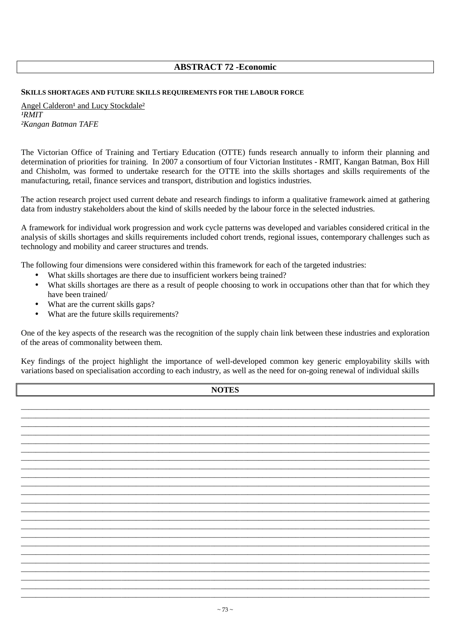## **ABSTRACT 72 -Economic**

#### **SKILLS SHORTAGES AND FUTURE SKILLS REQUIREMENTS FOR THE LABOUR FORCE**

Angel Calderon<sup>1</sup> and Lucy Stockdale<sup>2</sup> *¹RMIT ²Kangan Batman TAFE* 

The Victorian Office of Training and Tertiary Education (OTTE) funds research annually to inform their planning and determination of priorities for training. In 2007 a consortium of four Victorian Institutes - RMIT, Kangan Batman, Box Hill and Chisholm, was formed to undertake research for the OTTE into the skills shortages and skills requirements of the manufacturing, retail, finance services and transport, distribution and logistics industries.

The action research project used current debate and research findings to inform a qualitative framework aimed at gathering data from industry stakeholders about the kind of skills needed by the labour force in the selected industries.

A framework for individual work progression and work cycle patterns was developed and variables considered critical in the analysis of skills shortages and skills requirements included cohort trends, regional issues, contemporary challenges such as technology and mobility and career structures and trends.

The following four dimensions were considered within this framework for each of the targeted industries:

- What skills shortages are there due to insufficient workers being trained?
- What skills shortages are there as a result of people choosing to work in occupations other than that for which they have been trained/
- What are the current skills gaps?
- What are the future skills requirements?

One of the key aspects of the research was the recognition of the supply chain link between these industries and exploration of the areas of commonality between them.

Key findings of the project highlight the importance of well-developed common key generic employability skills with variations based on specialisation according to each industry, as well as the need for on-going renewal of individual skills

| <b>NOTES</b> |  |  |  |
|--------------|--|--|--|
|              |  |  |  |
|              |  |  |  |
|              |  |  |  |
|              |  |  |  |
|              |  |  |  |
|              |  |  |  |
|              |  |  |  |
|              |  |  |  |
|              |  |  |  |
|              |  |  |  |
|              |  |  |  |
|              |  |  |  |
|              |  |  |  |
|              |  |  |  |
|              |  |  |  |
|              |  |  |  |
|              |  |  |  |
|              |  |  |  |
|              |  |  |  |
|              |  |  |  |

\_\_\_\_\_\_\_\_\_\_\_\_\_\_\_\_\_\_\_\_\_\_\_\_\_\_\_\_\_\_\_\_\_\_\_\_\_\_\_\_\_\_\_\_\_\_\_\_\_\_\_\_\_\_\_\_\_\_\_\_\_\_\_\_\_\_\_\_\_\_\_\_\_\_\_\_\_\_\_\_\_\_\_\_\_\_\_\_\_\_\_\_\_\_\_\_\_\_\_\_\_\_\_\_\_\_\_\_\_\_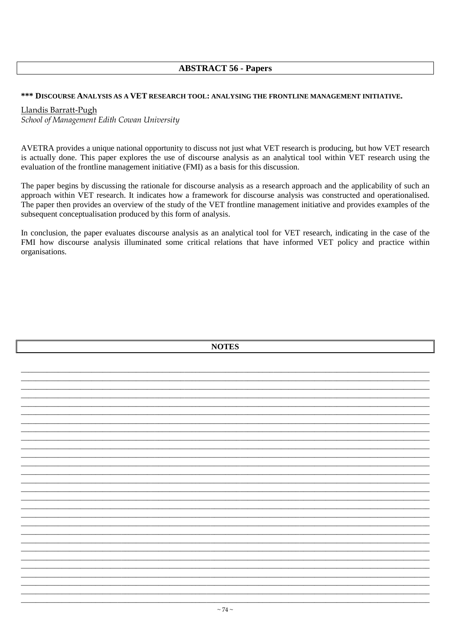# **ABSTRACT 56 - Papers**

### \*\*\* DISCOURSE ANALYSIS AS A VET RESEARCH TOOL: ANALYSING THE FRONTLINE MANAGEMENT INITIATIVE.

## Llandis Barratt-Pugh

School of Management Edith Cowan University

AVETRA provides a unique national opportunity to discuss not just what VET research is producing, but how VET research is actually done. This paper explores the use of discourse analysis as an analytical tool within VET research using the evaluation of the frontline management initiative (FMI) as a basis for this discussion.

The paper begins by discussing the rationale for discourse analysis as a research approach and the applicability of such an approach within VET research. It indicates how a framework for discourse analysis was constructed and operationalised. The paper then provides an overview of the study of the VET frontline management initiative and provides examples of the subsequent conceptualisation produced by this form of analysis.

In conclusion, the paper evaluates discourse analysis as an analytical tool for VET research, indicating in the case of the FMI how discourse analysis illuminated some critical relations that have informed VET policy and practice within organisations.

| <b>NOTES</b>             |  |  |
|--------------------------|--|--|
|                          |  |  |
|                          |  |  |
|                          |  |  |
|                          |  |  |
|                          |  |  |
|                          |  |  |
|                          |  |  |
|                          |  |  |
|                          |  |  |
|                          |  |  |
|                          |  |  |
|                          |  |  |
|                          |  |  |
|                          |  |  |
|                          |  |  |
|                          |  |  |
|                          |  |  |
|                          |  |  |
|                          |  |  |
|                          |  |  |
|                          |  |  |
|                          |  |  |
|                          |  |  |
|                          |  |  |
|                          |  |  |
| $\overline{\phantom{a}}$ |  |  |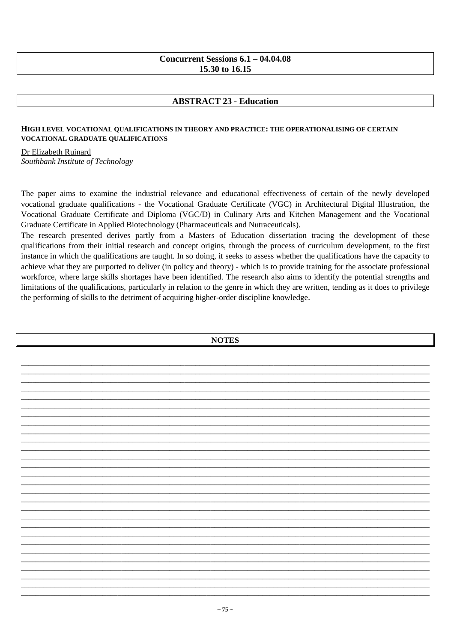## Concurrent Sessions  $6.1 - 04.04.08$ 15.30 to 16.15

# **ABSTRACT 23 - Education**

## HIGH LEVEL VOCATIONAL OUALIFICATIONS IN THEORY AND PRACTICE: THE OPERATIONALISING OF CERTAIN VOCATIONAL GRADUATE QUALIFICATIONS

Dr Elizabeth Ruinard Southbank Institute of Technology

The paper aims to examine the industrial relevance and educational effectiveness of certain of the newly developed vocational graduate qualifications - the Vocational Graduate Certificate (VGC) in Architectural Digital Illustration, the Vocational Graduate Certificate and Diploma (VGC/D) in Culinary Arts and Kitchen Management and the Vocational Graduate Certificate in Applied Biotechnology (Pharmaceuticals and Nutraceuticals).

The research presented derives partly from a Masters of Education dissertation tracing the development of these qualifications from their initial research and concept origins, through the process of curriculum development, to the first instance in which the qualifications are taught. In so doing, it seeks to assess whether the qualifications have the capacity to achieve what they are purported to deliver (in policy and theory) - which is to provide training for the associate professional workforce, where large skills shortages have been identified. The research also aims to identify the potential strengths and limitations of the qualifications, particularly in relation to the genre in which they are written, tending as it does to privilege the performing of skills to the detriment of acquiring higher-order discipline knowledge.

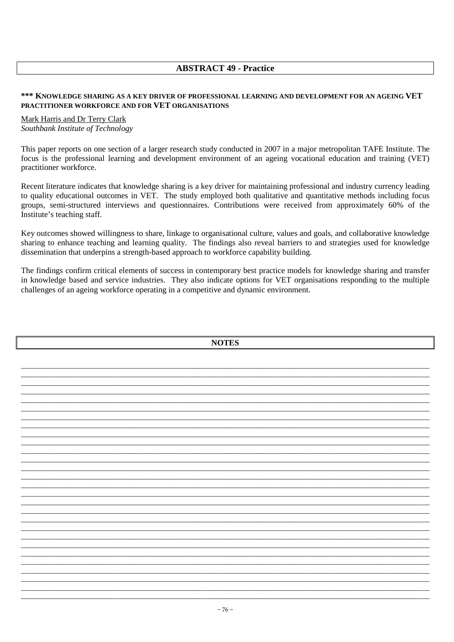# **ABSTRACT 49 - Practice**

#### \*\*\* KNOWLEDGE SHARING AS A KEY DRIVER OF PROFESSIONAL LEARNING AND DEVELOPMENT FOR AN AGEING VET **PRACTITIONER WORKFORCE AND FOR VET ORGANISATIONS**

## Mark Harris and Dr Terry Clark Southbank Institute of Technology

This paper reports on one section of a larger research study conducted in 2007 in a major metropolitan TAFE Institute. The focus is the professional learning and development environment of an ageing vocational education and training (VET) practitioner workforce.

Recent literature indicates that knowledge sharing is a key driver for maintaining professional and industry currency leading to quality educational outcomes in VET. The study employed both qualitative and quantitative methods including focus groups, semi-structured interviews and questionnaires. Contributions were received from approximately 60% of the Institute's teaching staff.

Key outcomes showed willingness to share, linkage to organisational culture, values and goals, and collaborative knowledge sharing to enhance teaching and learning quality. The findings also reveal barriers to and strategies used for knowledge dissemination that underpins a strength-based approach to workforce capability building.

The findings confirm critical elements of success in contemporary best practice models for knowledge sharing and transfer in knowledge based and service industries. They also indicate options for VET organisations responding to the multiple challenges of an ageing workforce operating in a competitive and dynamic environment.

| <b>NOTES</b> |  |
|--------------|--|
|              |  |
|              |  |
|              |  |
|              |  |
|              |  |
|              |  |
|              |  |
|              |  |
|              |  |
|              |  |
|              |  |
|              |  |
|              |  |
|              |  |
|              |  |
|              |  |
|              |  |
|              |  |
|              |  |
|              |  |
|              |  |
|              |  |
|              |  |
|              |  |
|              |  |
|              |  |
|              |  |
|              |  |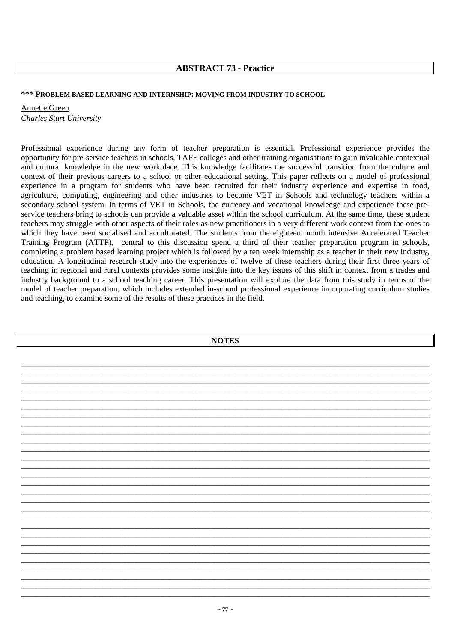# **ABSTRACT 73 - Practice**

#### **\*\*\* PROBLEM BASED LEARNING AND INTERNSHIP: MOVING FROM INDUSTRY TO SCHOOL**

Annette Green *Charles Sturt University* 

Professional experience during any form of teacher preparation is essential. Professional experience provides the opportunity for pre-service teachers in schools, TAFE colleges and other training organisations to gain invaluable contextual and cultural knowledge in the new workplace. This knowledge facilitates the successful transition from the culture and context of their previous careers to a school or other educational setting. This paper reflects on a model of professional experience in a program for students who have been recruited for their industry experience and expertise in food, agriculture, computing, engineering and other industries to become VET in Schools and technology teachers within a secondary school system. In terms of VET in Schools, the currency and vocational knowledge and experience these preservice teachers bring to schools can provide a valuable asset within the school curriculum. At the same time, these student teachers may struggle with other aspects of their roles as new practitioners in a very different work context from the ones to which they have been socialised and acculturated. The students from the eighteen month intensive Accelerated Teacher Training Program (ATTP), central to this discussion spend a third of their teacher preparation program in schools, completing a problem based learning project which is followed by a ten week internship as a teacher in their new industry, education. A longitudinal research study into the experiences of twelve of these teachers during their first three years of teaching in regional and rural contexts provides some insights into the key issues of this shift in context from a trades and industry background to a school teaching career. This presentation will explore the data from this study in terms of the model of teacher preparation, which includes extended in-school professional experience incorporating curriculum studies and teaching, to examine some of the results of these practices in the field.

| <b>NOTES</b> |  |  |
|--------------|--|--|
|              |  |  |
|              |  |  |
|              |  |  |
|              |  |  |
|              |  |  |
|              |  |  |
|              |  |  |
|              |  |  |
|              |  |  |
|              |  |  |
|              |  |  |
|              |  |  |
|              |  |  |
|              |  |  |
|              |  |  |
|              |  |  |
|              |  |  |
|              |  |  |
|              |  |  |
|              |  |  |
|              |  |  |
|              |  |  |
|              |  |  |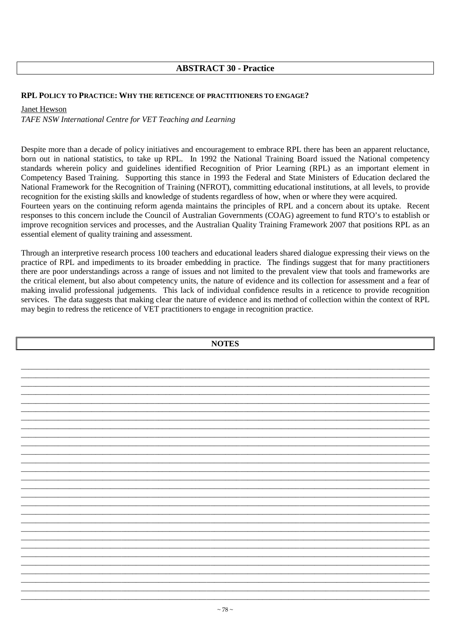# **ABSTRACT 30 - Practice**

## **RPL POLICY TO PRACTICE: WHY THE RETICENCE OF PRACTITIONERS TO ENGAGE?**

Janet Hewson

*TAFE NSW International Centre for VET Teaching and Learning* 

Despite more than a decade of policy initiatives and encouragement to embrace RPL there has been an apparent reluctance, born out in national statistics, to take up RPL. In 1992 the National Training Board issued the National competency standards wherein policy and guidelines identified Recognition of Prior Learning (RPL) as an important element in Competency Based Training. Supporting this stance in 1993 the Federal and State Ministers of Education declared the National Framework for the Recognition of Training (NFROT), committing educational institutions, at all levels, to provide recognition for the existing skills and knowledge of students regardless of how, when or where they were acquired.

Fourteen years on the continuing reform agenda maintains the principles of RPL and a concern about its uptake. Recent responses to this concern include the Council of Australian Governments (COAG) agreement to fund RTO's to establish or improve recognition services and processes, and the Australian Quality Training Framework 2007 that positions RPL as an essential element of quality training and assessment.

Through an interpretive research process 100 teachers and educational leaders shared dialogue expressing their views on the practice of RPL and impediments to its broader embedding in practice. The findings suggest that for many practitioners there are poor understandings across a range of issues and not limited to the prevalent view that tools and frameworks are the critical element, but also about competency units, the nature of evidence and its collection for assessment and a fear of making invalid professional judgements. This lack of individual confidence results in a reticence to provide recognition services. The data suggests that making clear the nature of evidence and its method of collection within the context of RPL may begin to redress the reticence of VET practitioners to engage in recognition practice.

| <b>NOTES</b> |  |
|--------------|--|
|              |  |
|              |  |
|              |  |
|              |  |
|              |  |
|              |  |
|              |  |
|              |  |
|              |  |
|              |  |
|              |  |
|              |  |
|              |  |
|              |  |
|              |  |
|              |  |
|              |  |
|              |  |
|              |  |
|              |  |
|              |  |
|              |  |
|              |  |
|              |  |
|              |  |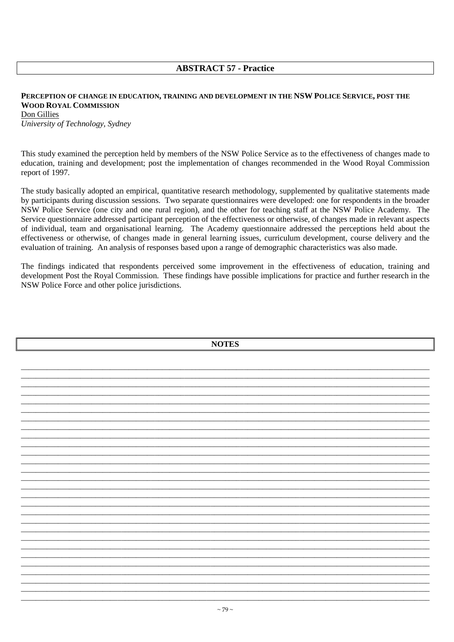# **ABSTRACT 57 - Practice**

## PERCEPTION OF CHANGE IN EDUCATION, TRAINING AND DEVELOPMENT IN THE NSW POLICE SERVICE, POST THE **WOOD ROYAL COMMISSION** Don Gillies

University of Technology, Sydney

This study examined the perception held by members of the NSW Police Service as to the effectiveness of changes made to education, training and development; post the implementation of changes recommended in the Wood Royal Commission report of 1997.

The study basically adopted an empirical, quantitative research methodology, supplemented by qualitative statements made by participants during discussion sessions. Two separate questionnaires were developed: one for respondents in the broader NSW Police Service (one city and one rural region), and the other for teaching staff at the NSW Police Academy. The Service questionnaire addressed participant perception of the effectiveness or otherwise, of changes made in relevant aspects of individual, team and organisational learning. The Academy questionnaire addressed the perceptions held about the effectiveness or otherwise, of changes made in general learning issues, curriculum development, course delivery and the evaluation of training. An analysis of responses based upon a range of demographic characteristics was also made.

The findings indicated that respondents perceived some improvement in the effectiveness of education, training and development Post the Royal Commission. These findings have possible implications for practice and further research in the NSW Police Force and other police jurisdictions.

| <b>NOTES</b> |
|--------------|
|              |
|              |
|              |
|              |
|              |
|              |
|              |
|              |
|              |
|              |
|              |
|              |
|              |
|              |
|              |
|              |
|              |
|              |
|              |
|              |
|              |
|              |
|              |
|              |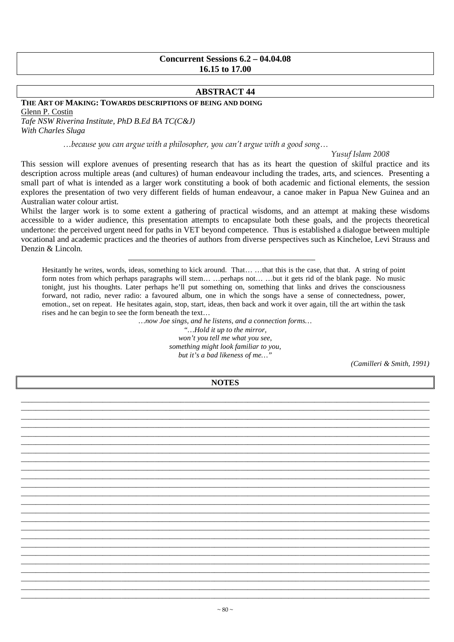## **Concurrent Sessions 6.2 – 04.04.08 16.15 to 17.00**

## **ABSTRACT 44**

#### **THE ART OF MAKING: TOWARDS DESCRIPTIONS OF BEING AND DOING**

Glenn P. Costin

*Tafe NSW Riverina Institute, PhD B.Ed BA TC(C&J) With Charles Sluga* 

…because you can argue with a philosopher, you can't argue with a good song…

#### Yusuf Islam 2008

This session will explore avenues of presenting research that has as its heart the question of skilful practice and its description across multiple areas (and cultures) of human endeavour including the trades, arts, and sciences. Presenting a small part of what is intended as a larger work constituting a book of both academic and fictional elements, the session explores the presentation of two very different fields of human endeavour, a canoe maker in Papua New Guinea and an Australian water colour artist.

Whilst the larger work is to some extent a gathering of practical wisdoms, and an attempt at making these wisdoms accessible to a wider audience, this presentation attempts to encapsulate both these goals, and the projects theoretical undertone: the perceived urgent need for paths in VET beyond competence. Thus is established a dialogue between multiple vocational and academic practices and the theories of authors from diverse perspectives such as Kincheloe, Levi Strauss and Denzin & Lincoln.

Hesitantly he writes, words, ideas, something to kick around. That… …that this is the case, that that. A string of point form notes from which perhaps paragraphs will stem… …perhaps not… …but it gets rid of the blank page. No music tonight, just his thoughts. Later perhaps he'll put something on, something that links and drives the consciousness forward, not radio, never radio: a favoured album, one in which the songs have a sense of connectedness, power, emotion., set on repeat. He hesitates again, stop, start, ideas, then back and work it over again, till the art within the task rises and he can begin to see the form beneath the text…

> *…now Joe sings, and he listens, and a connection forms… "…Hold it up to the mirror, won't you tell me what you see, something might look familiar to you, but it's a bad likeness of me…"*

*(Camilleri & Smith, 1991)* 

**NOTES**  \_\_\_\_\_\_\_\_\_\_\_\_\_\_\_\_\_\_\_\_\_\_\_\_\_\_\_\_\_\_\_\_\_\_\_\_\_\_\_\_\_\_\_\_\_\_\_\_\_\_\_\_\_\_\_\_\_\_\_\_\_\_\_\_\_\_\_\_\_\_\_\_\_\_\_\_\_\_\_\_\_\_\_\_\_\_\_\_\_\_\_\_\_\_\_\_\_\_\_\_\_\_\_\_\_\_\_\_\_\_ \_\_\_\_\_\_\_\_\_\_\_\_\_\_\_\_\_\_\_\_\_\_\_\_\_\_\_\_\_\_\_\_\_\_\_\_\_\_\_\_\_\_\_\_\_\_\_\_\_\_\_\_\_\_\_\_\_\_\_\_\_\_\_\_\_\_\_\_\_\_\_\_\_\_\_\_\_\_\_\_\_\_\_\_\_\_\_\_\_\_\_\_\_\_\_\_\_\_\_\_\_\_\_\_\_\_\_\_\_\_ \_\_\_\_\_\_\_\_\_\_\_\_\_\_\_\_\_\_\_\_\_\_\_\_\_\_\_\_\_\_\_\_\_\_\_\_\_\_\_\_\_\_\_\_\_\_\_\_\_\_\_\_\_\_\_\_\_\_\_\_\_\_\_\_\_\_\_\_\_\_\_\_\_\_\_\_\_\_\_\_\_\_\_\_\_\_\_\_\_\_\_\_\_\_\_\_\_\_\_\_\_\_\_\_\_\_\_\_\_\_ \_\_\_\_\_\_\_\_\_\_\_\_\_\_\_\_\_\_\_\_\_\_\_\_\_\_\_\_\_\_\_\_\_\_\_\_\_\_\_\_\_\_\_\_\_\_\_\_\_\_\_\_\_\_\_\_\_\_\_\_\_\_\_\_\_\_\_\_\_\_\_\_\_\_\_\_\_\_\_\_\_\_\_\_\_\_\_\_\_\_\_\_\_\_\_\_\_\_\_\_\_\_\_\_\_\_\_\_\_\_ \_\_\_\_\_\_\_\_\_\_\_\_\_\_\_\_\_\_\_\_\_\_\_\_\_\_\_\_\_\_\_\_\_\_\_\_\_\_\_\_\_\_\_\_\_\_\_\_\_\_\_\_\_\_\_\_\_\_\_\_\_\_\_\_\_\_\_\_\_\_\_\_\_\_\_\_\_\_\_\_\_\_\_\_\_\_\_\_\_\_\_\_\_\_\_\_\_\_\_\_\_\_\_\_\_\_\_\_\_\_ \_\_\_\_\_\_\_\_\_\_\_\_\_\_\_\_\_\_\_\_\_\_\_\_\_\_\_\_\_\_\_\_\_\_\_\_\_\_\_\_\_\_\_\_\_\_\_\_\_\_\_\_\_\_\_\_\_\_\_\_\_\_\_\_\_\_\_\_\_\_\_\_\_\_\_\_\_\_\_\_\_\_\_\_\_\_\_\_\_\_\_\_\_\_\_\_\_\_\_\_\_\_\_\_\_\_\_\_\_\_ \_\_\_\_\_\_\_\_\_\_\_\_\_\_\_\_\_\_\_\_\_\_\_\_\_\_\_\_\_\_\_\_\_\_\_\_\_\_\_\_\_\_\_\_\_\_\_\_\_\_\_\_\_\_\_\_\_\_\_\_\_\_\_\_\_\_\_\_\_\_\_\_\_\_\_\_\_\_\_\_\_\_\_\_\_\_\_\_\_\_\_\_\_\_\_\_\_\_\_\_\_\_\_\_\_\_\_\_\_\_ \_\_\_\_\_\_\_\_\_\_\_\_\_\_\_\_\_\_\_\_\_\_\_\_\_\_\_\_\_\_\_\_\_\_\_\_\_\_\_\_\_\_\_\_\_\_\_\_\_\_\_\_\_\_\_\_\_\_\_\_\_\_\_\_\_\_\_\_\_\_\_\_\_\_\_\_\_\_\_\_\_\_\_\_\_\_\_\_\_\_\_\_\_\_\_\_\_\_\_\_\_\_\_\_\_\_\_\_\_\_ \_\_\_\_\_\_\_\_\_\_\_\_\_\_\_\_\_\_\_\_\_\_\_\_\_\_\_\_\_\_\_\_\_\_\_\_\_\_\_\_\_\_\_\_\_\_\_\_\_\_\_\_\_\_\_\_\_\_\_\_\_\_\_\_\_\_\_\_\_\_\_\_\_\_\_\_\_\_\_\_\_\_\_\_\_\_\_\_\_\_\_\_\_\_\_\_\_\_\_\_\_\_\_\_\_\_\_\_\_\_ \_\_\_\_\_\_\_\_\_\_\_\_\_\_\_\_\_\_\_\_\_\_\_\_\_\_\_\_\_\_\_\_\_\_\_\_\_\_\_\_\_\_\_\_\_\_\_\_\_\_\_\_\_\_\_\_\_\_\_\_\_\_\_\_\_\_\_\_\_\_\_\_\_\_\_\_\_\_\_\_\_\_\_\_\_\_\_\_\_\_\_\_\_\_\_\_\_\_\_\_\_\_\_\_\_\_\_\_\_\_ \_\_\_\_\_\_\_\_\_\_\_\_\_\_\_\_\_\_\_\_\_\_\_\_\_\_\_\_\_\_\_\_\_\_\_\_\_\_\_\_\_\_\_\_\_\_\_\_\_\_\_\_\_\_\_\_\_\_\_\_\_\_\_\_\_\_\_\_\_\_\_\_\_\_\_\_\_\_\_\_\_\_\_\_\_\_\_\_\_\_\_\_\_\_\_\_\_\_\_\_\_\_\_\_\_\_\_\_\_\_ \_\_\_\_\_\_\_\_\_\_\_\_\_\_\_\_\_\_\_\_\_\_\_\_\_\_\_\_\_\_\_\_\_\_\_\_\_\_\_\_\_\_\_\_\_\_\_\_\_\_\_\_\_\_\_\_\_\_\_\_\_\_\_\_\_\_\_\_\_\_\_\_\_\_\_\_\_\_\_\_\_\_\_\_\_\_\_\_\_\_\_\_\_\_\_\_\_\_\_\_\_\_\_\_\_\_\_\_\_\_ \_\_\_\_\_\_\_\_\_\_\_\_\_\_\_\_\_\_\_\_\_\_\_\_\_\_\_\_\_\_\_\_\_\_\_\_\_\_\_\_\_\_\_\_\_\_\_\_\_\_\_\_\_\_\_\_\_\_\_\_\_\_\_\_\_\_\_\_\_\_\_\_\_\_\_\_\_\_\_\_\_\_\_\_\_\_\_\_\_\_\_\_\_\_\_\_\_\_\_\_\_\_\_\_\_\_\_\_\_\_ \_\_\_\_\_\_\_\_\_\_\_\_\_\_\_\_\_\_\_\_\_\_\_\_\_\_\_\_\_\_\_\_\_\_\_\_\_\_\_\_\_\_\_\_\_\_\_\_\_\_\_\_\_\_\_\_\_\_\_\_\_\_\_\_\_\_\_\_\_\_\_\_\_\_\_\_\_\_\_\_\_\_\_\_\_\_\_\_\_\_\_\_\_\_\_\_\_\_\_\_\_\_\_\_\_\_\_\_\_\_ \_\_\_\_\_\_\_\_\_\_\_\_\_\_\_\_\_\_\_\_\_\_\_\_\_\_\_\_\_\_\_\_\_\_\_\_\_\_\_\_\_\_\_\_\_\_\_\_\_\_\_\_\_\_\_\_\_\_\_\_\_\_\_\_\_\_\_\_\_\_\_\_\_\_\_\_\_\_\_\_\_\_\_\_\_\_\_\_\_\_\_\_\_\_\_\_\_\_\_\_\_\_\_\_\_\_\_\_\_\_ \_\_\_\_\_\_\_\_\_\_\_\_\_\_\_\_\_\_\_\_\_\_\_\_\_\_\_\_\_\_\_\_\_\_\_\_\_\_\_\_\_\_\_\_\_\_\_\_\_\_\_\_\_\_\_\_\_\_\_\_\_\_\_\_\_\_\_\_\_\_\_\_\_\_\_\_\_\_\_\_\_\_\_\_\_\_\_\_\_\_\_\_\_\_\_\_\_\_\_\_\_\_\_\_\_\_\_\_\_\_ \_\_\_\_\_\_\_\_\_\_\_\_\_\_\_\_\_\_\_\_\_\_\_\_\_\_\_\_\_\_\_\_\_\_\_\_\_\_\_\_\_\_\_\_\_\_\_\_\_\_\_\_\_\_\_\_\_\_\_\_\_\_\_\_\_\_\_\_\_\_\_\_\_\_\_\_\_\_\_\_\_\_\_\_\_\_\_\_\_\_\_\_\_\_\_\_\_\_\_\_\_\_\_\_\_\_\_\_\_\_ \_\_\_\_\_\_\_\_\_\_\_\_\_\_\_\_\_\_\_\_\_\_\_\_\_\_\_\_\_\_\_\_\_\_\_\_\_\_\_\_\_\_\_\_\_\_\_\_\_\_\_\_\_\_\_\_\_\_\_\_\_\_\_\_\_\_\_\_\_\_\_\_\_\_\_\_\_\_\_\_\_\_\_\_\_\_\_\_\_\_\_\_\_\_\_\_\_\_\_\_\_\_\_\_\_\_\_\_\_\_ \_\_\_\_\_\_\_\_\_\_\_\_\_\_\_\_\_\_\_\_\_\_\_\_\_\_\_\_\_\_\_\_\_\_\_\_\_\_\_\_\_\_\_\_\_\_\_\_\_\_\_\_\_\_\_\_\_\_\_\_\_\_\_\_\_\_\_\_\_\_\_\_\_\_\_\_\_\_\_\_\_\_\_\_\_\_\_\_\_\_\_\_\_\_\_\_\_\_\_\_\_\_\_\_\_\_\_\_\_\_ \_\_\_\_\_\_\_\_\_\_\_\_\_\_\_\_\_\_\_\_\_\_\_\_\_\_\_\_\_\_\_\_\_\_\_\_\_\_\_\_\_\_\_\_\_\_\_\_\_\_\_\_\_\_\_\_\_\_\_\_\_\_\_\_\_\_\_\_\_\_\_\_\_\_\_\_\_\_\_\_\_\_\_\_\_\_\_\_\_\_\_\_\_\_\_\_\_\_\_\_\_\_\_\_\_\_\_\_\_\_ \_\_\_\_\_\_\_\_\_\_\_\_\_\_\_\_\_\_\_\_\_\_\_\_\_\_\_\_\_\_\_\_\_\_\_\_\_\_\_\_\_\_\_\_\_\_\_\_\_\_\_\_\_\_\_\_\_\_\_\_\_\_\_\_\_\_\_\_\_\_\_\_\_\_\_\_\_\_\_\_\_\_\_\_\_\_\_\_\_\_\_\_\_\_\_\_\_\_\_\_\_\_\_\_\_\_\_\_\_\_ \_\_\_\_\_\_\_\_\_\_\_\_\_\_\_\_\_\_\_\_\_\_\_\_\_\_\_\_\_\_\_\_\_\_\_\_\_\_\_\_\_\_\_\_\_\_\_\_\_\_\_\_\_\_\_\_\_\_\_\_\_\_\_\_\_\_\_\_\_\_\_\_\_\_\_\_\_\_\_\_\_\_\_\_\_\_\_\_\_\_\_\_\_\_\_\_\_\_\_\_\_\_\_\_\_\_\_\_\_\_ \_\_\_\_\_\_\_\_\_\_\_\_\_\_\_\_\_\_\_\_\_\_\_\_\_\_\_\_\_\_\_\_\_\_\_\_\_\_\_\_\_\_\_\_\_\_\_\_\_\_\_\_\_\_\_\_\_\_\_\_\_\_\_\_\_\_\_\_\_\_\_\_\_\_\_\_\_\_\_\_\_\_\_\_\_\_\_\_\_\_\_\_\_\_\_\_\_\_\_\_\_\_\_\_\_\_\_\_\_\_ \_\_\_\_\_\_\_\_\_\_\_\_\_\_\_\_\_\_\_\_\_\_\_\_\_\_\_\_\_\_\_\_\_\_\_\_\_\_\_\_\_\_\_\_\_\_\_\_\_\_\_\_\_\_\_\_\_\_\_\_\_\_\_\_\_\_\_\_\_\_\_\_\_\_\_\_\_\_\_\_\_\_\_\_\_\_\_\_\_\_\_\_\_\_\_\_\_\_\_\_\_\_\_\_\_\_\_\_\_\_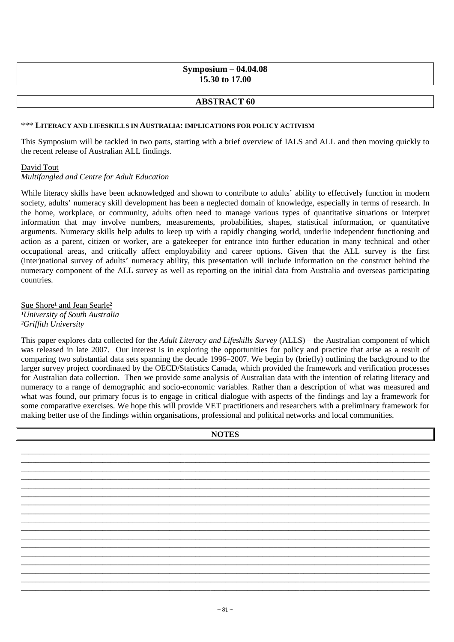## **Symposium – 04.04.08 15.30 to 17.00**

## **ABSTRACT 60**

#### \*\*\* **LITERACY AND LIFESKILLS IN AUSTRALIA: IMPLICATIONS FOR POLICY ACTIVISM**

This Symposium will be tackled in two parts, starting with a brief overview of IALS and ALL and then moving quickly to the recent release of Australian ALL findings.

#### David Tout

*Multifangled and Centre for Adult Education* 

While literacy skills have been acknowledged and shown to contribute to adults' ability to effectively function in modern society, adults' numeracy skill development has been a neglected domain of knowledge, especially in terms of research. In the home, workplace, or community, adults often need to manage various types of quantitative situations or interpret information that may involve numbers, measurements, probabilities, shapes, statistical information, or quantitative arguments. Numeracy skills help adults to keep up with a rapidly changing world, underlie independent functioning and action as a parent, citizen or worker, are a gatekeeper for entrance into further education in many technical and other occupational areas, and critically affect employability and career options. Given that the ALL survey is the first (inter)national survey of adults' numeracy ability, this presentation will include information on the construct behind the numeracy component of the ALL survey as well as reporting on the initial data from Australia and overseas participating countries.

Sue Shore<sup>1</sup> and Jean Searle<sup>2</sup> *¹University of South Australia ²Griffith University* 

This paper explores data collected for the *Adult Literacy and Lifeskills Survey* (ALLS) – the Australian component of which was released in late 2007. Our interest is in exploring the opportunities for policy and practice that arise as a result of comparing two substantial data sets spanning the decade 1996–2007. We begin by (briefly) outlining the background to the larger survey project coordinated by the OECD/Statistics Canada, which provided the framework and verification processes for Australian data collection. Then we provide some analysis of Australian data with the intention of relating literacy and numeracy to a range of demographic and socio-economic variables. Rather than a description of what was measured and what was found, our primary focus is to engage in critical dialogue with aspects of the findings and lay a framework for some comparative exercises. We hope this will provide VET practitioners and researchers with a preliminary framework for making better use of the findings within organisations, professional and political networks and local communities.

| <b>NOTES</b> |  |
|--------------|--|
|              |  |
|              |  |
|              |  |
|              |  |
|              |  |
|              |  |
|              |  |
|              |  |
|              |  |
|              |  |
|              |  |
|              |  |
|              |  |
|              |  |
|              |  |
|              |  |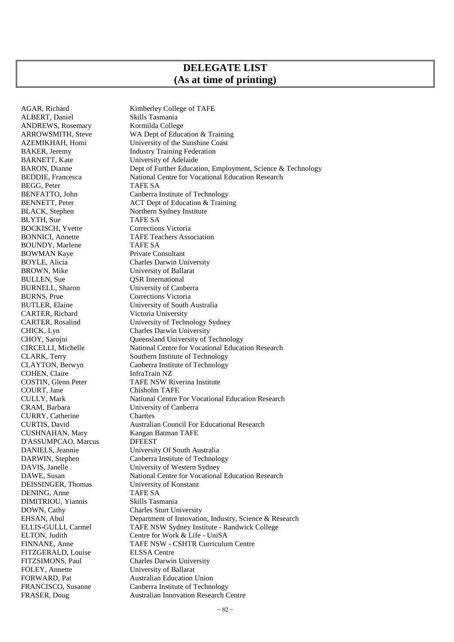# **DELEGATE LIST (As at time of printing)**

ALBERT, Daniel Skills Tasmania ANDREWS, Rosemary Kormilda College BEGG, Peter TAFE SA BLYTH, Sue TAFE SA BOCKISCH, Yvette Corrections Victoria BOUNDY, Marlene TAFE SA<br>BOWMAN Kave Private Consultant BOWMAN Kaye<br>BOYLE, Alicia BULLEN, Sue <br>BURNELL, Sharon <br>University of Cant BURNS, Prue Corrections Victoria CARTER, Richard Victoria University COHEN, Claire<br>COSTIN, Glenn Peter COURT, Jane Chisholm TAFE<br>CULLY. Mark National Centre 1 CURRY, Catherine Charttes D'ASSUMPCAO, Marcus DFEEST DENING, Anne TAFE SA DIMITRIOU, Yiannis Skills Tasmania FITZGERALD, Louise ELSSA Centre FOLEY, Annette University of Ballarat

AGAR, Richard Kimberley College of TAFE ARROWSMITH, Steve WA Dept of Education & Training AZEMIKHAH, Homi University of the Sunshine Coast BAKER, Jeremy Industry Training Federation BARNETT, Kate University of Adelaide BARON, Dianne Dept of Further Education, Employment, Science & Technology BEDDIE, Francesca National Centre for Vocational Education Research BENFATTO, John Canberra Institute of Technology BENNETT, Peter ACT Dept of Education & Training BLACK, Stephen Northern Sydney Institute BONNICI, Annette TAFE Teachers Association BOYLE, Alicia Charles Darwin University<br>BROWN, Mike University of Ballarat University of Ballarat University of Canberra BUTLER, Elaine University of South Australia CARTER, Rosalind University of Technology Sydney CHICK, Lyn Charles Darwin University CHOY, Sarojni Queensland University of Technology CIRCELLI, Michelle National Centre for Vocational Education Research CLARK, Terry Southern Institute of Technology<br>CLAYTON, Berwyn Canberra Institute of Technology Canberra Institute of Technology<br>InfraTrain NZ COSTIN, Glenn Peter TAFE NSW Riverina Institute<br>COURT. Jane Chisholm TAFE National Centre For Vocational Education Research CRAM, Barbara University of Canberra CURTIS, David Australian Council For Educational Research CUSHNAHAN, Mary Kangan Batman TAFE DANIELS, Jeannie University Of South Australia DARWIN, Stephen Canberra Institute of Technology<br>DAVIS, Janelle University of Western Sydney DAVIS, Janelle University of Western Sydney<br>DAWE, Susan National Centre for Vocational DAWE, Susan National Centre for Vocational Education Research<br>DEISSINGER. Thomas University of Konstanz University of Konstanz DOWN, Cathy Charles Sturt University EHSAN, Abul Department of Innovation, Industry, Science & Research ELLIS-GULLI, Carmel TAFE NSW Sydney Institute - Randwick College ELTON, Judith Centre for Work & Life - UniSA FINNANE, Anne TAFE NSW - CSHTR Curriculum Centre FITZSIMONS, Paul Charles Darwin University FORWARD, Pat Australian Education Union FRANCISCO, Susanne Canberra Institute of Technology FRASER, Doug Australian Innovation Research Centre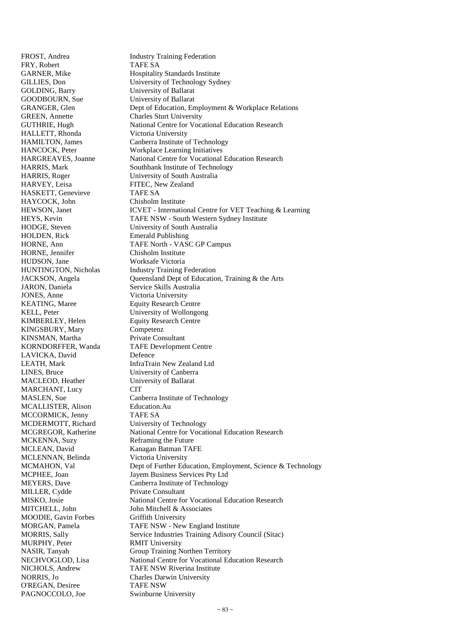FRY, Robert TAFE SA GOLDING, Barry University of Ballarat GOODBOURN, Sue University of Ballarat GREEN, Annette Charles Sturt University HALLETT, Rhonda Victoria University HARVEY, Leisa FITEC, New Zealand HASKETT, Genevieve TAFE SA HAYCOCK, John Chisholm Institute HOLDEN, Rick Emerald Publishing HORNE, Jennifer Chisholm Institute HUDSON, Jane Worksafe Victoria JARON, Daniela Service Skills Australia<br>JONES, Anne Victoria University KEATING, Maree Equity Research Centre KELL, Peter University of Wollongong KIMBERLEY, Helen Equity Research Centre KINGSBURY, Mary Competenz KINSMAN, Martha Private Consultant LAVICKA, David Defence LINES, Bruce University of Canberra MACLEOD, Heather University of Ballarat MARCHANT, Lucy CIT MCALLISTER, Alison Education.Au MCCORMICK, Jenny TAFE SA MCDERMOTT, Richard University of Technology MCKENNA, Suzy Reframing the Future MCLEAN, David Kanagan Batman TAFE MCLENNAN, Belinda Victoria University MILLER, Cydde Private Consultant MOODIE, Gavin Forbes Griffith University MURPHY, Peter RMIT University NORRIS, Jo Charles Darwin University<br>
O'REGAN. Desiree TAFE NSW O'REGAN, Desiree PAGNOCCOLO, Joe Swinburne University

FROST, Andrea Industry Training Federation GARNER, Mike Hospitality Standards Institute GILLIES, Don University of Technology Sydney GRANGER, Glen Dept of Education, Employment & Workplace Relations GUTHRIE, Hugh National Centre for Vocational Education Research HAMILTON, James Canberra Institute of Technology HANCOCK, Peter Workplace Learning Initiatives HARGREAVES, Joanne National Centre for Vocational Education Research HARRIS, Mark Southbank Institute of Technology HARRIS, Roger University of South Australia HEWSON, Janet ICVET - International Centre for VET Teaching & Learning HEYS, Kevin TAFE NSW - South Western Sydney Institute HODGE, Steven University of South Australia HORNE, Ann TAFE North - VASC GP Campus HUNTINGTON, Nicholas Industry Training Federation JACKSON, Angela Queensland Dept of Education, Training & the Arts Victoria University KORNDORFFER, Wanda TAFE Development Centre LEATH, Mark InfraTrain New Zealand Ltd MASLEN, Sue Canberra Institute of Technology MCGREGOR, Katherine National Centre for Vocational Education Research MCMAHON, Val Dept of Further Education, Employment, Science & Technology MCPHEE, Joan Jayem Business Services Pty Ltd MEYERS, Dave Canberra Institute of Technology MISKO, Josie National Centre for Vocational Education Research MITCHELL, John **John Mitchell & Associates** MORGAN, Pamela TAFE NSW - New England Institute MORRIS, Sally Service Industries Training Adisory Council (Sitac) NASIR, Tanyah Group Training Northen Territory NECHVOGLOD, Lisa National Centre for Vocational Education Research NICHOLS, Andrew TAFE NSW Riverina Institute